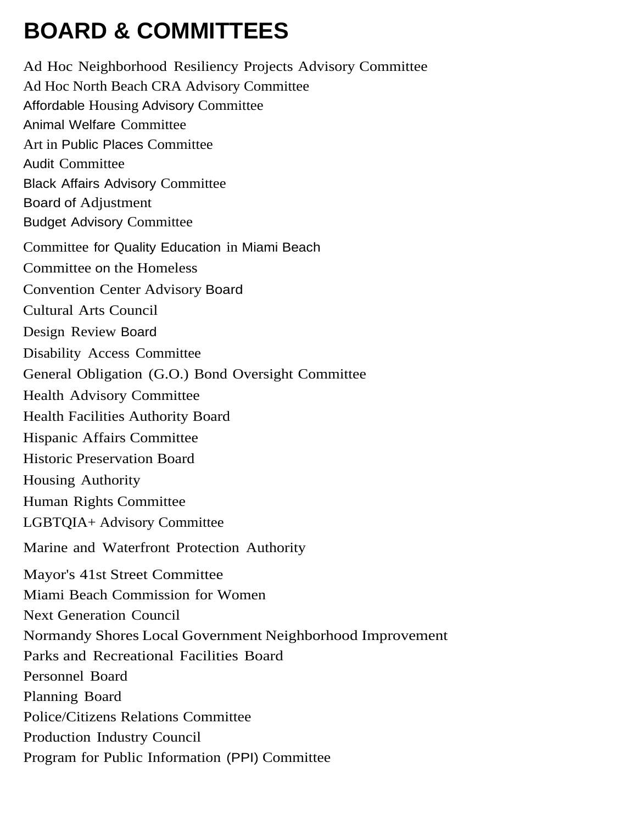# **BOARD & COMMITTEES**

Ad Hoc Neighborhood Resiliency Projects Advisory Committee Ad Hoc North Beach CRA Advisory Committee Affordable Housing Advisory Committee Animal Welfare Committee Art in Public Places Committee Audit Committee Black Affairs Advisory Committee Board of Adjustment Budget Advisory Committee Committee for Quality Education in Miami Beach Committee on the Homeless Convention Center Advisory Board Cultural Arts Council Design Review Board Disability Access Committee General Obligation (G.O.) Bond Oversight Committee Health Advisory Committee Health Facilities Authority Board Hispanic Affairs Committee Historic Preservation Board Housing Authority Human Rights Committee LGBTQIA+ Advisory Committee Marine and Waterfront Protection Authority Mayor's 41st Street Committee Miami Beach Commission for Women Next Generation Council Normandy Shores Local Government Neighborhood Improvement Parks and Recreational Facilities Board Personnel Board Planning Board Police/Citizens Relations Committee Production Industry Council Program for Public Information (PPI) Committee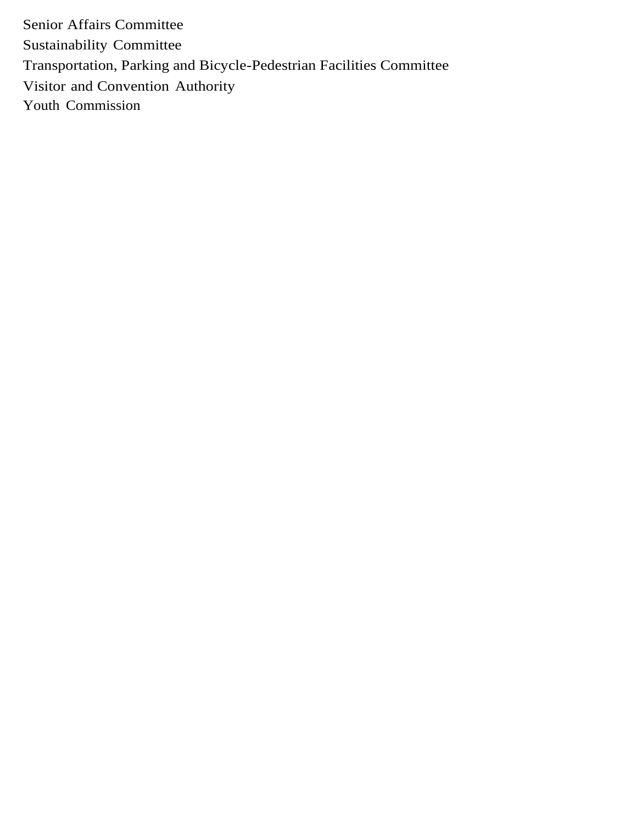Senior Affairs Committee Sustainability Committee Transportation, Parking and Bicycle-Pedestrian Facilities Committee Visitor and Convention Authority Youth Commission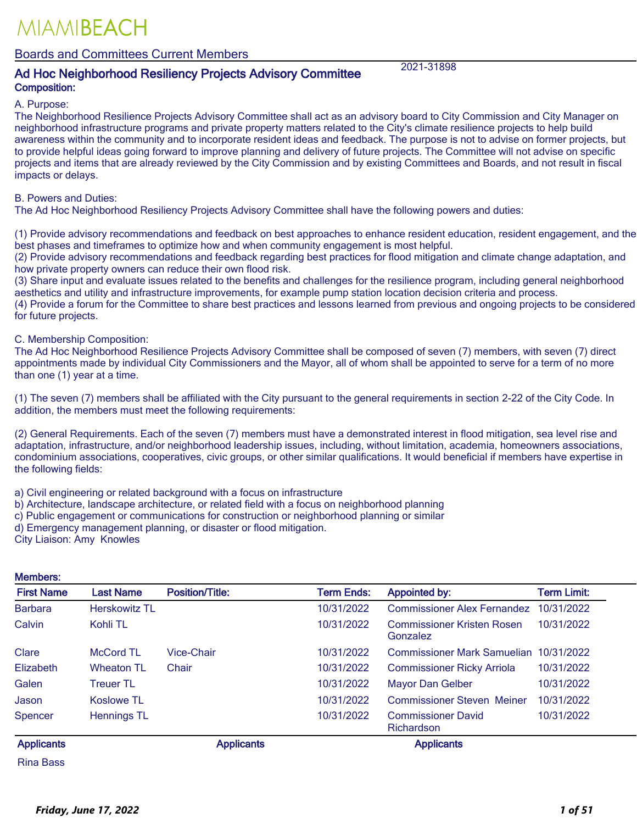### Boards and Committees Current Members

### Ad Hoc Neighborhood Resiliency Projects Advisory Committee 2021-31898 Composition:

A. Purpose:

The Neighborhood Resilience Projects Advisory Committee shall act as an advisory board to City Commission and City Manager on neighborhood infrastructure programs and private property matters related to the City's climate resilience projects to help build awareness within the community and to incorporate resident ideas and feedback. The purpose is not to advise on former projects, but to provide helpful ideas going forward to improve planning and delivery of future projects. The Committee will not advise on specific projects and items that are already reviewed by the City Commission and by existing Committees and Boards, and not result in fiscal impacts or delays.

#### B. Powers and Duties:

The Ad Hoc Neighborhood Resiliency Projects Advisory Committee shall have the following powers and duties:

(1) Provide advisory recommendations and feedback on best approaches to enhance resident education, resident engagement, and the best phases and timeframes to optimize how and when community engagement is most helpful.

(2) Provide advisory recommendations and feedback regarding best practices for flood mitigation and climate change adaptation, and how private property owners can reduce their own flood risk.

(3) Share input and evaluate issues related to the benefits and challenges for the resilience program, including general neighborhood aesthetics and utility and infrastructure improvements, for example pump station location decision criteria and process.

(4) Provide a forum for the Committee to share best practices and lessons learned from previous and ongoing projects to be considered for future projects.

C. Membership Composition:

The Ad Hoc Neighborhood Resilience Projects Advisory Committee shall be composed of seven (7) members, with seven (7) direct appointments made by individual City Commissioners and the Mayor, all of whom shall be appointed to serve for a term of no more than one (1) year at a time.

(1) The seven (7) members shall be affiliated with the City pursuant to the general requirements in section 2-22 of the City Code. In addition, the members must meet the following requirements:

(2) General Requirements. Each of the seven (7) members must have a demonstrated interest in flood mitigation, sea level rise and adaptation, infrastructure, and/or neighborhood leadership issues, including, without limitation, academia, homeowners associations, condominium associations, cooperatives, civic groups, or other similar qualifications. It would beneficial if members have expertise in the following fields:

a) Civil engineering or related background with a focus on infrastructure

- b) Architecture, landscape architecture, or related field with a focus on neighborhood planning
- c) Public engagement or communications for construction or neighborhood planning or similar

d) Emergency management planning, or disaster or flood mitigation.

City Liaison: Amy Knowles

#### Members:

| <b>First Name</b> | <b>Last Name</b>     | <b>Position/Title:</b> | <b>Term Ends:</b> | <b>Appointed by:</b>                          | Term Limit: |
|-------------------|----------------------|------------------------|-------------------|-----------------------------------------------|-------------|
| <b>Barbara</b>    | <b>Herskowitz TL</b> |                        | 10/31/2022        | <b>Commissioner Alex Fernandez</b>            | 10/31/2022  |
| Calvin            | Kohli TL             |                        | 10/31/2022        | <b>Commissioner Kristen Rosen</b><br>Gonzalez | 10/31/2022  |
| Clare             | <b>McCord TL</b>     | <b>Vice-Chair</b>      | 10/31/2022        | <b>Commissioner Mark Samuelian</b>            | 10/31/2022  |
| Elizabeth         | <b>Wheaton TL</b>    | Chair                  | 10/31/2022        | <b>Commissioner Ricky Arriola</b>             | 10/31/2022  |
| Galen             | <b>Treuer TL</b>     |                        | 10/31/2022        | <b>Mayor Dan Gelber</b>                       | 10/31/2022  |
| Jason             | <b>Koslowe TL</b>    |                        | 10/31/2022        | <b>Commissioner Steven Meiner</b>             | 10/31/2022  |
| Spencer           | <b>Hennings TL</b>   |                        | 10/31/2022        | <b>Commissioner David</b><br>Richardson       | 10/31/2022  |
| <b>Applicants</b> |                      | <b>Applicants</b>      |                   | <b>Applicants</b>                             |             |

Rina Bass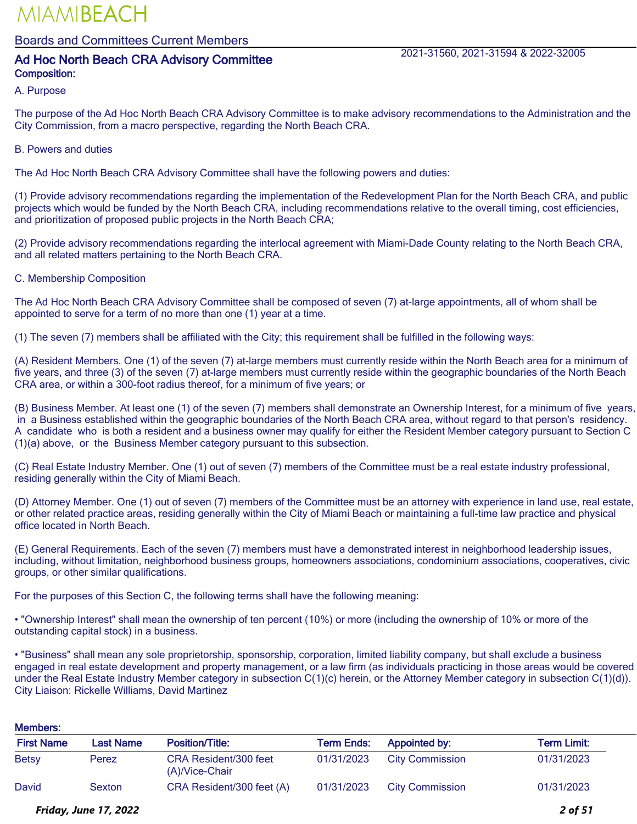Boards and Committees Current Members

## Ad Hoc North Beach CRA Advisory Committee 2021-31560, 2021-31594 & 2022-32005 Composition:

#### A. Purpose

The purpose of the Ad Hoc North Beach CRA Advisory Committee is to make advisory recommendations to the Administration and the City Commission, from a macro perspective, regarding the North Beach CRA.

#### B. Powers and duties

The Ad Hoc North Beach CRA Advisory Committee shall have the following powers and duties:

(1) Provide advisory recommendations regarding the implementation of the Redevelopment Plan for the North Beach CRA, and public projects which would be funded by the North Beach CRA, including recommendations relative to the overall timing, cost efficiencies, and prioritization of proposed public projects in the North Beach CRA;

(2) Provide advisory recommendations regarding the interlocal agreement with Miami-Dade County relating to the North Beach CRA, and all related matters pertaining to the North Beach CRA.

#### C. Membership Composition

The Ad Hoc North Beach CRA Advisory Committee shall be composed of seven (7) at-large appointments, all of whom shall be appointed to serve for a term of no more than one (1) year at a time.

(1) The seven (7) members shall be affiliated with the City; this requirement shall be fulfilled in the following ways:

(A) Resident Members. One (1) of the seven (7) at-large members must currently reside within the North Beach area for a minimum of five years, and three (3) of the seven (7) at-large members must currently reside within the geographic boundaries of the North Beach CRA area, or within a 300-foot radius thereof, for a minimum of five years; or

(B) Business Member. At least one (1) of the seven (7) members shall demonstrate an Ownership Interest, for a minimum of five years, in a Business established within the geographic boundaries of the North Beach CRA area, without regard to that person's residency. A candidate who is both a resident and a business owner may qualify for either the Resident Member category pursuant to Section C (1)(a) above, or the Business Member category pursuant to this subsection.

(C) Real Estate Industry Member. One (1) out of seven (7) members of the Committee must be a real estate industry professional, residing generally within the City of Miami Beach.

(D) Attorney Member. One (1) out of seven (7) members of the Committee must be an attorney with experience in land use, real estate, or other related practice areas, residing generally within the City of Miami Beach or maintaining a full-time law practice and physical office located in North Beach.

(E) General Requirements. Each of the seven (7) members must have a demonstrated interest in neighborhood leadership issues, including, without limitation, neighborhood business groups, homeowners associations, condominium associations, cooperatives, civic groups, or other similar qualifications.

For the purposes of this Section C, the following terms shall have the following meaning:

• "Ownership Interest" shall mean the ownership of ten percent (10%) or more (including the ownership of 10% or more of the outstanding capital stock) in a business.

• "Business" shall mean any sole proprietorship, sponsorship, corporation, limited liability company, but shall exclude a business engaged in real estate development and property management, or a law firm (as individuals practicing in those areas would be covered under the Real Estate Industry Member category in subsection C(1)(c) herein, or the Attorney Member category in subsection C(1)(d)). City Liaison: Rickelle Williams, David Martinez

#### Members:

| <b>First Name</b> | Last Name | <b>Position/Title:</b>                  | <b>Term Ends:</b> | Appointed by:          | Term Limit: |
|-------------------|-----------|-----------------------------------------|-------------------|------------------------|-------------|
| <b>Betsy</b>      | Perez     | CRA Resident/300 feet<br>(A)/Vice-Chair | 01/31/2023        | <b>City Commission</b> | 01/31/2023  |
| David             | Sexton    | CRA Resident/300 feet (A)               | 01/31/2023        | <b>City Commission</b> | 01/31/2023  |

#### *Friday, June 17, 2022 2 of 51*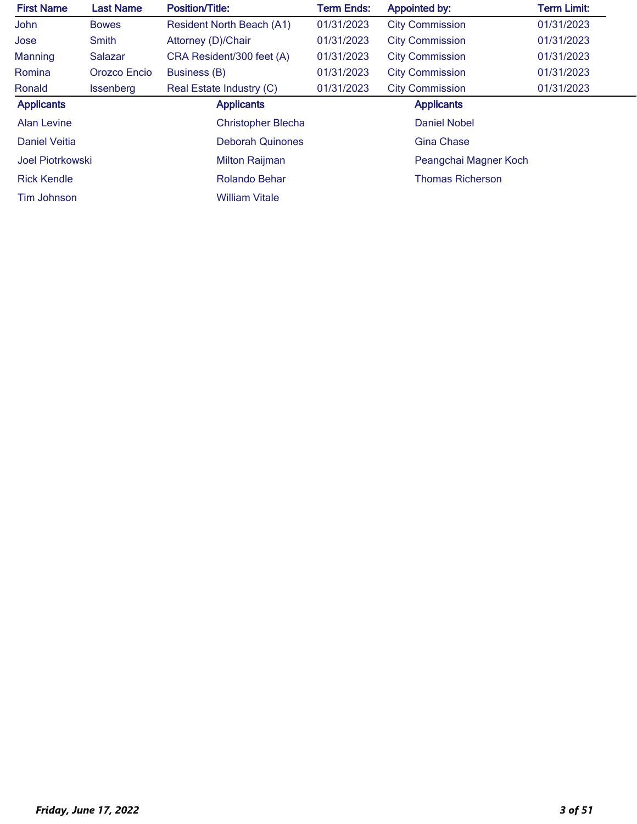| <b>First Name</b>  | <b>Last Name</b> | <b>Position/Title:</b>           | <b>Term Ends:</b> | <b>Appointed by:</b>    | <b>Term Limit:</b> |
|--------------------|------------------|----------------------------------|-------------------|-------------------------|--------------------|
| John               | <b>Bowes</b>     | <b>Resident North Beach (A1)</b> | 01/31/2023        | <b>City Commission</b>  | 01/31/2023         |
| Jose               | Smith            | Attorney (D)/Chair               | 01/31/2023        | <b>City Commission</b>  | 01/31/2023         |
| Manning            | Salazar          | CRA Resident/300 feet (A)        | 01/31/2023        | <b>City Commission</b>  | 01/31/2023         |
| Romina             | Orozco Encio     | Business (B)                     | 01/31/2023        | <b>City Commission</b>  | 01/31/2023         |
| Ronald             | <b>Issenberg</b> | Real Estate Industry (C)         | 01/31/2023        | <b>City Commission</b>  | 01/31/2023         |
| <b>Applicants</b>  |                  | <b>Applicants</b>                |                   | <b>Applicants</b>       |                    |
| <b>Alan Levine</b> |                  | <b>Christopher Blecha</b>        |                   | <b>Daniel Nobel</b>     |                    |
| Daniel Veitia      |                  | <b>Deborah Quinones</b>          |                   | <b>Gina Chase</b>       |                    |
| Joel Piotrkowski   |                  | <b>Milton Raijman</b>            |                   | Peangchai Magner Koch   |                    |
| <b>Rick Kendle</b> |                  | Rolando Behar                    |                   | <b>Thomas Richerson</b> |                    |
| Tim Johnson        |                  | <b>William Vitale</b>            |                   |                         |                    |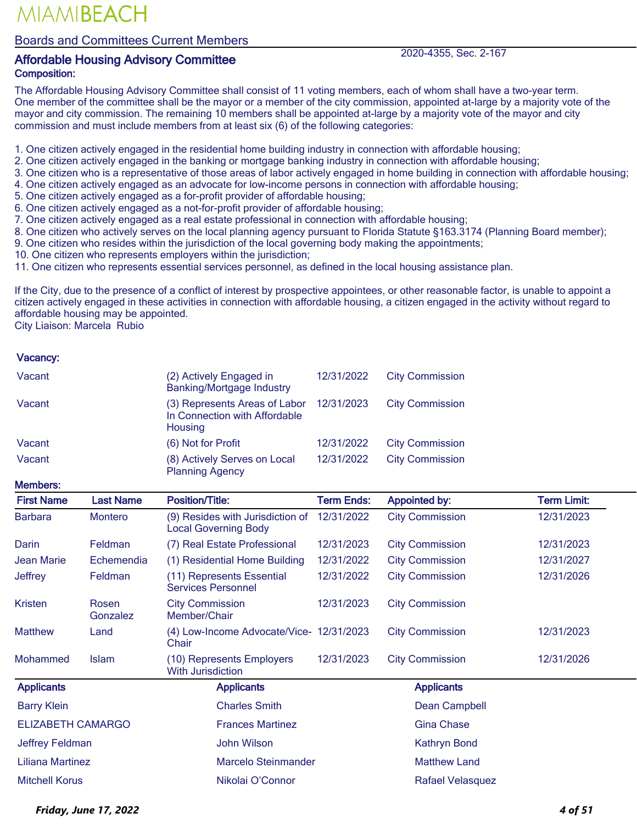Boards and Committees Current Members

### Affordable Housing Advisory Committee 2020-4355, Sec. 2-167 Composition:

The Affordable Housing Advisory Committee shall consist of 11 voting members, each of whom shall have a two-year term. One member of the committee shall be the mayor or a member of the city commission, appointed at-large by a majority vote of the mayor and city commission. The remaining 10 members shall be appointed at-large by a majority vote of the mayor and city commission and must include members from at least six (6) of the following categories:

1. One citizen actively engaged in the residential home building industry in connection with affordable housing;

- 2. One citizen actively engaged in the banking or mortgage banking industry in connection with affordable housing;
- 3. One citizen who is a representative of those areas of labor actively engaged in home building in connection with affordable housing;
- 4. One citizen actively engaged as an advocate for low-income persons in connection with affordable housing;
- 5. One citizen actively engaged as a for-profit provider of affordable housing;
- 6. One citizen actively engaged as a not-for-profit provider of affordable housing;
- 7. One citizen actively engaged as a real estate professional in connection with affordable housing;
- 8. One citizen who actively serves on the local planning agency pursuant to Florida Statute §163.3174 (Planning Board member);
- 9. One citizen who resides within the jurisdiction of the local governing body making the appointments;
- 10. One citizen who represents employers within the jurisdiction;
- 11. One citizen who represents essential services personnel, as defined in the local housing assistance plan.

If the City, due to the presence of a conflict of interest by prospective appointees, or other reasonable factor, is unable to appoint a citizen actively engaged in these activities in connection with affordable housing, a citizen engaged in the activity without regard to affordable housing may be appointed.

City Liaison: Marcela Rubio

#### Vacancy:

| Vacant                   |                   | (2) Actively Engaged in<br><b>Banking/Mortgage Industry</b>               | 12/31/2022        | <b>City Commission</b>  |                    |
|--------------------------|-------------------|---------------------------------------------------------------------------|-------------------|-------------------------|--------------------|
| Vacant                   |                   | (3) Represents Areas of Labor<br>In Connection with Affordable<br>Housing | 12/31/2023        | <b>City Commission</b>  |                    |
| Vacant                   |                   | (6) Not for Profit                                                        | 12/31/2022        | <b>City Commission</b>  |                    |
| Vacant                   |                   | (8) Actively Serves on Local<br><b>Planning Agency</b>                    | 12/31/2022        | <b>City Commission</b>  |                    |
| <b>Members:</b>          |                   |                                                                           |                   |                         |                    |
| <b>First Name</b>        | <b>Last Name</b>  | <b>Position/Title:</b>                                                    | <b>Term Ends:</b> | <b>Appointed by:</b>    | <b>Term Limit:</b> |
| <b>Barbara</b>           | <b>Montero</b>    | (9) Resides with Jurisdiction of<br><b>Local Governing Body</b>           | 12/31/2022        | <b>City Commission</b>  | 12/31/2023         |
| Darin                    | Feldman           | (7) Real Estate Professional                                              | 12/31/2023        | <b>City Commission</b>  | 12/31/2023         |
| Jean Marie               | Echemendia        | (1) Residential Home Building                                             | 12/31/2022        | <b>City Commission</b>  | 12/31/2027         |
| <b>Jeffrey</b>           | Feldman           | (11) Represents Essential<br><b>Services Personnel</b>                    | 12/31/2022        | <b>City Commission</b>  | 12/31/2026         |
| <b>Kristen</b>           | Rosen<br>Gonzalez | <b>City Commission</b><br>Member/Chair                                    | 12/31/2023        | <b>City Commission</b>  |                    |
| <b>Matthew</b>           | Land              | (4) Low-Income Advocate/Vice- 12/31/2023<br>Chair                         |                   | <b>City Commission</b>  | 12/31/2023         |
| Mohammed                 | <b>Islam</b>      | (10) Represents Employers<br><b>With Jurisdiction</b>                     | 12/31/2023        | <b>City Commission</b>  | 12/31/2026         |
| <b>Applicants</b>        |                   | <b>Applicants</b>                                                         |                   | <b>Applicants</b>       |                    |
| <b>Barry Klein</b>       |                   | <b>Charles Smith</b>                                                      |                   | Dean Campbell           |                    |
| <b>ELIZABETH CAMARGO</b> |                   | <b>Frances Martinez</b>                                                   |                   | <b>Gina Chase</b>       |                    |
| Jeffrey Feldman          |                   | <b>John Wilson</b>                                                        |                   | <b>Kathryn Bond</b>     |                    |
| <b>Liliana Martinez</b>  |                   | <b>Marcelo Steinmander</b>                                                |                   | <b>Matthew Land</b>     |                    |
| <b>Mitchell Korus</b>    |                   | Nikolai O'Connor                                                          |                   | <b>Rafael Velasquez</b> |                    |

*Friday, June 17, 2022 4 of 51*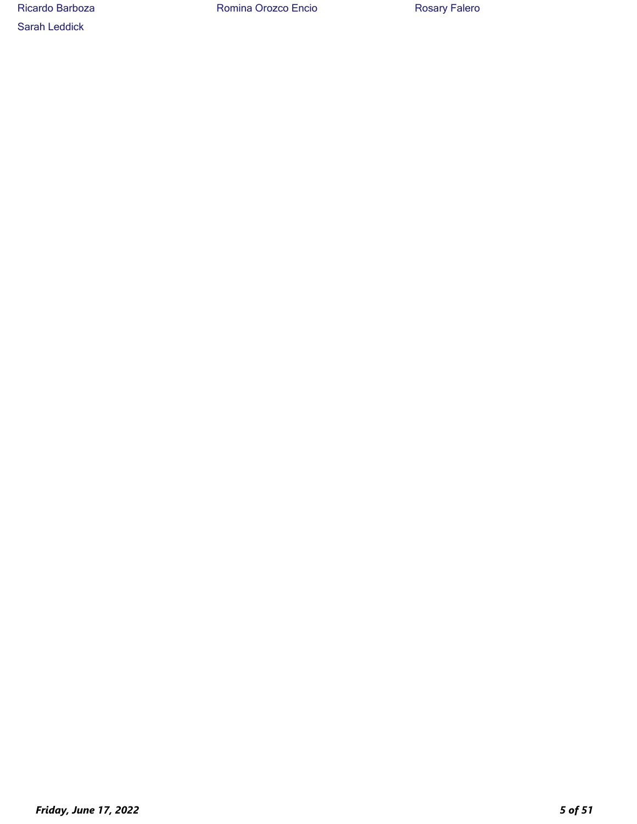Sarah Leddick

Ricardo Barboza **Romina Orozco Encio** Rosary Falero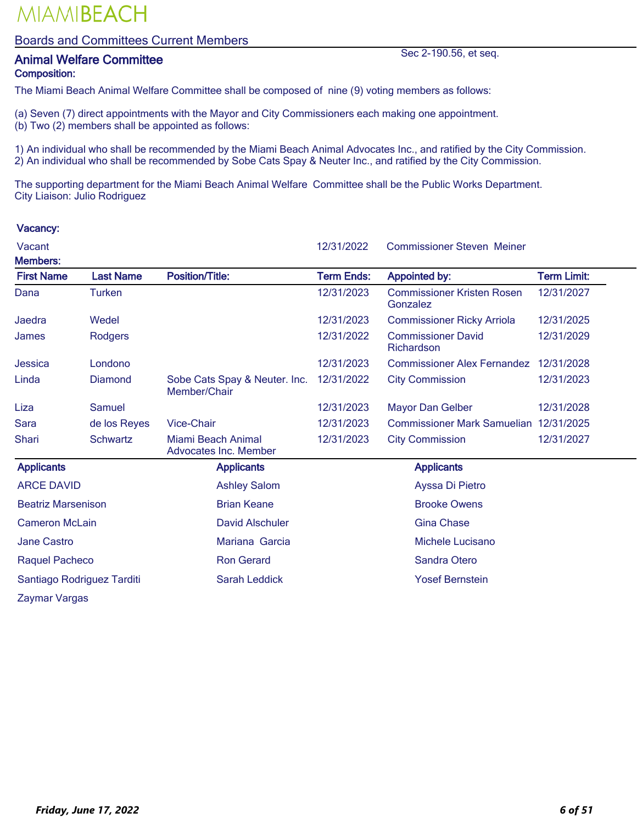### Boards and Committees Current Members

## **Animal Welfare Committee Sec 2-190.56, et seq.** Composition:

The Miami Beach Animal Welfare Committee shall be composed of nine (9) voting members as follows:

- (a) Seven (7) direct appointments with the Mayor and City Commissioners each making one appointment.
- (b) Two (2) members shall be appointed as follows:

1) An individual who shall be recommended by the Miami Beach Animal Advocates Inc., and ratified by the City Commission. 2) An individual who shall be recommended by Sobe Cats Spay & Neuter Inc., and ratified by the City Commission.

The supporting department for the Miami Beach Animal Welfare Committee shall be the Public Works Department. City Liaison: Julio Rodriguez

| Vacant                               |                            |                                               | 12/31/2022        | <b>Commissioner Steven Meiner</b>             |                    |
|--------------------------------------|----------------------------|-----------------------------------------------|-------------------|-----------------------------------------------|--------------------|
| <b>Members:</b><br><b>First Name</b> | <b>Last Name</b>           | <b>Position/Title:</b>                        | <b>Term Ends:</b> | <b>Appointed by:</b>                          | <b>Term Limit:</b> |
| Dana                                 | <b>Turken</b>              |                                               | 12/31/2023        | <b>Commissioner Kristen Rosen</b><br>Gonzalez | 12/31/2027         |
| Jaedra                               | Wedel                      |                                               | 12/31/2023        | <b>Commissioner Ricky Arriola</b>             | 12/31/2025         |
| James                                | Rodgers                    |                                               | 12/31/2022        | <b>Commissioner David</b><br>Richardson       | 12/31/2029         |
| Jessica                              | Londono                    |                                               | 12/31/2023        | <b>Commissioner Alex Fernandez</b>            | 12/31/2028         |
| Linda                                | Diamond                    | Sobe Cats Spay & Neuter. Inc.<br>Member/Chair | 12/31/2022        | <b>City Commission</b>                        | 12/31/2023         |
| Liza                                 | Samuel                     |                                               | 12/31/2023        | <b>Mayor Dan Gelber</b>                       | 12/31/2028         |
| <b>Sara</b>                          | de los Reyes               | <b>Vice-Chair</b>                             | 12/31/2023        | Commissioner Mark Samuelian 12/31/2025        |                    |
| Shari                                | <b>Schwartz</b>            | Miami Beach Animal<br>Advocates Inc. Member   | 12/31/2023        | <b>City Commission</b>                        | 12/31/2027         |
| <b>Applicants</b>                    |                            | <b>Applicants</b>                             |                   | <b>Applicants</b>                             |                    |
| <b>ARCE DAVID</b>                    |                            | <b>Ashley Salom</b>                           |                   | Ayssa Di Pietro                               |                    |
| <b>Beatriz Marsenison</b>            |                            | <b>Brian Keane</b>                            |                   | <b>Brooke Owens</b>                           |                    |
| <b>Cameron McLain</b>                |                            | <b>David Alschuler</b>                        |                   | <b>Gina Chase</b>                             |                    |
| <b>Jane Castro</b>                   |                            | Mariana Garcia                                |                   | Michele Lucisano                              |                    |
| Raquel Pacheco                       |                            | <b>Ron Gerard</b>                             |                   | <b>Sandra Otero</b>                           |                    |
|                                      | Santiago Rodriguez Tarditi | Sarah Leddick                                 |                   | <b>Yosef Bernstein</b>                        |                    |
| Zaymar Vargas                        |                            |                                               |                   |                                               |                    |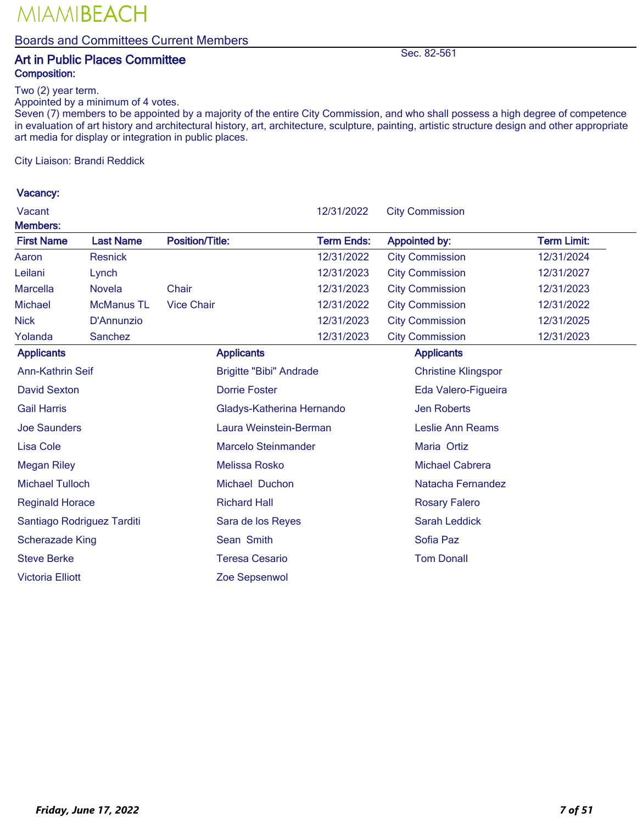Boards and Committees Current Members

## Art in Public Places Committee Sec. 82-561 Composition:

Two (2) year term.

Appointed by a minimum of 4 votes.

Seven (7) members to be appointed by a majority of the entire City Commission, and who shall possess a high degree of competence in evaluation of art history and architectural history, art, architecture, sculpture, painting, artistic structure design and other appropriate art media for display or integration in public places.

City Liaison: Brandi Reddick

| Vacant                  |                            |                                | 12/31/2022                | <b>City Commission</b>     |                    |  |
|-------------------------|----------------------------|--------------------------------|---------------------------|----------------------------|--------------------|--|
| Members:                |                            |                                |                           |                            |                    |  |
| <b>First Name</b>       | <b>Last Name</b>           | <b>Position/Title:</b>         | <b>Term Ends:</b>         | <b>Appointed by:</b>       | <b>Term Limit:</b> |  |
| Aaron                   | <b>Resnick</b>             |                                | 12/31/2022                | <b>City Commission</b>     | 12/31/2024         |  |
| Leilani                 | Lynch                      |                                | 12/31/2023                | <b>City Commission</b>     | 12/31/2027         |  |
| <b>Marcella</b>         | <b>Novela</b>              | Chair                          | 12/31/2023                | <b>City Commission</b>     | 12/31/2023         |  |
| Michael                 | <b>McManus TL</b>          | <b>Vice Chair</b>              | 12/31/2022                | <b>City Commission</b>     | 12/31/2022         |  |
| Nick                    | D'Annunzio                 |                                | 12/31/2023                | <b>City Commission</b>     | 12/31/2025         |  |
| Yolanda                 | Sanchez                    |                                | 12/31/2023                | <b>City Commission</b>     | 12/31/2023         |  |
| <b>Applicants</b>       |                            | <b>Applicants</b>              |                           | <b>Applicants</b>          |                    |  |
| Ann-Kathrin Seif        |                            | <b>Brigitte "Bibi" Andrade</b> |                           | <b>Christine Klingspor</b> |                    |  |
| <b>David Sexton</b>     |                            | <b>Dorrie Foster</b>           |                           | Eda Valero-Figueira        |                    |  |
| <b>Gail Harris</b>      |                            |                                | Gladys-Katherina Hernando | <b>Jen Roberts</b>         |                    |  |
| <b>Joe Saunders</b>     |                            | Laura Weinstein-Berman         |                           | Leslie Ann Reams           |                    |  |
| <b>Lisa Cole</b>        |                            | <b>Marcelo Steinmander</b>     |                           | Maria Ortiz                |                    |  |
| <b>Megan Riley</b>      |                            | Melissa Rosko                  |                           | <b>Michael Cabrera</b>     |                    |  |
| <b>Michael Tulloch</b>  |                            | Michael Duchon                 |                           | Natacha Fernandez          |                    |  |
| <b>Reginald Horace</b>  |                            | <b>Richard Hall</b>            |                           | <b>Rosary Falero</b>       |                    |  |
|                         | Santiago Rodriguez Tarditi | Sara de los Reyes              |                           | <b>Sarah Leddick</b>       |                    |  |
| <b>Scherazade King</b>  |                            | Sean Smith                     |                           | Sofia Paz                  |                    |  |
| <b>Steve Berke</b>      |                            | <b>Teresa Cesario</b>          |                           | <b>Tom Donall</b>          |                    |  |
| <b>Victoria Elliott</b> |                            | Zoe Sepsenwol                  |                           |                            |                    |  |
|                         |                            |                                |                           |                            |                    |  |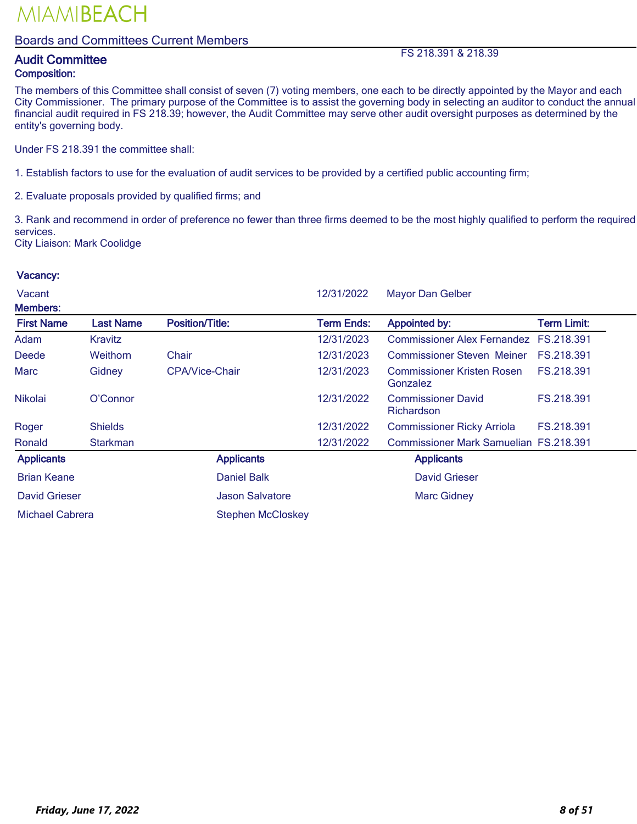### Boards and Committees Current Members

## Audit Committee FS 218.391 & 218.39

## Composition:

The members of this Committee shall consist of seven (7) voting members, one each to be directly appointed by the Mayor and each City Commissioner. The primary purpose of the Committee is to assist the governing body in selecting an auditor to conduct the annual financial audit required in FS 218.39; however, the Audit Committee may serve other audit oversight purposes as determined by the entity's governing body.

Under FS 218.391 the committee shall:

1. Establish factors to use for the evaluation of audit services to be provided by a certified public accounting firm;

2. Evaluate proposals provided by qualified firms; and

3. Rank and recommend in order of preference no fewer than three firms deemed to be the most highly qualified to perform the required services.

City Liaison: Mark Coolidge

| Vacant<br><b>Members:</b> |                  |                          | 12/31/2022        | <b>Mayor Dan Gelber</b>                       |                    |
|---------------------------|------------------|--------------------------|-------------------|-----------------------------------------------|--------------------|
| <b>First Name</b>         | <b>Last Name</b> | <b>Position/Title:</b>   | <b>Term Ends:</b> | <b>Appointed by:</b>                          | <b>Term Limit:</b> |
| Adam                      | Kravitz          |                          | 12/31/2023        | Commissioner Alex Fernandez FS.218.391        |                    |
| <b>Deede</b>              | Weithorn         | Chair                    | 12/31/2023        | <b>Commissioner Steven Meiner</b>             | FS.218.391         |
| <b>Marc</b>               | Gidney           | CPA/Vice-Chair           | 12/31/2023        | <b>Commissioner Kristen Rosen</b><br>Gonzalez | FS.218.391         |
| <b>Nikolai</b>            | O'Connor         |                          | 12/31/2022        | <b>Commissioner David</b><br>Richardson       | FS.218.391         |
| Roger                     | <b>Shields</b>   |                          | 12/31/2022        | <b>Commissioner Ricky Arriola</b>             | FS.218.391         |
| Ronald                    | <b>Starkman</b>  |                          | 12/31/2022        | <b>Commissioner Mark Samuelian FS.218.391</b> |                    |
| <b>Applicants</b>         |                  | <b>Applicants</b>        |                   | <b>Applicants</b>                             |                    |
| <b>Brian Keane</b>        |                  | <b>Daniel Balk</b>       |                   | <b>David Grieser</b>                          |                    |
| <b>David Grieser</b>      |                  | <b>Jason Salvatore</b>   |                   | <b>Marc Gidney</b>                            |                    |
| Michael Cabrera           |                  | <b>Stephen McCloskey</b> |                   |                                               |                    |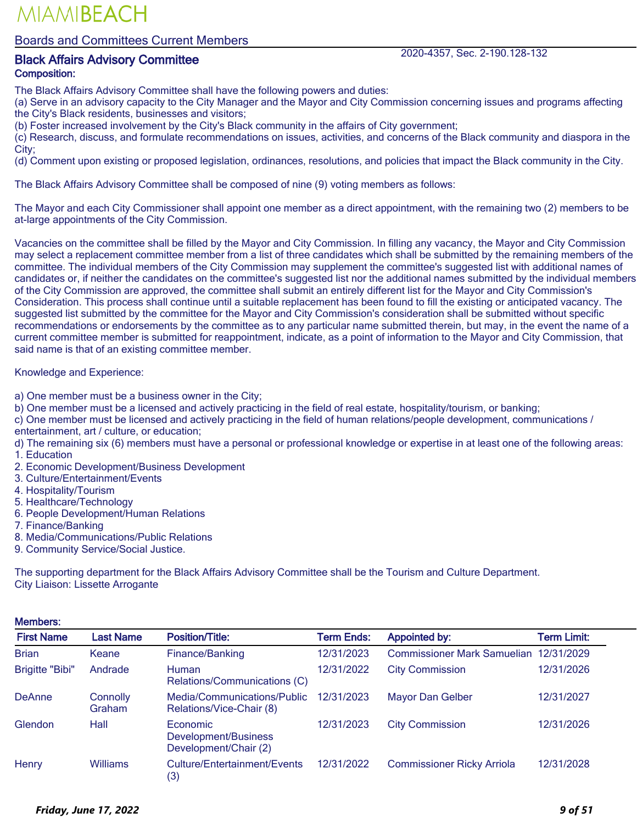Boards and Committees Current Members

## Black Affairs Advisory Committee 2020-4357, Sec. 2-190.128-132

## Composition:

The Black Affairs Advisory Committee shall have the following powers and duties:

(a) Serve in an advisory capacity to the City Manager and the Mayor and City Commission concerning issues and programs affecting the City's Black residents, businesses and visitors;

(b) Foster increased involvement by the City's Black community in the affairs of City government;

(c) Research, discuss, and formulate recommendations on issues, activities, and concerns of the Black community and diaspora in the City;

(d) Comment upon existing or proposed legislation, ordinances, resolutions, and policies that impact the Black community in the City.

The Black Affairs Advisory Committee shall be composed of nine (9) voting members as follows:

The Mayor and each City Commissioner shall appoint one member as a direct appointment, with the remaining two (2) members to be at-large appointments of the City Commission.

Vacancies on the committee shall be filled by the Mayor and City Commission. In filling any vacancy, the Mayor and City Commission may select a replacement committee member from a list of three candidates which shall be submitted by the remaining members of the committee. The individual members of the City Commission may supplement the committee's suggested list with additional names of candidates or, if neither the candidates on the committee's suggested list nor the additional names submitted by the individual members of the City Commission are approved, the committee shall submit an entirely different list for the Mayor and City Commission's Consideration. This process shall continue until a suitable replacement has been found to fill the existing or anticipated vacancy. The suggested list submitted by the committee for the Mayor and City Commission's consideration shall be submitted without specific recommendations or endorsements by the committee as to any particular name submitted therein, but may, in the event the name of a current committee member is submitted for reappointment, indicate, as a point of information to the Mayor and City Commission, that said name is that of an existing committee member.

Knowledge and Experience:

a) One member must be a business owner in the City;

b) One member must be a licensed and actively practicing in the field of real estate, hospitality/tourism, or banking;

c) One member must be licensed and actively practicing in the field of human relations/people development, communications / entertainment, art / culture, or education;

d) The remaining six (6) members must have a personal or professional knowledge or expertise in at least one of the following areas: 1. Education

- 2. Economic Development/Business Development
- 3. Culture/Entertainment/Events
- 4. Hospitality/Tourism
- 5. Healthcare/Technology
- 6. People Development/Human Relations
- 7. Finance/Banking
- 8. Media/Communications/Public Relations
- 9. Community Service/Social Justice.

The supporting department for the Black Affairs Advisory Committee shall be the Tourism and Culture Department. City Liaison: Lissette Arrogante

| <b>Members:</b>        |                    |                                                           |                   |                                    |                    |  |
|------------------------|--------------------|-----------------------------------------------------------|-------------------|------------------------------------|--------------------|--|
| <b>First Name</b>      | <b>Last Name</b>   | <b>Position/Title:</b>                                    | <b>Term Ends:</b> | <b>Appointed by:</b>               | <b>Term Limit:</b> |  |
| <b>Brian</b>           | Keane              | Finance/Banking                                           | 12/31/2023        | <b>Commissioner Mark Samuelian</b> | 12/31/2029         |  |
| <b>Brigitte "Bibi"</b> | Andrade            | Human<br>Relations/Communications (C)                     | 12/31/2022        | <b>City Commission</b>             | 12/31/2026         |  |
| <b>DeAnne</b>          | Connolly<br>Graham | Media/Communications/Public<br>Relations/Vice-Chair (8)   | 12/31/2023        | <b>Mayor Dan Gelber</b>            | 12/31/2027         |  |
| Glendon                | Hall               | Economic<br>Development/Business<br>Development/Chair (2) | 12/31/2023        | <b>City Commission</b>             | 12/31/2026         |  |
| Henry                  | <b>Williams</b>    | Culture/Entertainment/Events<br>(3)                       | 12/31/2022        | <b>Commissioner Ricky Arriola</b>  | 12/31/2028         |  |

#### *Friday, June 17, 2022 9 of 51*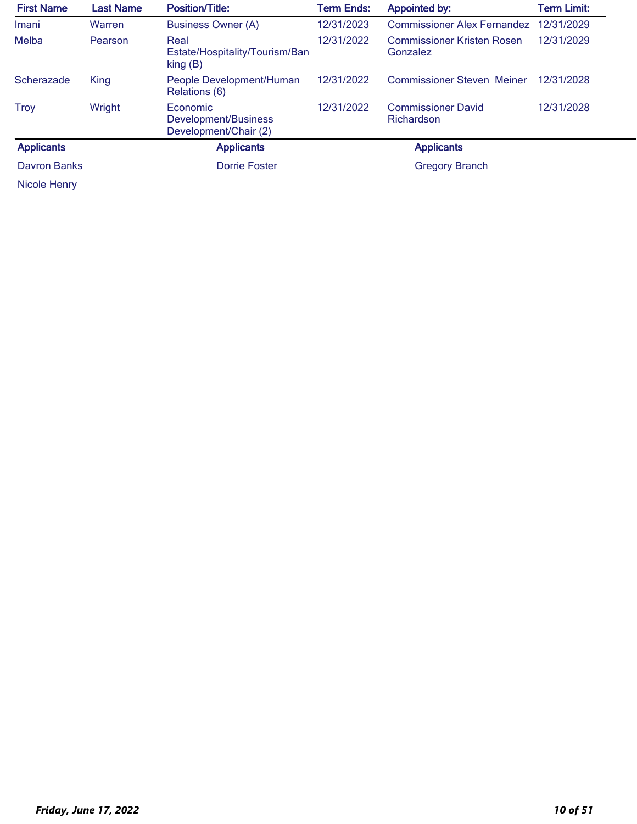| <b>First Name</b> | <b>Last Name</b> | <b>Position/Title:</b>                                        | <b>Term Ends:</b> | <b>Appointed by:</b>                          | <b>Term Limit:</b> |
|-------------------|------------------|---------------------------------------------------------------|-------------------|-----------------------------------------------|--------------------|
| Imani             | Warren           | <b>Business Owner (A)</b>                                     | 12/31/2023        | <b>Commissioner Alex Fernandez</b>            | 12/31/2029         |
| Melba             | Pearson          | Real<br>Estate/Hospitality/Tourism/Ban<br>$\mathsf{king}$ (B) | 12/31/2022        | <b>Commissioner Kristen Rosen</b><br>Gonzalez | 12/31/2029         |
| Scherazade        | <b>King</b>      | People Development/Human<br>Relations (6)                     | 12/31/2022        | <b>Commissioner Steven Meiner</b>             | 12/31/2028         |
| <b>Troy</b>       | Wright           | Economic<br>Development/Business<br>Development/Chair (2)     | 12/31/2022        | <b>Commissioner David</b><br>Richardson       | 12/31/2028         |
| <b>Applicants</b> |                  | <b>Applicants</b>                                             |                   | <b>Applicants</b>                             |                    |
| Davron Banks      |                  | <b>Dorrie Foster</b>                                          |                   | <b>Gregory Branch</b>                         |                    |
| Nicole Henry      |                  |                                                               |                   |                                               |                    |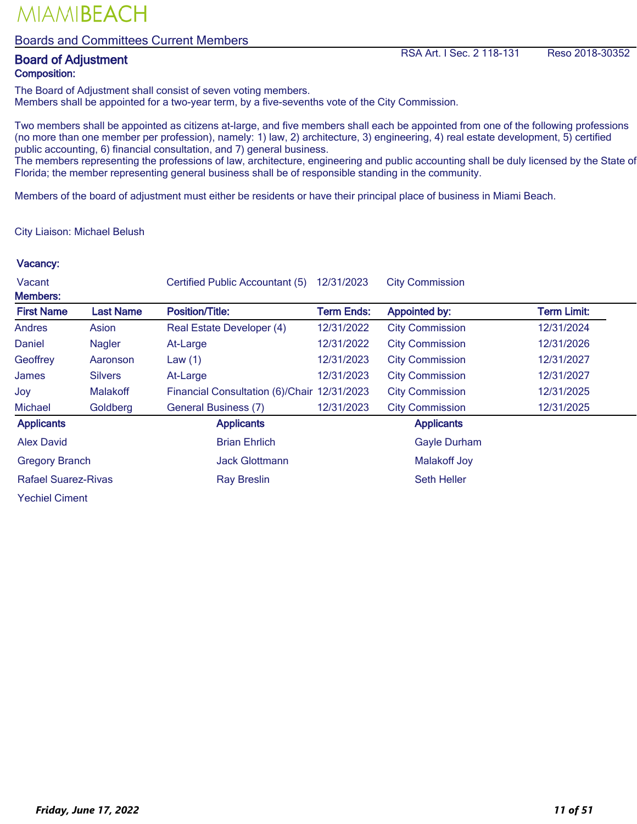#### Boards and Committees Current Members

# Composition:

**Board of Adjustment** RSA Art. I Sec. 2 118-131 Reso 2018-30352

The Board of Adjustment shall consist of seven voting members. Members shall be appointed for a two-year term, by a five-sevenths vote of the City Commission.

Two members shall be appointed as citizens at-large, and five members shall each be appointed from one of the following professions (no more than one member per profession), namely: 1) law, 2) architecture, 3) engineering, 4) real estate development, 5) certified public accounting, 6) financial consultation, and 7) general business.

The members representing the professions of law, architecture, engineering and public accounting shall be duly licensed by the State of Florida; the member representing general business shall be of responsible standing in the community.

Members of the board of adjustment must either be residents or have their principal place of business in Miami Beach.

City Liaison: Michael Belush

| Vacant                     |                  | Certified Public Accountant (5)             | 12/31/2023        | <b>City Commission</b> |             |
|----------------------------|------------------|---------------------------------------------|-------------------|------------------------|-------------|
| <b>Members:</b>            |                  |                                             |                   |                        |             |
| <b>First Name</b>          | <b>Last Name</b> | <b>Position/Title:</b>                      | <b>Term Ends:</b> | <b>Appointed by:</b>   | Term Limit: |
| <b>Andres</b>              | Asion            | Real Estate Developer (4)                   | 12/31/2022        | <b>City Commission</b> | 12/31/2024  |
| Daniel                     | Nagler           | At-Large                                    | 12/31/2022        | <b>City Commission</b> | 12/31/2026  |
| Geoffrey                   | Aaronson         | Law $(1)$                                   | 12/31/2023        | <b>City Commission</b> | 12/31/2027  |
| James                      | <b>Silvers</b>   | At-Large                                    | 12/31/2023        | <b>City Commission</b> | 12/31/2027  |
| Joy                        | <b>Malakoff</b>  | Financial Consultation (6)/Chair 12/31/2023 |                   | <b>City Commission</b> | 12/31/2025  |
| <b>Michael</b>             | Goldberg         | <b>General Business (7)</b>                 | 12/31/2023        | <b>City Commission</b> | 12/31/2025  |
| <b>Applicants</b>          |                  | <b>Applicants</b>                           |                   | <b>Applicants</b>      |             |
| <b>Alex David</b>          |                  | <b>Brian Ehrlich</b>                        |                   | <b>Gayle Durham</b>    |             |
| <b>Gregory Branch</b>      |                  | <b>Jack Glottmann</b>                       |                   | <b>Malakoff Joy</b>    |             |
| <b>Rafael Suarez-Rivas</b> |                  | <b>Ray Breslin</b>                          |                   | <b>Seth Heller</b>     |             |
| <b>Yechiel Ciment</b>      |                  |                                             |                   |                        |             |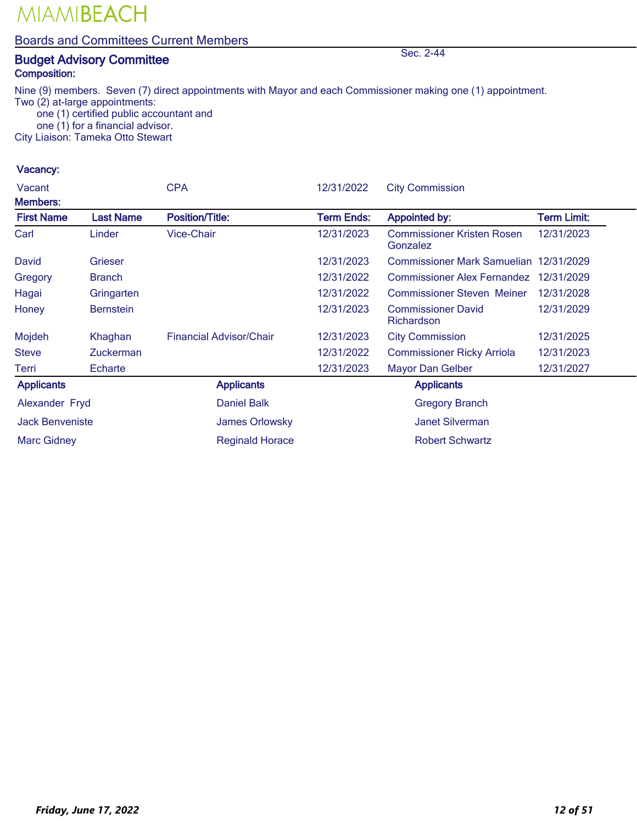#### Boards and Committees Current Members

## **Budget Advisory Committee Sec. 2-44** Sec. 2-44 Composition:

Nine (9) members. Seven (7) direct appointments with Mayor and each Commissioner making one (1) appointment. Two (2) at-large appointments:

 one (1) certified public accountant and one (1) for a financial advisor.

City Liaison: Tameka Otto Stewart

| Vacant                 |                  | <b>CPA</b>                     | 12/31/2022        | <b>City Commission</b>                        |                    |
|------------------------|------------------|--------------------------------|-------------------|-----------------------------------------------|--------------------|
| <b>Members:</b>        |                  |                                |                   |                                               |                    |
| <b>First Name</b>      | <b>Last Name</b> | <b>Position/Title:</b>         | <b>Term Ends:</b> | <b>Appointed by:</b>                          | <b>Term Limit:</b> |
| Carl                   | Linder           | <b>Vice-Chair</b>              | 12/31/2023        | <b>Commissioner Kristen Rosen</b><br>Gonzalez | 12/31/2023         |
| David                  | Grieser          |                                | 12/31/2023        | Commissioner Mark Samuelian 12/31/2029        |                    |
| Gregory                | <b>Branch</b>    |                                | 12/31/2022        | <b>Commissioner Alex Fernandez</b>            | 12/31/2029         |
| Hagai                  | Gringarten       |                                | 12/31/2022        | <b>Commissioner Steven Meiner</b>             | 12/31/2028         |
| Honey                  | <b>Bernstein</b> |                                | 12/31/2023        | <b>Commissioner David</b><br>Richardson       | 12/31/2029         |
| Mojdeh                 | Khaghan          | <b>Financial Advisor/Chair</b> | 12/31/2023        | <b>City Commission</b>                        | 12/31/2025         |
| <b>Steve</b>           | <b>Zuckerman</b> |                                | 12/31/2022        | <b>Commissioner Ricky Arriola</b>             | 12/31/2023         |
| Terri                  | Echarte          |                                | 12/31/2023        | <b>Mayor Dan Gelber</b>                       | 12/31/2027         |
| <b>Applicants</b>      |                  | <b>Applicants</b>              |                   | <b>Applicants</b>                             |                    |
| Alexander Fryd         |                  | <b>Daniel Balk</b>             |                   | <b>Gregory Branch</b>                         |                    |
| <b>Jack Benveniste</b> |                  | James Orlowsky                 |                   | <b>Janet Silverman</b>                        |                    |
| <b>Marc Gidney</b>     |                  | <b>Reginald Horace</b>         |                   | <b>Robert Schwartz</b>                        |                    |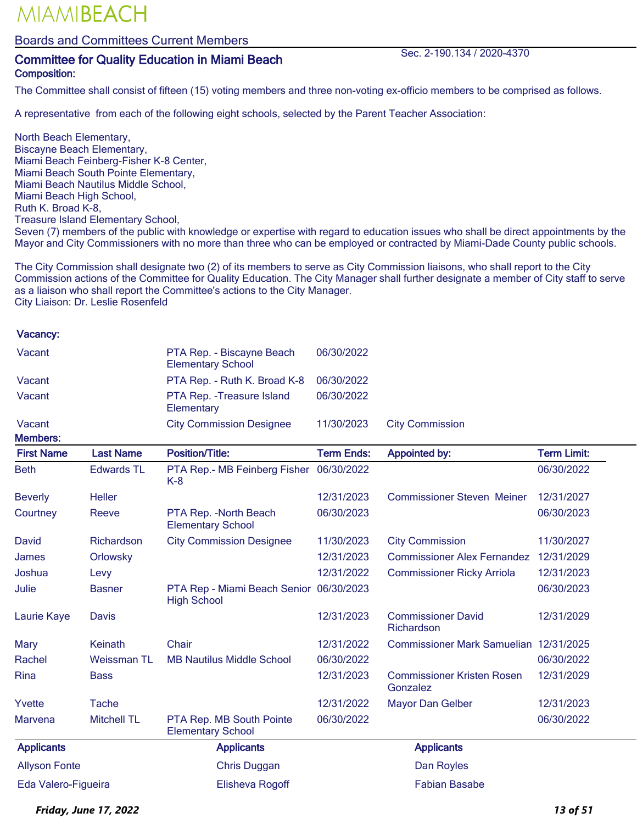Boards and Committees Current Members

### Committee for Quality Education in Miami Beach Sec. 2-190.134 / 2020-4370 Composition:

The Committee shall consist of fifteen (15) voting members and three non-voting ex-officio members to be comprised as follows.

A representative from each of the following eight schools, selected by the Parent Teacher Association:

North Beach Elementary, Biscayne Beach Elementary, Miami Beach Feinberg-Fisher K-8 Center, Miami Beach South Pointe Elementary, Miami Beach Nautilus Middle School, Miami Beach High School, Ruth K. Broad K-8, Treasure Island Elementary School, Seven (7) members of the public with knowledge or expertise with regard to education issues who shall be direct appointments by the Mayor and City Commissioners with no more than three who can be employed or contracted by Miami-Dade County public schools.

The City Commission shall designate two (2) of its members to serve as City Commission liaisons, who shall report to the City Commission actions of the Committee for Quality Education. The City Manager shall further designate a member of City staff to serve as a liaison who shall report the Committee's actions to the City Manager. City Liaison: Dr. Leslie Rosenfeld

#### Vacancy:

| Vacant                         | PTA Rep. - Biscayne Beach<br><b>Elementary School</b> | 06/30/2022 |                        |
|--------------------------------|-------------------------------------------------------|------------|------------------------|
| Vacant                         | PTA Rep. - Ruth K. Broad K-8                          | 06/30/2022 |                        |
| Vacant                         | PTA Rep. - Treasure Island<br>Elementary              | 06/30/2022 |                        |
| Vacant<br>Mamhare <sup>.</sup> | <b>City Commission Designee</b>                       | 11/30/2023 | <b>City Commission</b> |

| <b>First Name</b>    | <b>Last Name</b>   | <b>Position/Title:</b>                                        | <b>Term Ends:</b> | <b>Appointed by:</b>                          | <b>Term Limit:</b> |
|----------------------|--------------------|---------------------------------------------------------------|-------------------|-----------------------------------------------|--------------------|
| <b>Beth</b>          | <b>Edwards TL</b>  | PTA Rep.- MB Feinberg Fisher 06/30/2022<br>$K-8$              |                   |                                               | 06/30/2022         |
| <b>Beverly</b>       | <b>Heller</b>      |                                                               | 12/31/2023        | <b>Commissioner Steven Meiner</b>             | 12/31/2027         |
| Courtney             | Reeve              | PTA Rep. - North Beach<br><b>Elementary School</b>            | 06/30/2023        |                                               | 06/30/2023         |
| David                | Richardson         | <b>City Commission Designee</b>                               | 11/30/2023        | <b>City Commission</b>                        | 11/30/2027         |
| James                | Orlowsky           |                                                               | 12/31/2023        | <b>Commissioner Alex Fernandez</b>            | 12/31/2029         |
| Joshua               | Levy               |                                                               | 12/31/2022        | <b>Commissioner Ricky Arriola</b>             | 12/31/2023         |
| Julie                | <b>Basner</b>      | PTA Rep - Miami Beach Senior 06/30/2023<br><b>High School</b> |                   |                                               | 06/30/2023         |
| Laurie Kaye          | <b>Davis</b>       |                                                               | 12/31/2023        | <b>Commissioner David</b><br>Richardson       | 12/31/2029         |
| Mary                 | Keinath            | Chair                                                         | 12/31/2022        | Commissioner Mark Samuelian 12/31/2025        |                    |
| Rachel               | <b>Weissman TL</b> | <b>MB Nautilus Middle School</b>                              | 06/30/2022        |                                               | 06/30/2022         |
| Rina                 | <b>Bass</b>        |                                                               | 12/31/2023        | <b>Commissioner Kristen Rosen</b><br>Gonzalez | 12/31/2029         |
| Yvette               | Tache              |                                                               | 12/31/2022        | <b>Mayor Dan Gelber</b>                       | 12/31/2023         |
| <b>Marvena</b>       | <b>Mitchell TL</b> | PTA Rep. MB South Pointe<br><b>Elementary School</b>          | 06/30/2022        |                                               | 06/30/2022         |
| <b>Applicants</b>    |                    | <b>Applicants</b>                                             |                   | <b>Applicants</b>                             |                    |
| <b>Allyson Fonte</b> |                    | <b>Chris Duggan</b>                                           |                   | Dan Royles                                    |                    |
| Eda Valero-Figueira  |                    | Elisheva Rogoff                                               |                   | <b>Fabian Basabe</b>                          |                    |

*Friday, June 17, 2022 13 of 51*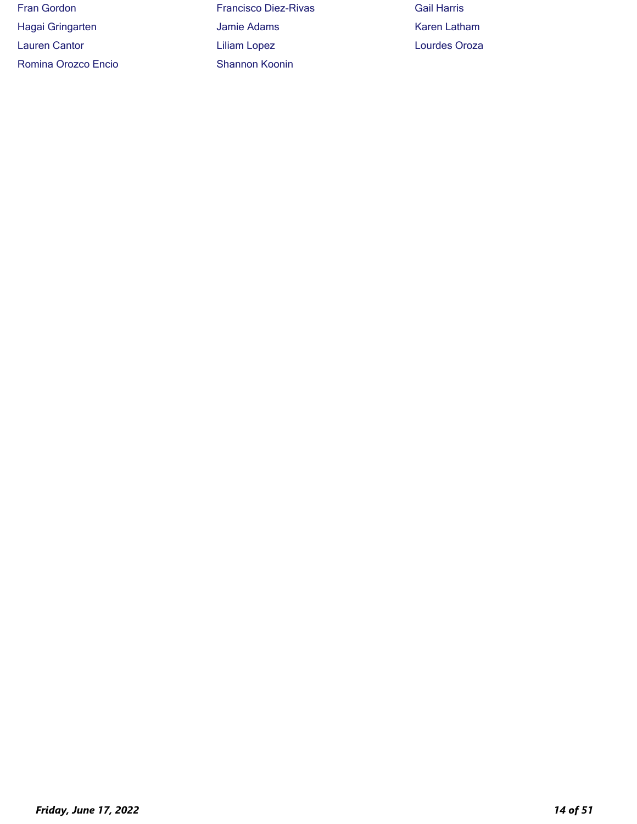| <b>Fran Gordon</b>   | <b>Francisco Diez-R</b> |
|----------------------|-------------------------|
| Hagai Gringarten     | Jamie Adams             |
| <b>Lauren Cantor</b> | Liliam Lopez            |
| Romina Orozco Encio  | Shannon Koonin          |

Francisco Diez-Rivas Gail Harris Jamie Adams **Karen Latham** Liliam Lopez **Lauren Cantor Lourdes Oroza**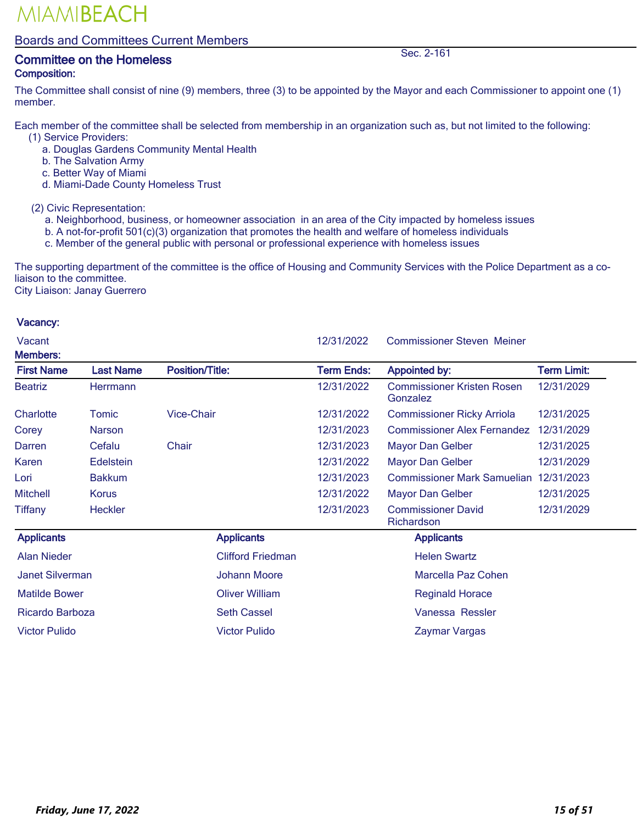#### Boards and Committees Current Members

### **Committee on the Homeless** Sec. 2-161 Composition:

The Committee shall consist of nine (9) members, three (3) to be appointed by the Mayor and each Commissioner to appoint one (1) member.

Each member of the committee shall be selected from membership in an organization such as, but not limited to the following:

- (1) Service Providers:
	- a. Douglas Gardens Community Mental Health
	- b. The Salvation Army
	- c. Better Way of Miami
	- d. Miami-Dade County Homeless Trust

(2) Civic Representation:

- a. Neighborhood, business, or homeowner association in an area of the City impacted by homeless issues
- b. A not-for-profit 501(c)(3) organization that promotes the health and welfare of homeless individuals
- c. Member of the general public with personal or professional experience with homeless issues

The supporting department of the committee is the office of Housing and Community Services with the Police Department as a coliaison to the committee.

City Liaison: Janay Guerrero

| Vacant<br><b>Members:</b> |                  |                          | 12/31/2022        | <b>Commissioner Steven Meiner</b>             |                    |
|---------------------------|------------------|--------------------------|-------------------|-----------------------------------------------|--------------------|
| <b>First Name</b>         | <b>Last Name</b> | <b>Position/Title:</b>   | <b>Term Ends:</b> | <b>Appointed by:</b>                          | <b>Term Limit:</b> |
| <b>Beatriz</b>            | Herrmann         |                          | 12/31/2022        | <b>Commissioner Kristen Rosen</b><br>Gonzalez | 12/31/2029         |
| Charlotte                 | Tomic            | <b>Vice-Chair</b>        | 12/31/2022        | <b>Commissioner Ricky Arriola</b>             | 12/31/2025         |
| Corey                     | <b>Narson</b>    |                          | 12/31/2023        | <b>Commissioner Alex Fernandez</b>            | 12/31/2029         |
| Darren                    | Cefalu           | Chair                    | 12/31/2023        | Mayor Dan Gelber                              | 12/31/2025         |
| <b>Karen</b>              | <b>Edelstein</b> |                          | 12/31/2022        | <b>Mayor Dan Gelber</b>                       | 12/31/2029         |
| Lori                      | <b>Bakkum</b>    |                          | 12/31/2023        | <b>Commissioner Mark Samuelian</b>            | 12/31/2023         |
| <b>Mitchell</b>           | Korus            |                          | 12/31/2022        | Mayor Dan Gelber                              | 12/31/2025         |
| <b>Tiffany</b>            | <b>Heckler</b>   |                          | 12/31/2023        | <b>Commissioner David</b><br>Richardson       | 12/31/2029         |
| <b>Applicants</b>         |                  | <b>Applicants</b>        |                   | <b>Applicants</b>                             |                    |
| <b>Alan Nieder</b>        |                  | <b>Clifford Friedman</b> |                   | <b>Helen Swartz</b>                           |                    |
| <b>Janet Silverman</b>    |                  | <b>Johann Moore</b>      |                   | Marcella Paz Cohen                            |                    |
| <b>Matilde Bower</b>      |                  | <b>Oliver William</b>    |                   | <b>Reginald Horace</b>                        |                    |
| Ricardo Barboza           |                  | <b>Seth Cassel</b>       |                   | Vanessa Ressler                               |                    |
| <b>Victor Pulido</b>      |                  | <b>Victor Pulido</b>     |                   | Zavmar Vargas                                 |                    |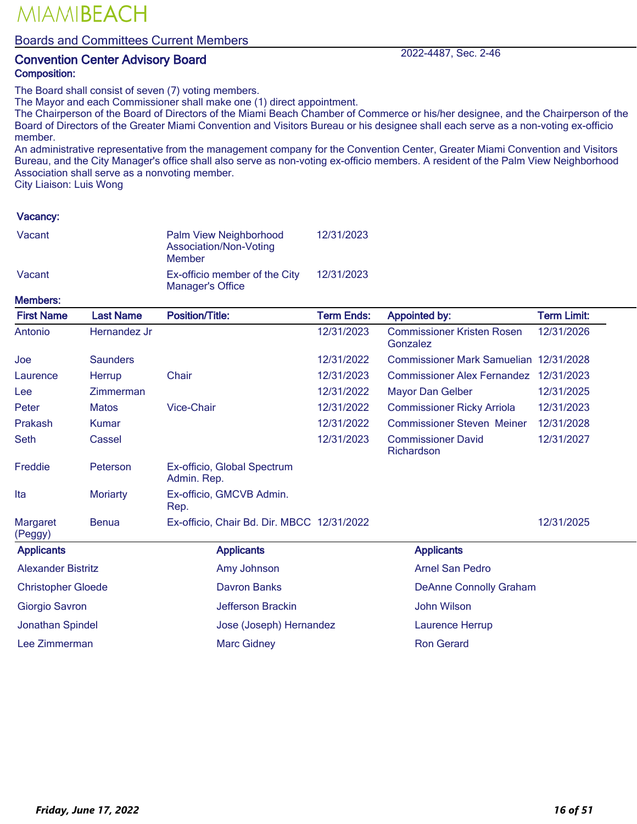#### Boards and Committees Current Members

### **Convention Center Advisory Board 2022-4487, Sec. 2-46** Composition:

The Board shall consist of seven (7) voting members.

The Mayor and each Commissioner shall make one (1) direct appointment.

The Chairperson of the Board of Directors of the Miami Beach Chamber of Commerce or his/her designee, and the Chairperson of the Board of Directors of the Greater Miami Convention and Visitors Bureau or his designee shall each serve as a non-voting ex-officio member.

An administrative representative from the management company for the Convention Center, Greater Miami Convention and Visitors Bureau, and the City Manager's office shall also serve as non-voting ex-officio members. A resident of the Palm View Neighborhood Association shall serve as a nonvoting member.

City Liaison: Luis Wong

#### Vacancy:

| Vacant | Palm View Neighborhood<br>Association/Non-Voting<br>Member | 12/31/2023 |
|--------|------------------------------------------------------------|------------|
| Vacant | Ex-officio member of the City<br>Manager's Office          | 12/31/2023 |

Members:

| .כ וסיטו וסיא             |                  |                                            |                   |                                               |                    |
|---------------------------|------------------|--------------------------------------------|-------------------|-----------------------------------------------|--------------------|
| <b>First Name</b>         | <b>Last Name</b> | <b>Position/Title:</b>                     | <b>Term Ends:</b> | <b>Appointed by:</b>                          | <b>Term Limit:</b> |
| Antonio                   | Hernandez Jr     |                                            | 12/31/2023        | <b>Commissioner Kristen Rosen</b><br>Gonzalez | 12/31/2026         |
| Joe                       | <b>Saunders</b>  |                                            | 12/31/2022        | Commissioner Mark Samuelian 12/31/2028        |                    |
| Laurence                  | Herrup           | Chair                                      | 12/31/2023        | <b>Commissioner Alex Fernandez</b>            | 12/31/2023         |
| Lee                       | <b>Zimmerman</b> |                                            | 12/31/2022        | <b>Mayor Dan Gelber</b>                       | 12/31/2025         |
| Peter                     | <b>Matos</b>     | <b>Vice-Chair</b>                          | 12/31/2022        | <b>Commissioner Ricky Arriola</b>             | 12/31/2023         |
| Prakash                   | <b>Kumar</b>     |                                            | 12/31/2022        | <b>Commissioner Steven Meiner</b>             | 12/31/2028         |
| Seth                      | Cassel           |                                            | 12/31/2023        | <b>Commissioner David</b><br>Richardson       | 12/31/2027         |
| Freddie                   | Peterson         | Ex-officio, Global Spectrum<br>Admin. Rep. |                   |                                               |                    |
| Ita                       | <b>Moriarty</b>  | Ex-officio, GMCVB Admin.<br>Rep.           |                   |                                               |                    |
| Margaret<br>(Peggy)       | <b>Benua</b>     | Ex-officio, Chair Bd. Dir. MBCC 12/31/2022 |                   |                                               | 12/31/2025         |
| <b>Applicants</b>         |                  | <b>Applicants</b>                          |                   | <b>Applicants</b>                             |                    |
| <b>Alexander Bistritz</b> |                  | Amy Johnson                                |                   | <b>Arnel San Pedro</b>                        |                    |
| <b>Christopher Gloede</b> |                  | <b>Davron Banks</b>                        |                   | <b>DeAnne Connolly Graham</b>                 |                    |
| <b>Giorgio Savron</b>     |                  | Jefferson Brackin                          |                   | <b>John Wilson</b>                            |                    |
| <b>Jonathan Spindel</b>   |                  | Jose (Joseph) Hernandez                    |                   | Laurence Herrup                               |                    |
| Lee Zimmerman             |                  | <b>Marc Gidney</b>                         |                   | <b>Ron Gerard</b>                             |                    |
|                           |                  |                                            |                   |                                               |                    |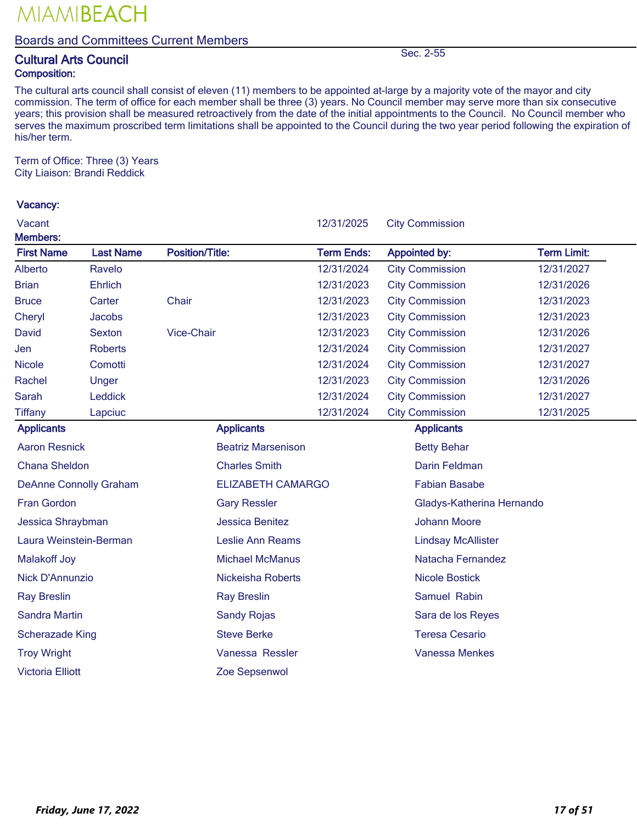### Boards and Committees Current Members

## **Cultural Arts Council** Sec. 2-55 Composition:

The cultural arts council shall consist of eleven (11) members to be appointed at-large by a majority vote of the mayor and city commission. The term of office for each member shall be three (3) years. No Council member may serve more than six consecutive years; this provision shall be measured retroactively from the date of the initial appointments to the Council. No Council member who serves the maximum proscribed term limitations shall be appointed to the Council during the two year period following the expiration of his/her term.

Term of Office: Three (3) Years City Liaison: Brandi Reddick

| Vacant                               |                  |                           | 12/31/2025        | <b>City Commission</b>    |                    |  |
|--------------------------------------|------------------|---------------------------|-------------------|---------------------------|--------------------|--|
| <b>Members:</b><br><b>First Name</b> | <b>Last Name</b> | <b>Position/Title:</b>    | <b>Term Ends:</b> | <b>Appointed by:</b>      | <b>Term Limit:</b> |  |
| <b>Alberto</b>                       | Ravelo           |                           | 12/31/2024        | <b>City Commission</b>    | 12/31/2027         |  |
| <b>Brian</b>                         | <b>Ehrlich</b>   |                           | 12/31/2023        | <b>City Commission</b>    | 12/31/2026         |  |
| <b>Bruce</b>                         | Carter           | Chair                     | 12/31/2023        | <b>City Commission</b>    | 12/31/2023         |  |
| Cheryl                               | <b>Jacobs</b>    |                           | 12/31/2023        | <b>City Commission</b>    | 12/31/2023         |  |
| <b>David</b>                         | <b>Sexton</b>    | <b>Vice-Chair</b>         | 12/31/2023        | <b>City Commission</b>    | 12/31/2026         |  |
| Jen                                  | <b>Roberts</b>   |                           | 12/31/2024        | <b>City Commission</b>    | 12/31/2027         |  |
| <b>Nicole</b>                        | Comotti          |                           | 12/31/2024        | <b>City Commission</b>    | 12/31/2027         |  |
| Rachel                               | Unger            |                           | 12/31/2023        | <b>City Commission</b>    | 12/31/2026         |  |
| <b>Sarah</b>                         | Leddick          |                           | 12/31/2024        | <b>City Commission</b>    | 12/31/2027         |  |
| <b>Tiffany</b>                       | Lapciuc          |                           | 12/31/2024        | <b>City Commission</b>    | 12/31/2025         |  |
| <b>Applicants</b>                    |                  | <b>Applicants</b>         |                   | <b>Applicants</b>         |                    |  |
| <b>Aaron Resnick</b>                 |                  | <b>Beatriz Marsenison</b> |                   | <b>Betty Behar</b>        |                    |  |
| <b>Chana Sheldon</b>                 |                  | <b>Charles Smith</b>      |                   | Darin Feldman             |                    |  |
| <b>DeAnne Connolly Graham</b>        |                  | <b>ELIZABETH CAMARGO</b>  |                   | <b>Fabian Basabe</b>      |                    |  |
| Fran Gordon                          |                  | <b>Gary Ressler</b>       |                   | Gladys-Katherina Hernando |                    |  |
| Jessica Shraybman                    |                  | <b>Jessica Benitez</b>    |                   | <b>Johann Moore</b>       |                    |  |
| Laura Weinstein-Berman               |                  | Leslie Ann Reams          |                   | <b>Lindsay McAllister</b> |                    |  |
| <b>Malakoff Joy</b>                  |                  | <b>Michael McManus</b>    |                   | Natacha Fernandez         |                    |  |
| <b>Nick D'Annunzio</b>               |                  | <b>Nickeisha Roberts</b>  |                   | <b>Nicole Bostick</b>     |                    |  |
| <b>Ray Breslin</b>                   |                  | <b>Ray Breslin</b>        |                   | Samuel Rabin              |                    |  |
| Sandra Martin                        |                  | <b>Sandy Rojas</b>        |                   | Sara de los Reyes         |                    |  |
| <b>Scherazade King</b>               |                  | <b>Steve Berke</b>        |                   | <b>Teresa Cesario</b>     |                    |  |
| <b>Troy Wright</b>                   |                  | Vanessa Ressler           |                   | <b>Vanessa Menkes</b>     |                    |  |
| <b>Victoria Elliott</b>              |                  | Zoe Sepsenwol             |                   |                           |                    |  |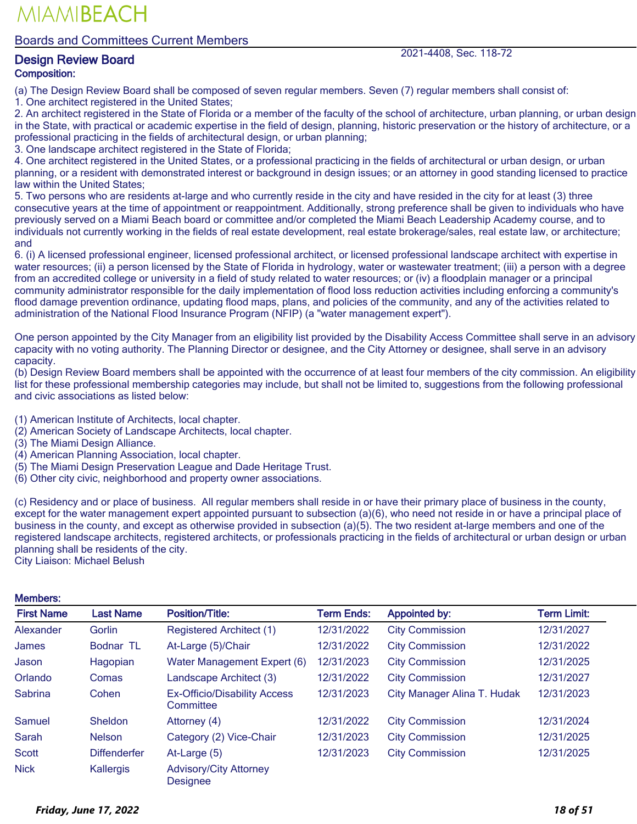Boards and Committees Current Members

### **Design Review Board 2021-4408, Sec. 118-72** Composition:

MIAMIBEACH

(a) The Design Review Board shall be composed of seven regular members. Seven (7) regular members shall consist of:

1. One architect registered in the United States;

2. An architect registered in the State of Florida or a member of the faculty of the school of architecture, urban planning, or urban design in the State, with practical or academic expertise in the field of design, planning, historic preservation or the history of architecture, or a professional practicing in the fields of architectural design, or urban planning;

3. One landscape architect registered in the State of Florida;

4. One architect registered in the United States, or a professional practicing in the fields of architectural or urban design, or urban planning, or a resident with demonstrated interest or background in design issues; or an attorney in good standing licensed to practice law within the United States;

5. Two persons who are residents at-large and who currently reside in the city and have resided in the city for at least (3) three consecutive years at the time of appointment or reappointment. Additionally, strong preference shall be given to individuals who have previously served on a Miami Beach board or committee and/or completed the Miami Beach Leadership Academy course, and to individuals not currently working in the fields of real estate development, real estate brokerage/sales, real estate law, or architecture; and

6. (i) A licensed professional engineer, licensed professional architect, or licensed professional landscape architect with expertise in water resources; (ii) a person licensed by the State of Florida in hydrology, water or wastewater treatment; (iii) a person with a degree from an accredited college or university in a field of study related to water resources; or (iv) a floodplain manager or a principal community administrator responsible for the daily implementation of flood loss reduction activities including enforcing a community's flood damage prevention ordinance, updating flood maps, plans, and policies of the community, and any of the activities related to administration of the National Flood Insurance Program (NFIP) (a "water management expert").

One person appointed by the City Manager from an eligibility list provided by the Disability Access Committee shall serve in an advisory capacity with no voting authority. The Planning Director or designee, and the City Attorney or designee, shall serve in an advisory capacity.

(b) Design Review Board members shall be appointed with the occurrence of at least four members of the city commission. An eligibility list for these professional membership categories may include, but shall not be limited to, suggestions from the following professional and civic associations as listed below:

(1) American Institute of Architects, local chapter.

- (2) American Society of Landscape Architects, local chapter.
- (3) The Miami Design Alliance.
- (4) American Planning Association, local chapter.
- (5) The Miami Design Preservation League and Dade Heritage Trust.
- (6) Other city civic, neighborhood and property owner associations.

(c) Residency and or place of business. All regular members shall reside in or have their primary place of business in the county, except for the water management expert appointed pursuant to subsection (a)(6), who need not reside in or have a principal place of business in the county, and except as otherwise provided in subsection (a)(5). The two resident at-large members and one of the registered landscape architects, registered architects, or professionals practicing in the fields of architectural or urban design or urban planning shall be residents of the city.

City Liaison: Michael Belush

| <b>First Name</b> | <b>Last Name</b>    | <b>Position/Title:</b>                           | <b>Term Ends:</b> | <b>Appointed by:</b>        | <b>Term Limit:</b> |
|-------------------|---------------------|--------------------------------------------------|-------------------|-----------------------------|--------------------|
| <b>Alexander</b>  | Gorlin              | <b>Registered Architect (1)</b>                  | 12/31/2022        | <b>City Commission</b>      | 12/31/2027         |
| James             | Bodnar TL           | At-Large (5)/Chair                               | 12/31/2022        | <b>City Commission</b>      | 12/31/2022         |
| Jason             | Hagopian            | Water Management Expert (6)                      | 12/31/2023        | <b>City Commission</b>      | 12/31/2025         |
| Orlando           | Comas               | Landscape Architect (3)                          | 12/31/2022        | <b>City Commission</b>      | 12/31/2027         |
| <b>Sabrina</b>    | Cohen               | <b>Ex-Officio/Disability Access</b><br>Committee | 12/31/2023        | City Manager Alina T. Hudak | 12/31/2023         |
| <b>Samuel</b>     | Sheldon             | Attorney (4)                                     | 12/31/2022        | <b>City Commission</b>      | 12/31/2024         |
| <b>Sarah</b>      | <b>Nelson</b>       | Category (2) Vice-Chair                          | 12/31/2023        | <b>City Commission</b>      | 12/31/2025         |
| <b>Scott</b>      | <b>Diffenderfer</b> | At-Large (5)                                     | 12/31/2023        | <b>City Commission</b>      | 12/31/2025         |
| <b>Nick</b>       | Kallergis           | <b>Advisory/City Attorney</b><br><b>Designee</b> |                   |                             |                    |

#### Mamhare<sup>.</sup>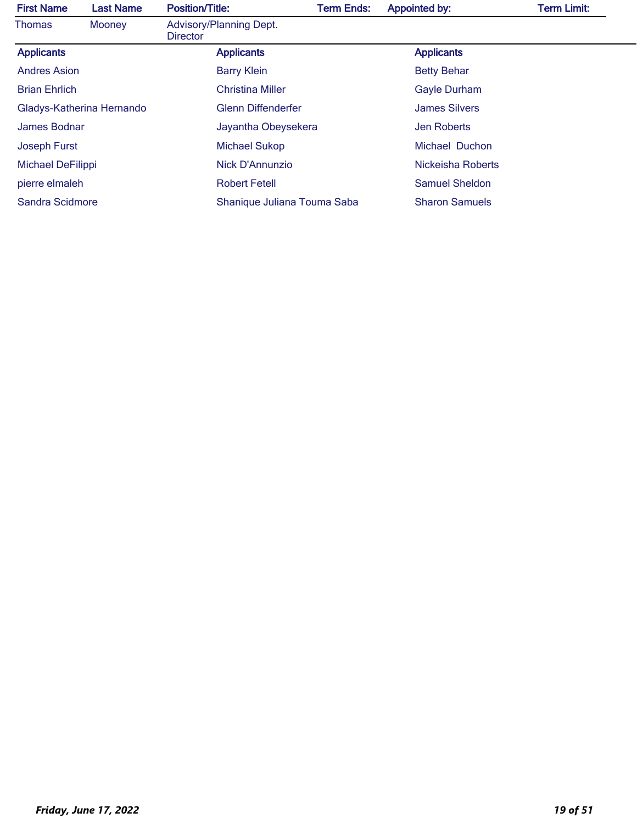| <b>First Name</b>    | <b>Last Name</b>          | <b>Position/Title:</b>                     | <b>Term Ends:</b> | <b>Appointed by:</b>  | <b>Term Limit:</b> |
|----------------------|---------------------------|--------------------------------------------|-------------------|-----------------------|--------------------|
| <b>Thomas</b>        | Mooney                    | Advisory/Planning Dept.<br><b>Director</b> |                   |                       |                    |
| <b>Applicants</b>    |                           | <b>Applicants</b>                          |                   | <b>Applicants</b>     |                    |
| <b>Andres Asion</b>  |                           | <b>Barry Klein</b>                         |                   | <b>Betty Behar</b>    |                    |
| <b>Brian Ehrlich</b> |                           | <b>Christina Miller</b>                    |                   | <b>Gayle Durham</b>   |                    |
|                      | Gladys-Katherina Hernando | <b>Glenn Diffenderfer</b>                  |                   | <b>James Silvers</b>  |                    |
| James Bodnar         |                           | Jayantha Obeysekera                        |                   | <b>Jen Roberts</b>    |                    |
| <b>Joseph Furst</b>  |                           | <b>Michael Sukop</b>                       |                   | Michael Duchon        |                    |
| Michael DeFilippi    |                           | Nick D'Annunzio                            |                   | Nickeisha Roberts     |                    |
| pierre elmaleh       |                           | <b>Robert Fetell</b>                       |                   | <b>Samuel Sheldon</b> |                    |
| Sandra Scidmore      |                           | Shanique Juliana Touma Saba                |                   | <b>Sharon Samuels</b> |                    |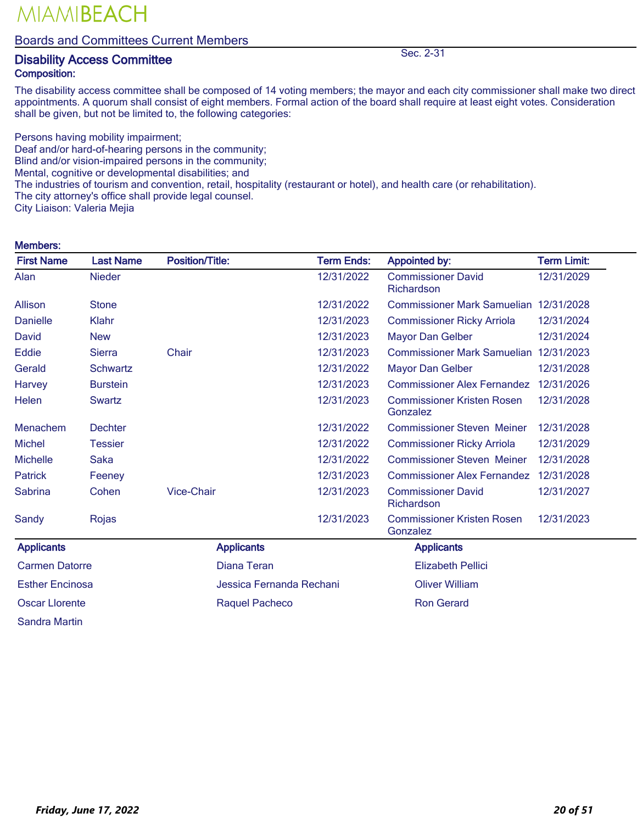#### Boards and Committees Current Members

### **Disability Access Committee Sec. 2-31** Composition:

The disability access committee shall be composed of 14 voting members; the mayor and each city commissioner shall make two direct appointments. A quorum shall consist of eight members. Formal action of the board shall require at least eight votes. Consideration shall be given, but not be limited to, the following categories:

Persons having mobility impairment; Deaf and/or hard-of-hearing persons in the community; Blind and/or vision-impaired persons in the community; Mental, cognitive or developmental disabilities; and The industries of tourism and convention, retail, hospitality (restaurant or hotel), and health care (or rehabilitation). The city attorney's office shall provide legal counsel. City Liaison: Valeria Mejia

#### Members:

| <b>First Name</b>      | <b>Last Name</b> | <b>Position/Title:</b>   | <b>Term Ends:</b> | <b>Appointed by:</b>                          | <b>Term Limit:</b> |
|------------------------|------------------|--------------------------|-------------------|-----------------------------------------------|--------------------|
| Alan                   | <b>Nieder</b>    |                          | 12/31/2022        | <b>Commissioner David</b><br>Richardson       | 12/31/2029         |
| Allison                | <b>Stone</b>     |                          | 12/31/2022        | Commissioner Mark Samuelian 12/31/2028        |                    |
| <b>Danielle</b>        | Klahr            |                          | 12/31/2023        | <b>Commissioner Ricky Arriola</b>             | 12/31/2024         |
| David                  | <b>New</b>       |                          | 12/31/2023        | <b>Mayor Dan Gelber</b>                       | 12/31/2024         |
| Eddie                  | <b>Sierra</b>    | Chair                    | 12/31/2023        | <b>Commissioner Mark Samuelian</b>            | 12/31/2023         |
| Gerald                 | <b>Schwartz</b>  |                          | 12/31/2022        | <b>Mayor Dan Gelber</b>                       | 12/31/2028         |
| Harvey                 | <b>Burstein</b>  |                          | 12/31/2023        | <b>Commissioner Alex Fernandez</b>            | 12/31/2026         |
| Helen                  | <b>Swartz</b>    |                          | 12/31/2023        | <b>Commissioner Kristen Rosen</b><br>Gonzalez | 12/31/2028         |
| Menachem               | <b>Dechter</b>   |                          | 12/31/2022        | <b>Commissioner Steven Meiner</b>             | 12/31/2028         |
| <b>Michel</b>          | Tessier          |                          | 12/31/2022        | <b>Commissioner Ricky Arriola</b>             | 12/31/2029         |
| <b>Michelle</b>        | <b>Saka</b>      |                          | 12/31/2022        | <b>Commissioner Steven Meiner</b>             | 12/31/2028         |
| <b>Patrick</b>         | Feeney           |                          | 12/31/2023        | <b>Commissioner Alex Fernandez</b>            | 12/31/2028         |
| Sabrina                | Cohen            | <b>Vice-Chair</b>        | 12/31/2023        | <b>Commissioner David</b><br>Richardson       | 12/31/2027         |
| Sandy                  | Rojas            |                          | 12/31/2023        | <b>Commissioner Kristen Rosen</b><br>Gonzalez | 12/31/2023         |
| <b>Applicants</b>      |                  | <b>Applicants</b>        |                   | <b>Applicants</b>                             |                    |
| <b>Carmen Datorre</b>  |                  | Diana Teran              |                   | <b>Elizabeth Pellici</b>                      |                    |
| <b>Esther Encinosa</b> |                  | Jessica Fernanda Rechani |                   | <b>Oliver William</b>                         |                    |
| <b>Oscar Llorente</b>  |                  | <b>Raquel Pacheco</b>    |                   | <b>Ron Gerard</b>                             |                    |
| <b>Sandra Martin</b>   |                  |                          |                   |                                               |                    |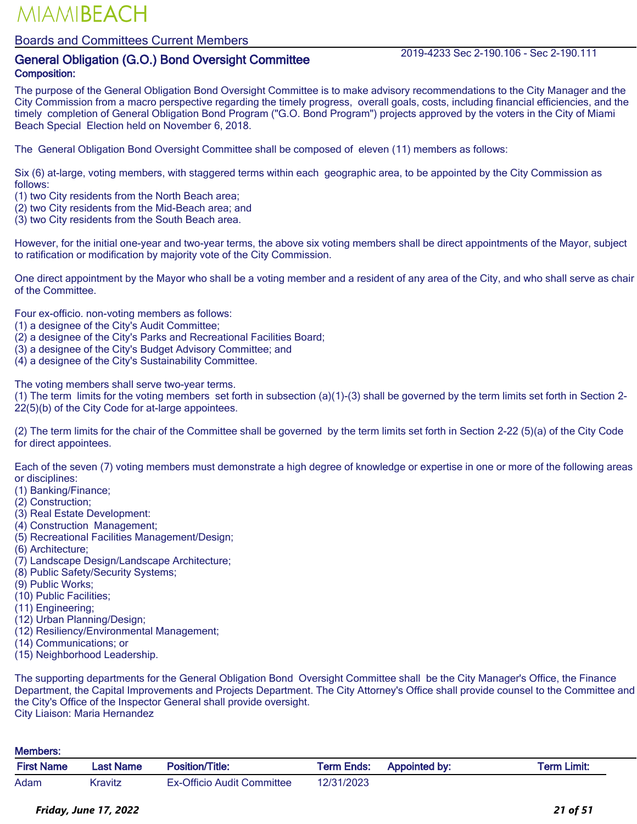### Boards and Committees Current Members

## General Obligation (G.O.) Bond Oversight Committee 2019-4233 Sec 2-190.106 - Sec 2-190.111 Composition:

The purpose of the General Obligation Bond Oversight Committee is to make advisory recommendations to the City Manager and the City Commission from a macro perspective regarding the timely progress, overall goals, costs, including financial efficiencies, and the timely completion of General Obligation Bond Program ("G.O. Bond Program") projects approved by the voters in the City of Miami Beach Special Election held on November 6, 2018.

The General Obligation Bond Oversight Committee shall be composed of eleven (11) members as follows:

Six (6) at-large, voting members, with staggered terms within each geographic area, to be appointed by the City Commission as follows:

- (1) two City residents from the North Beach area;
- (2) two City residents from the Mid-Beach area; and
- (3) two City residents from the South Beach area.

However, for the initial one-year and two-year terms, the above six voting members shall be direct appointments of the Mayor, subject to ratification or modification by majority vote of the City Commission.

One direct appointment by the Mayor who shall be a voting member and a resident of any area of the City, and who shall serve as chair of the Committee.

Four ex-officio. non-voting members as follows:

- (1) a designee of the City's Audit Committee;
- (2) a designee of the City's Parks and Recreational Facilities Board;
- (3) a designee of the City's Budget Advisory Committee; and
- (4) a designee of the City's Sustainability Committee.

The voting members shall serve two-year terms.

(1) The term limits for the voting members set forth in subsection (a)(1)-(3) shall be governed by the term limits set forth in Section 2- 22(5)(b) of the City Code for at-large appointees.

(2) The term limits for the chair of the Committee shall be governed by the term limits set forth in Section 2-22 (5)(a) of the City Code for direct appointees.

Each of the seven (7) voting members must demonstrate a high degree of knowledge or expertise in one or more of the following areas or disciplines:

- (1) Banking/Finance;
- (2) Construction;
- (3) Real Estate Development:
- (4) Construction Management;
- (5) Recreational Facilities Management/Design;
- (6) Architecture;
- (7) Landscape Design/Landscape Architecture;
- (8) Public Safety/Security Systems;
- (9) Public Works;
- (10) Public Facilities;
- (11) Engineering;
- (12) Urban Planning/Design;
- (12) Resiliency/Environmental Management;
- (14) Communications; or
- (15) Neighborhood Leadership.

The supporting departments for the General Obligation Bond Oversight Committee shall be the City Manager's Office, the Finance Department, the Capital Improvements and Projects Department. The City Attorney's Office shall provide counsel to the Committee and the City's Office of the Inspector General shall provide oversight. City Liaison: Maria Hernandez

#### Members:

| <b>First Name</b> | Last Name | <b>Position/Title:</b>            | Term Ends: | <b>Appointed by:</b> | Term Limit: |
|-------------------|-----------|-----------------------------------|------------|----------------------|-------------|
| Adam              | Kravitz   | <b>Ex-Officio Audit Committee</b> | 12/31/2023 |                      |             |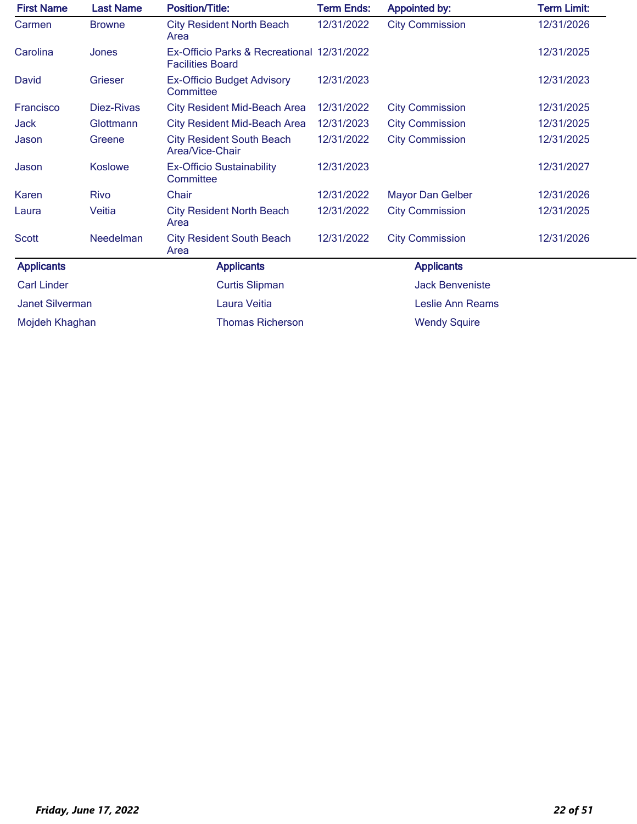| <b>First Name</b>      | <b>Last Name</b> | <b>Position/Title:</b>                                                | <b>Term Ends:</b> | <b>Appointed by:</b>    | <b>Term Limit:</b> |
|------------------------|------------------|-----------------------------------------------------------------------|-------------------|-------------------------|--------------------|
| Carmen                 | <b>Browne</b>    | <b>City Resident North Beach</b><br>Area                              | 12/31/2022        | <b>City Commission</b>  | 12/31/2026         |
| Carolina               | Jones            | Ex-Officio Parks & Recreational 12/31/2022<br><b>Facilities Board</b> |                   |                         | 12/31/2025         |
| David                  | Grieser          | <b>Ex-Officio Budget Advisory</b><br>Committee                        | 12/31/2023        |                         | 12/31/2023         |
| Francisco              | Diez-Rivas       | <b>City Resident Mid-Beach Area</b>                                   | 12/31/2022        | <b>City Commission</b>  | 12/31/2025         |
| Jack                   | Glottmann        | <b>City Resident Mid-Beach Area</b>                                   | 12/31/2023        | <b>City Commission</b>  | 12/31/2025         |
| Jason                  | Greene           | <b>City Resident South Beach</b><br>Area/Vice-Chair                   | 12/31/2022        | <b>City Commission</b>  | 12/31/2025         |
| Jason                  | <b>Koslowe</b>   | <b>Ex-Officio Sustainability</b><br>Committee                         | 12/31/2023        |                         | 12/31/2027         |
| Karen                  | <b>Rivo</b>      | Chair                                                                 | 12/31/2022        | <b>Mayor Dan Gelber</b> | 12/31/2026         |
| Laura                  | Veitia           | <b>City Resident North Beach</b><br>Area                              | 12/31/2022        | <b>City Commission</b>  | 12/31/2025         |
| <b>Scott</b>           | Needelman        | <b>City Resident South Beach</b><br>Area                              | 12/31/2022        | <b>City Commission</b>  | 12/31/2026         |
| <b>Applicants</b>      |                  | <b>Applicants</b>                                                     |                   | <b>Applicants</b>       |                    |
| <b>Carl Linder</b>     |                  | <b>Curtis Slipman</b>                                                 |                   | <b>Jack Benveniste</b>  |                    |
| <b>Janet Silverman</b> |                  | Laura Veitia                                                          |                   | <b>Leslie Ann Reams</b> |                    |
| Mojdeh Khaghan         |                  | <b>Thomas Richerson</b>                                               |                   | <b>Wendy Squire</b>     |                    |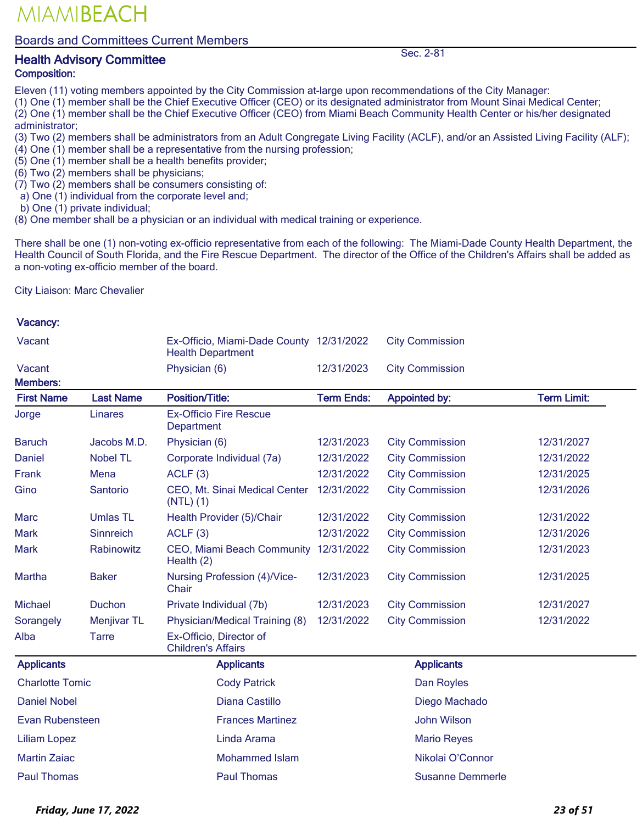#### Boards and Committees Current Members

### Health Advisory Committee Sec. 2-81 Composition:

Eleven (11) voting members appointed by the City Commission at-large upon recommendations of the City Manager:

(1) One (1) member shall be the Chief Executive Officer (CEO) or its designated administrator from Mount Sinai Medical Center;

(2) One (1) member shall be the Chief Executive Officer (CEO) from Miami Beach Community Health Center or his/her designated administrator;

- (3) Two (2) members shall be administrators from an Adult Congregate Living Facility (ACLF), and/or an Assisted Living Facility (ALF);
- (4) One (1) member shall be a representative from the nursing profession;
- $(5)$  One  $(1)$  member shall be a health benefits provider;
- (6) Two (2) members shall be physicians;
- (7) Two (2) members shall be consumers consisting of:
- a) One (1) individual from the corporate level and;
- b) One (1) private individual;
- (8) One member shall be a physician or an individual with medical training or experience.

There shall be one (1) non-voting ex-officio representative from each of the following: The Miami-Dade County Health Department, the Health Council of South Florida, and the Fire Rescue Department. The director of the Office of the Children's Affairs shall be added as a non-voting ex-officio member of the board.

City Liaison: Marc Chevalier

#### Vacancy:

| Vacant                 |                    | Ex-Officio, Miami-Dade County 12/31/2022<br><b>Health Department</b> |                   | <b>City Commission</b>  |                    |
|------------------------|--------------------|----------------------------------------------------------------------|-------------------|-------------------------|--------------------|
| Vacant                 |                    | Physician (6)                                                        | 12/31/2023        | <b>City Commission</b>  |                    |
| <b>Members:</b>        |                    |                                                                      |                   |                         |                    |
| <b>First Name</b>      | <b>Last Name</b>   | <b>Position/Title:</b>                                               | <b>Term Ends:</b> | <b>Appointed by:</b>    | <b>Term Limit:</b> |
| Jorge                  | <b>Linares</b>     | <b>Ex-Officio Fire Rescue</b><br>Department                          |                   |                         |                    |
| <b>Baruch</b>          | Jacobs M.D.        | Physician (6)                                                        | 12/31/2023        | <b>City Commission</b>  | 12/31/2027         |
| Daniel                 | <b>Nobel TL</b>    | Corporate Individual (7a)                                            | 12/31/2022        | <b>City Commission</b>  | 12/31/2022         |
| Frank                  | Mena               | ACLF(3)                                                              | 12/31/2022        | <b>City Commission</b>  | 12/31/2025         |
| Gino                   | Santorio           | CEO, Mt. Sinai Medical Center<br>$(NTL)$ $(1)$                       | 12/31/2022        | <b>City Commission</b>  | 12/31/2026         |
| <b>Marc</b>            | <b>Umlas TL</b>    | Health Provider (5)/Chair                                            | 12/31/2022        | <b>City Commission</b>  | 12/31/2022         |
| <b>Mark</b>            | Sinnreich          | ACLF(3)                                                              | 12/31/2022        | <b>City Commission</b>  | 12/31/2026         |
| <b>Mark</b>            | Rabinowitz         | CEO, Miami Beach Community<br>Health $(2)$                           | 12/31/2022        | <b>City Commission</b>  | 12/31/2023         |
| Martha                 | <b>Baker</b>       | Nursing Profession (4)/Vice-<br>Chair                                | 12/31/2023        | <b>City Commission</b>  | 12/31/2025         |
| <b>Michael</b>         | Duchon             | Private Individual (7b)                                              | 12/31/2023        | <b>City Commission</b>  | 12/31/2027         |
| Sorangely              | <b>Menjivar TL</b> | Physician/Medical Training (8)                                       | 12/31/2022        | <b>City Commission</b>  | 12/31/2022         |
| Alba                   | <b>Tarre</b>       | Ex-Officio, Director of<br><b>Children's Affairs</b>                 |                   |                         |                    |
| <b>Applicants</b>      |                    | <b>Applicants</b>                                                    |                   | <b>Applicants</b>       |                    |
| <b>Charlotte Tomic</b> |                    | <b>Cody Patrick</b>                                                  |                   | Dan Royles              |                    |
| <b>Daniel Nobel</b>    |                    | Diana Castillo                                                       |                   | Diego Machado           |                    |
| Evan Rubensteen        |                    | <b>Frances Martinez</b>                                              |                   | <b>John Wilson</b>      |                    |
| <b>Liliam Lopez</b>    |                    | Linda Arama                                                          |                   | <b>Mario Reyes</b>      |                    |
| <b>Martin Zaiac</b>    |                    | <b>Mohammed Islam</b>                                                |                   | Nikolai O'Connor        |                    |
| <b>Paul Thomas</b>     |                    | <b>Paul Thomas</b>                                                   |                   | <b>Susanne Demmerle</b> |                    |

*Friday, June 17, 2022 23 of 51*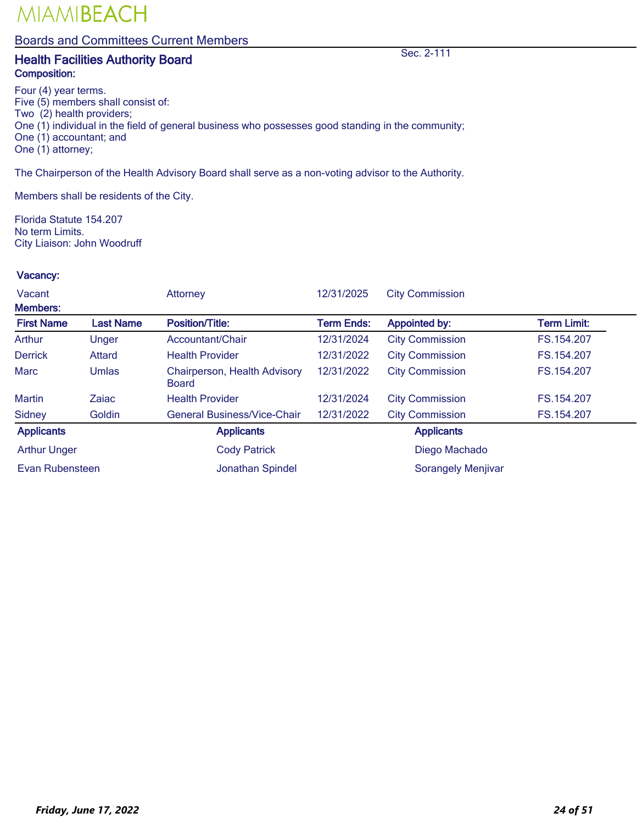### Boards and Committees Current Members

## **Health Facilities Authority Board Sec. 2-111** Composition:

Four (4) year terms. Five (5) members shall consist of: Two (2) health providers; One (1) individual in the field of general business who possesses good standing in the community; One (1) accountant; and One (1) attorney;

The Chairperson of the Health Advisory Board shall serve as a non-voting advisor to the Authority.

Members shall be residents of the City.

Florida Statute 154.207 No term Limits. City Liaison: John Woodruff

| Vacant              |                  | <b>Attorney</b>                              | 12/31/2025        | <b>City Commission</b>    |                    |
|---------------------|------------------|----------------------------------------------|-------------------|---------------------------|--------------------|
| <b>Members:</b>     |                  |                                              |                   |                           |                    |
| <b>First Name</b>   | <b>Last Name</b> | <b>Position/Title:</b>                       | <b>Term Ends:</b> | <b>Appointed by:</b>      | <b>Term Limit:</b> |
| Arthur              | Unger            | Accountant/Chair                             | 12/31/2024        | <b>City Commission</b>    | FS.154.207         |
| <b>Derrick</b>      | <b>Attard</b>    | <b>Health Provider</b>                       | 12/31/2022        | <b>City Commission</b>    | FS.154.207         |
| <b>Marc</b>         | Umlas            | Chairperson, Health Advisory<br><b>Board</b> | 12/31/2022        | <b>City Commission</b>    | FS.154.207         |
| <b>Martin</b>       | Zaiac            | <b>Health Provider</b>                       | 12/31/2024        | <b>City Commission</b>    | FS.154.207         |
| <b>Sidney</b>       | Goldin           | <b>General Business/Vice-Chair</b>           | 12/31/2022        | <b>City Commission</b>    | FS.154.207         |
| <b>Applicants</b>   |                  | <b>Applicants</b>                            |                   | <b>Applicants</b>         |                    |
| <b>Arthur Unger</b> |                  | <b>Cody Patrick</b>                          |                   | Diego Machado             |                    |
| Evan Rubensteen     |                  | <b>Jonathan Spindel</b>                      |                   | <b>Sorangely Menjivar</b> |                    |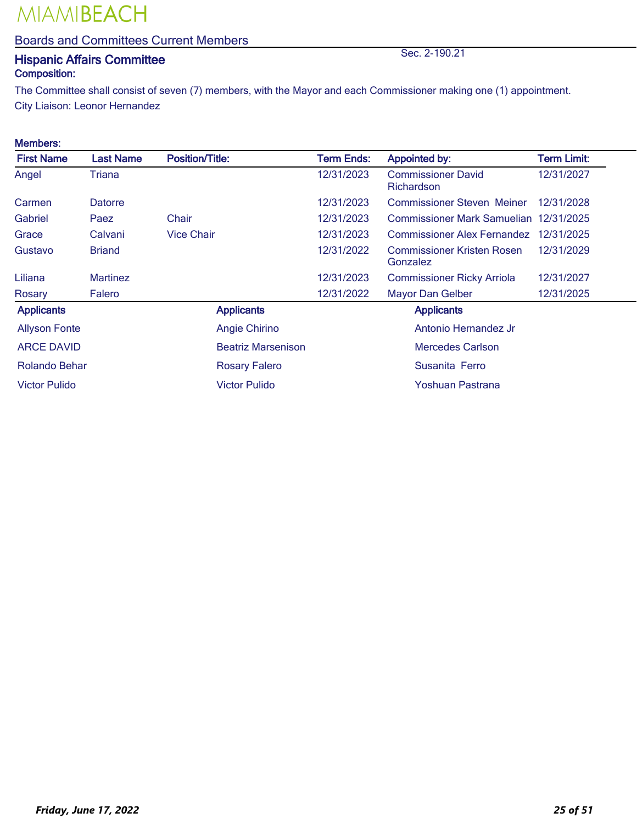### Boards and Committees Current Members

## **Hispanic Affairs Committee Sec. 2-190.21** Sec. 2-190.21 Composition:

The Committee shall consist of seven (7) members, with the Mayor and each Commissioner making one (1) appointment. City Liaison: Leonor Hernandez

#### Members:

| <b>First Name</b>    | <b>Last Name</b> | <b>Position/Title:</b>    | <b>Term Ends:</b> | <b>Appointed by:</b>                          | <b>Term Limit:</b> |
|----------------------|------------------|---------------------------|-------------------|-----------------------------------------------|--------------------|
| Angel                | Triana           |                           | 12/31/2023        | <b>Commissioner David</b><br>Richardson       | 12/31/2027         |
| Carmen               | Datorre          |                           | 12/31/2023        | <b>Commissioner Steven Meiner</b>             | 12/31/2028         |
| Gabriel              | Paez             | Chair                     | 12/31/2023        | Commissioner Mark Samuelian 12/31/2025        |                    |
| Grace                | Calvani          | <b>Vice Chair</b>         | 12/31/2023        | <b>Commissioner Alex Fernandez</b>            | 12/31/2025         |
| Gustavo              | <b>Briand</b>    |                           | 12/31/2022        | <b>Commissioner Kristen Rosen</b><br>Gonzalez | 12/31/2029         |
| Liliana              | <b>Martinez</b>  |                           | 12/31/2023        | <b>Commissioner Ricky Arriola</b>             | 12/31/2027         |
| Rosary               | Falero           |                           | 12/31/2022        | Mayor Dan Gelber                              | 12/31/2025         |
| <b>Applicants</b>    |                  | <b>Applicants</b>         |                   | <b>Applicants</b>                             |                    |
| <b>Allyson Fonte</b> |                  | Angie Chirino             |                   | Antonio Hernandez Jr                          |                    |
| <b>ARCE DAVID</b>    |                  | <b>Beatriz Marsenison</b> |                   | <b>Mercedes Carlson</b>                       |                    |
| Rolando Behar        |                  | <b>Rosary Falero</b>      |                   | Susanita Ferro                                |                    |
| <b>Victor Pulido</b> |                  | <b>Victor Pulido</b>      |                   | Yoshuan Pastrana                              |                    |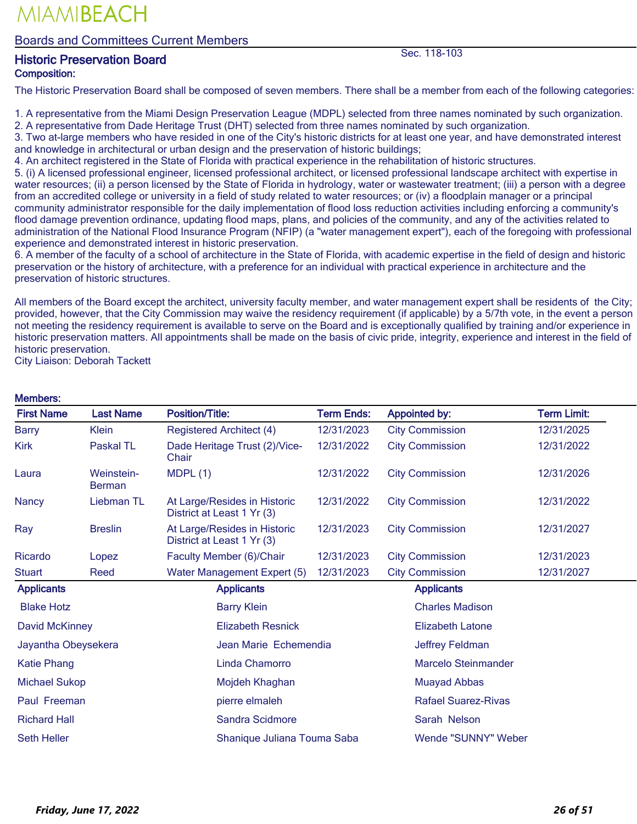Boards and Committees Current Members

## <u>Austoric Preservation Board</u> New York 118-103<br>
Historic Preservation Board Composition:

The Historic Preservation Board shall be composed of seven members. There shall be a member from each of the following categories:

1. A representative from the Miami Design Preservation League (MDPL) selected from three names nominated by such organization.

2. A representative from Dade Heritage Trust (DHT) selected from three names nominated by such organization.

3. Two at-large members who have resided in one of the City's historic districts for at least one year, and have demonstrated interest and knowledge in architectural or urban design and the preservation of historic buildings;

4. An architect registered in the State of Florida with practical experience in the rehabilitation of historic structures.

5. (i) A licensed professional engineer, licensed professional architect, or licensed professional landscape architect with expertise in water resources; (ii) a person licensed by the State of Florida in hydrology, water or wastewater treatment; (iii) a person with a degree from an accredited college or university in a field of study related to water resources; or (iv) a floodplain manager or a principal community administrator responsible for the daily implementation of flood loss reduction activities including enforcing a community's flood damage prevention ordinance, updating flood maps, plans, and policies of the community, and any of the activities related to administration of the National Flood Insurance Program (NFIP) (a "water management expert"), each of the foregoing with professional experience and demonstrated interest in historic preservation.

6. A member of the faculty of a school of architecture in the State of Florida, with academic expertise in the field of design and historic preservation or the history of architecture, with a preference for an individual with practical experience in architecture and the preservation of historic structures.

All members of the Board except the architect, university faculty member, and water management expert shall be residents of the City; provided, however, that the City Commission may waive the residency requirement (if applicable) by a 5/7th vote, in the event a person not meeting the residency requirement is available to serve on the Board and is exceptionally qualified by training and/or experience in historic preservation matters. All appointments shall be made on the basis of civic pride, integrity, experience and interest in the field of historic preservation.

City Liaison: Deborah Tackett

Members:

| <b>Mempers:</b>       |                             |                                                            |                   |                            |                    |  |
|-----------------------|-----------------------------|------------------------------------------------------------|-------------------|----------------------------|--------------------|--|
| <b>First Name</b>     | <b>Last Name</b>            | <b>Position/Title:</b>                                     | <b>Term Ends:</b> | <b>Appointed by:</b>       | <b>Term Limit:</b> |  |
| <b>Barry</b>          | <b>Klein</b>                | <b>Registered Architect (4)</b>                            | 12/31/2023        | <b>City Commission</b>     | 12/31/2025         |  |
| Kirk                  | Paskal TL                   | Dade Heritage Trust (2)/Vice-<br>Chair                     | 12/31/2022        | <b>City Commission</b>     | 12/31/2022         |  |
| Laura                 | Weinstein-<br><b>Berman</b> | MDPL(1)                                                    | 12/31/2022        | <b>City Commission</b>     | 12/31/2026         |  |
| <b>Nancy</b>          | Liebman TL                  | At Large/Resides in Historic<br>District at Least 1 Yr (3) | 12/31/2022        | <b>City Commission</b>     | 12/31/2022         |  |
| Ray                   | <b>Breslin</b>              | At Large/Resides in Historic<br>District at Least 1 Yr (3) | 12/31/2023        | <b>City Commission</b>     | 12/31/2027         |  |
| Ricardo               | Lopez                       | Faculty Member (6)/Chair                                   | 12/31/2023        | <b>City Commission</b>     | 12/31/2023         |  |
| <b>Stuart</b>         | Reed                        | Water Management Expert (5)                                | 12/31/2023        | <b>City Commission</b>     | 12/31/2027         |  |
| <b>Applicants</b>     |                             | <b>Applicants</b>                                          |                   | <b>Applicants</b>          |                    |  |
| <b>Blake Hotz</b>     |                             | <b>Barry Klein</b>                                         |                   | <b>Charles Madison</b>     |                    |  |
| <b>David McKinney</b> |                             | <b>Elizabeth Resnick</b>                                   |                   | <b>Elizabeth Latone</b>    |                    |  |
| Jayantha Obeysekera   |                             | Jean Marie Echemendia                                      |                   | Jeffrey Feldman            |                    |  |
| <b>Katie Phang</b>    |                             | <b>Linda Chamorro</b>                                      |                   | <b>Marcelo Steinmander</b> |                    |  |
| <b>Michael Sukop</b>  |                             | Mojdeh Khaghan                                             |                   | <b>Muayad Abbas</b>        |                    |  |
| Paul Freeman          |                             | pierre elmaleh                                             |                   | Rafael Suarez-Rivas        |                    |  |
| <b>Richard Hall</b>   |                             | Sandra Scidmore                                            |                   | Sarah Nelson               |                    |  |
| <b>Seth Heller</b>    |                             | Shanique Juliana Touma Saba                                |                   | Wende "SUNNY" Weber        |                    |  |

#### *Friday, June 17, 2022 26 of 51*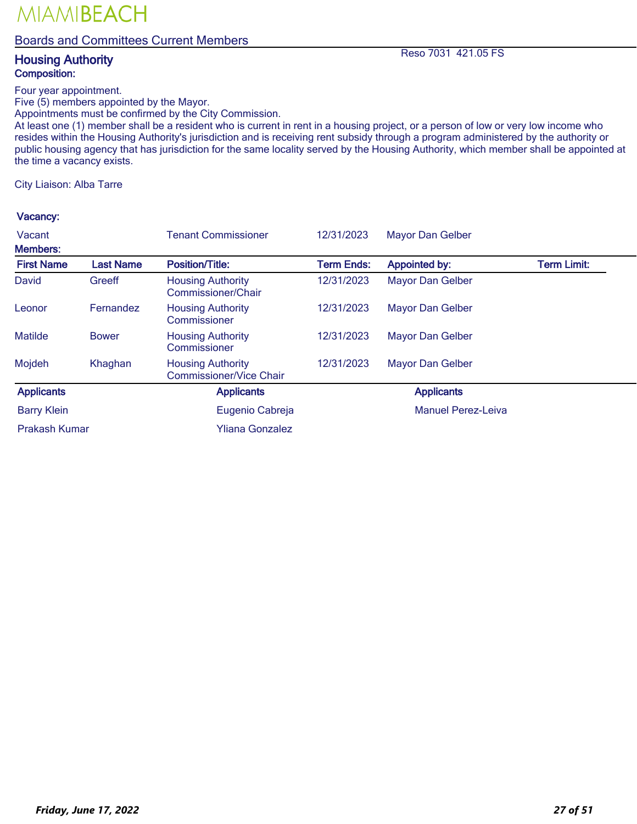### Boards and Committees Current Members

### **Housing Authority** Reso 7031 421.05 FS Composition:

Four year appointment.

Five (5) members appointed by the Mayor.

Appointments must be confirmed by the City Commission.

At least one (1) member shall be a resident who is current in rent in a housing project, or a person of low or very low income who resides within the Housing Authority's jurisdiction and is receiving rent subsidy through a program administered by the authority or public housing agency that has jurisdiction for the same locality served by the Housing Authority, which member shall be appointed at the time a vacancy exists.

City Liaison: Alba Tarre

| Vacant             |                  | <b>Tenant Commissioner</b>                          | 12/31/2023        | <b>Mayor Dan Gelber</b>   |                    |
|--------------------|------------------|-----------------------------------------------------|-------------------|---------------------------|--------------------|
| <b>Members:</b>    |                  |                                                     |                   |                           |                    |
| <b>First Name</b>  | <b>Last Name</b> | <b>Position/Title:</b>                              | <b>Term Ends:</b> | <b>Appointed by:</b>      | <b>Term Limit:</b> |
| David              | Greeff           | <b>Housing Authority</b><br>Commissioner/Chair      | 12/31/2023        | <b>Mayor Dan Gelber</b>   |                    |
| Leonor             | <b>Fernandez</b> | <b>Housing Authority</b><br>Commissioner            | 12/31/2023        | <b>Mayor Dan Gelber</b>   |                    |
| <b>Matilde</b>     | <b>Bower</b>     | <b>Housing Authority</b><br>Commissioner            | 12/31/2023        | <b>Mayor Dan Gelber</b>   |                    |
| Mojdeh             | Khaghan          | <b>Housing Authority</b><br>Commissioner/Vice Chair | 12/31/2023        | <b>Mayor Dan Gelber</b>   |                    |
| <b>Applicants</b>  |                  | <b>Applicants</b>                                   |                   | <b>Applicants</b>         |                    |
| <b>Barry Klein</b> |                  | Eugenio Cabreja                                     |                   | <b>Manuel Perez-Leiva</b> |                    |
| Prakash Kumar      |                  | <b>Yliana Gonzalez</b>                              |                   |                           |                    |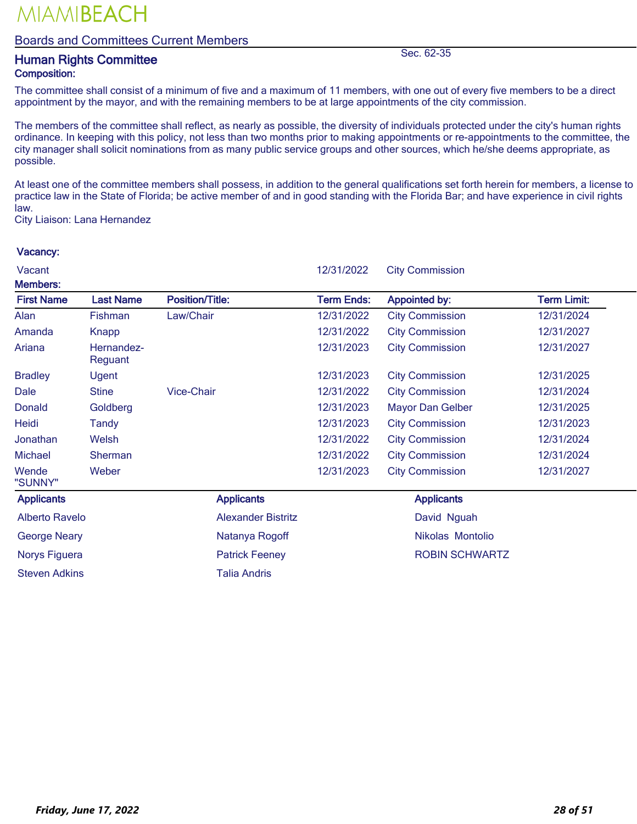#### Boards and Committees Current Members

## **Human Rights Committee Sec. 62-35**<br> **Human Rights Committee** Composition:

The committee shall consist of a minimum of five and a maximum of 11 members, with one out of every five members to be a direct appointment by the mayor, and with the remaining members to be at large appointments of the city commission.

The members of the committee shall reflect, as nearly as possible, the diversity of individuals protected under the city's human rights ordinance. In keeping with this policy, not less than two months prior to making appointments or re-appointments to the committee, the city manager shall solicit nominations from as many public service groups and other sources, which he/she deems appropriate, as possible.

At least one of the committee members shall possess, in addition to the general qualifications set forth herein for members, a license to practice law in the State of Florida; be active member of and in good standing with the Florida Bar; and have experience in civil rights law.

City Liaison: Lana Hernandez

| Vacant<br><b>Members:</b> |                       |                           | 12/31/2022        | <b>City Commission</b>  |                    |
|---------------------------|-----------------------|---------------------------|-------------------|-------------------------|--------------------|
| <b>First Name</b>         | <b>Last Name</b>      | <b>Position/Title:</b>    | <b>Term Ends:</b> | <b>Appointed by:</b>    | <b>Term Limit:</b> |
| Alan                      | Fishman               | Law/Chair                 | 12/31/2022        | <b>City Commission</b>  | 12/31/2024         |
| Amanda                    | Knapp                 |                           | 12/31/2022        | <b>City Commission</b>  | 12/31/2027         |
| Ariana                    | Hernandez-<br>Reguant |                           | 12/31/2023        | <b>City Commission</b>  | 12/31/2027         |
| <b>Bradley</b>            | Ugent                 |                           | 12/31/2023        | <b>City Commission</b>  | 12/31/2025         |
| Dale                      | <b>Stine</b>          | <b>Vice-Chair</b>         | 12/31/2022        | <b>City Commission</b>  | 12/31/2024         |
| Donald                    | Goldberg              |                           | 12/31/2023        | <b>Mayor Dan Gelber</b> | 12/31/2025         |
| Heidi                     | Tandy                 |                           | 12/31/2023        | <b>City Commission</b>  | 12/31/2023         |
| Jonathan                  | Welsh                 |                           | 12/31/2022        | <b>City Commission</b>  | 12/31/2024         |
| <b>Michael</b>            | Sherman               |                           | 12/31/2022        | <b>City Commission</b>  | 12/31/2024         |
| Wende<br>"SUNNY"          | Weber                 |                           | 12/31/2023        | <b>City Commission</b>  | 12/31/2027         |
| <b>Applicants</b>         |                       | <b>Applicants</b>         |                   | <b>Applicants</b>       |                    |
| <b>Alberto Ravelo</b>     |                       | <b>Alexander Bistritz</b> |                   | David Nguah             |                    |
| <b>George Neary</b>       |                       | Natanya Rogoff            |                   | Nikolas Montolio        |                    |
| Norys Figuera             |                       | <b>Patrick Feeney</b>     |                   | <b>ROBIN SCHWARTZ</b>   |                    |
| <b>Steven Adkins</b>      |                       | <b>Talia Andris</b>       |                   |                         |                    |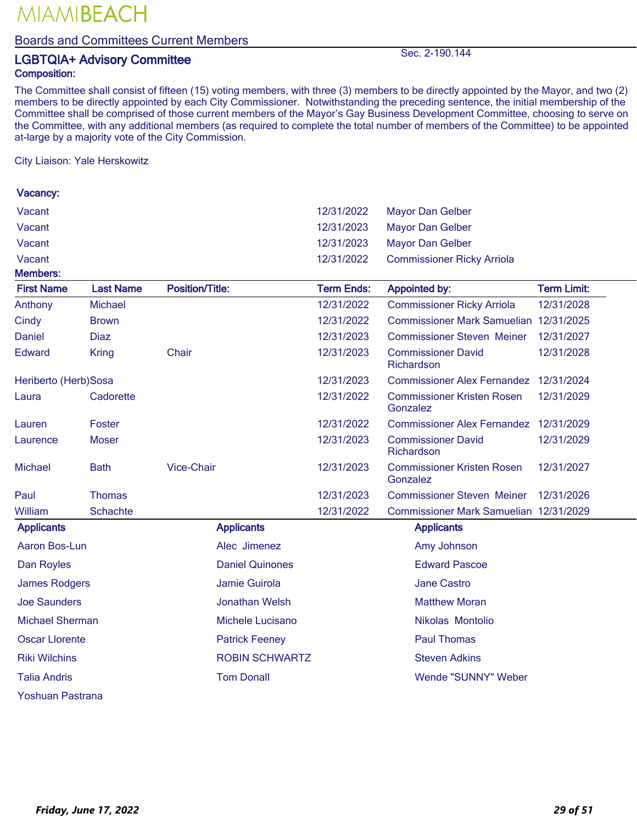### Boards and Committees Current Members

## LGBTQIA+ Advisory Committee Sec. 2-190.144 Composition:

The Committee shall consist of fifteen (15) voting members, with three (3) members to be directly appointed by the Mayor, and two (2) members to be directly appointed by each City Commissioner. Notwithstanding the preceding sentence, the initial membership of the Committee shall be comprised of those current members of the Mayor's Gay Business Development Committee, choosing to serve on the Committee, with any additional members (as required to complete the total number of members of the Committee) to be appointed at-large by a majority vote of the City Commission.

City Liaison: Yale Herskowitz

| Vacancy:               |                  |                        |                        |                   |          |                                         |                    |  |
|------------------------|------------------|------------------------|------------------------|-------------------|----------|-----------------------------------------|--------------------|--|
| Vacant                 |                  |                        |                        | 12/31/2022        |          | <b>Mayor Dan Gelber</b>                 |                    |  |
| Vacant                 |                  |                        |                        | 12/31/2023        |          | <b>Mayor Dan Gelber</b>                 |                    |  |
| Vacant                 |                  |                        |                        | 12/31/2023        |          | <b>Mayor Dan Gelber</b>                 |                    |  |
| Vacant                 |                  |                        |                        | 12/31/2022        |          | <b>Commissioner Ricky Arriola</b>       |                    |  |
| <b>Members:</b>        |                  |                        |                        |                   |          |                                         |                    |  |
| <b>First Name</b>      | <b>Last Name</b> | <b>Position/Title:</b> |                        | <b>Term Ends:</b> |          | <b>Appointed by:</b>                    | <b>Term Limit:</b> |  |
| Anthony                | <b>Michael</b>   |                        |                        | 12/31/2022        |          | <b>Commissioner Ricky Arriola</b>       | 12/31/2028         |  |
| Cindy                  | <b>Brown</b>     |                        |                        | 12/31/2022        |          | Commissioner Mark Samuelian 12/31/2025  |                    |  |
| <b>Daniel</b>          | <b>Diaz</b>      |                        |                        | 12/31/2023        |          | <b>Commissioner Steven Meiner</b>       | 12/31/2027         |  |
| <b>Edward</b>          | <b>Kring</b>     | Chair                  |                        | 12/31/2023        |          | <b>Commissioner David</b><br>Richardson | 12/31/2028         |  |
| Heriberto (Herb)Sosa   |                  |                        |                        | 12/31/2023        |          | <b>Commissioner Alex Fernandez</b>      | 12/31/2024         |  |
| Laura                  | Cadorette        |                        |                        | 12/31/2022        | Gonzalez | <b>Commissioner Kristen Rosen</b>       | 12/31/2029         |  |
| Lauren                 | Foster           |                        |                        | 12/31/2022        |          | <b>Commissioner Alex Fernandez</b>      | 12/31/2029         |  |
| Laurence               | <b>Moser</b>     |                        |                        | 12/31/2023        |          | <b>Commissioner David</b><br>Richardson | 12/31/2029         |  |
| Michael                | <b>Bath</b>      | <b>Vice-Chair</b>      |                        | 12/31/2023        | Gonzalez | <b>Commissioner Kristen Rosen</b>       | 12/31/2027         |  |
| Paul                   | Thomas           |                        |                        | 12/31/2023        |          | <b>Commissioner Steven Meiner</b>       | 12/31/2026         |  |
| William                | Schachte         |                        |                        | 12/31/2022        |          | Commissioner Mark Samuelian 12/31/2029  |                    |  |
| <b>Applicants</b>      |                  |                        | <b>Applicants</b>      |                   |          | <b>Applicants</b>                       |                    |  |
| Aaron Bos-Lun          |                  |                        | Alec Jimenez           |                   |          | Amy Johnson                             |                    |  |
| Dan Royles             |                  |                        | <b>Daniel Quinones</b> |                   |          | <b>Edward Pascoe</b>                    |                    |  |
| James Rodgers          |                  |                        | Jamie Guirola          |                   |          | <b>Jane Castro</b>                      |                    |  |
| Joe Saunders           |                  |                        | Jonathan Welsh         |                   |          | <b>Matthew Moran</b>                    |                    |  |
| <b>Michael Sherman</b> |                  |                        | Michele Lucisano       |                   |          | Nikolas Montolio                        |                    |  |
| <b>Oscar Llorente</b>  |                  |                        | <b>Patrick Feeney</b>  |                   |          | <b>Paul Thomas</b>                      |                    |  |
| <b>Riki Wilchins</b>   |                  |                        | <b>ROBIN SCHWARTZ</b>  |                   |          | <b>Steven Adkins</b>                    |                    |  |
| <b>Talia Andris</b>    |                  |                        | <b>Tom Donall</b>      |                   |          | Wende "SUNNY" Weber                     |                    |  |
|                        |                  |                        |                        |                   |          |                                         |                    |  |

Yoshuan Pastrana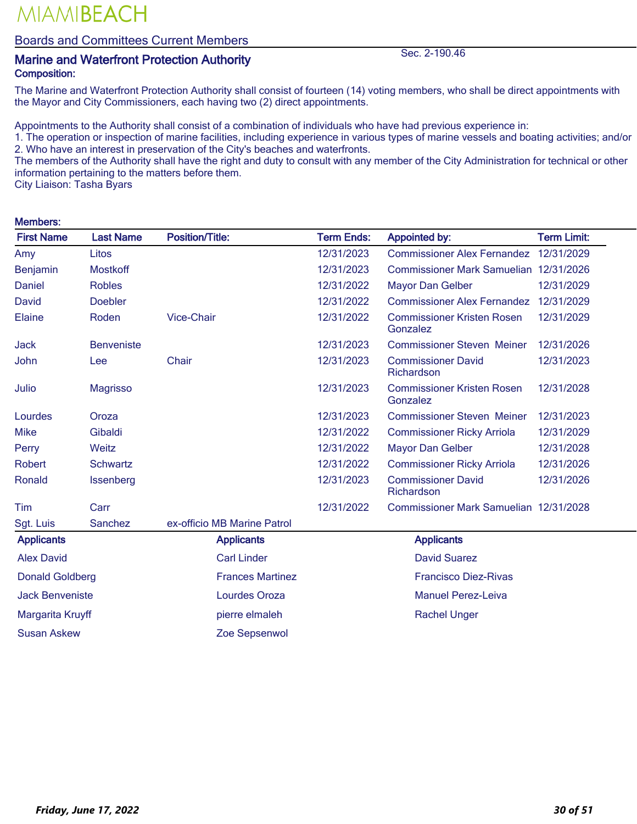### Boards and Committees Current Members

## Marine and Waterfront Protection Authority Sec. 2-190.46

### Composition:

The Marine and Waterfront Protection Authority shall consist of fourteen (14) voting members, who shall be direct appointments with the Mayor and City Commissioners, each having two (2) direct appointments.

Appointments to the Authority shall consist of a combination of individuals who have had previous experience in:

1. The operation or inspection of marine facilities, including experience in various types of marine vessels and boating activities; and/or 2. Who have an interest in preservation of the City's beaches and waterfronts.

The members of the Authority shall have the right and duty to consult with any member of the City Administration for technical or other information pertaining to the matters before them.

City Liaison: Tasha Byars

Members:

| <b>Members:</b>        |                   |                             |                   |                                               |                    |
|------------------------|-------------------|-----------------------------|-------------------|-----------------------------------------------|--------------------|
| <b>First Name</b>      | <b>Last Name</b>  | <b>Position/Title:</b>      | <b>Term Ends:</b> | <b>Appointed by:</b>                          | <b>Term Limit:</b> |
| Amy                    | Litos             |                             | 12/31/2023        | Commissioner Alex Fernandez 12/31/2029        |                    |
| Benjamin               | <b>Mostkoff</b>   |                             | 12/31/2023        | Commissioner Mark Samuelian 12/31/2026        |                    |
| Daniel                 | <b>Robles</b>     |                             | 12/31/2022        | <b>Mayor Dan Gelber</b>                       | 12/31/2029         |
| David                  | <b>Doebler</b>    |                             | 12/31/2022        | <b>Commissioner Alex Fernandez</b>            | 12/31/2029         |
| Elaine                 | Roden             | <b>Vice-Chair</b>           | 12/31/2022        | <b>Commissioner Kristen Rosen</b><br>Gonzalez | 12/31/2029         |
| <b>Jack</b>            | <b>Benveniste</b> |                             | 12/31/2023        | <b>Commissioner Steven Meiner</b>             | 12/31/2026         |
| John                   | Lee               | Chair                       | 12/31/2023        | <b>Commissioner David</b><br>Richardson       | 12/31/2023         |
| Julio                  | <b>Magrisso</b>   |                             | 12/31/2023        | <b>Commissioner Kristen Rosen</b><br>Gonzalez | 12/31/2028         |
| Lourdes                | Oroza             |                             | 12/31/2023        | <b>Commissioner Steven Meiner</b>             | 12/31/2023         |
| <b>Mike</b>            | Gibaldi           |                             | 12/31/2022        | <b>Commissioner Ricky Arriola</b>             | 12/31/2029         |
| Perry                  | Weitz             |                             | 12/31/2022        | <b>Mayor Dan Gelber</b>                       | 12/31/2028         |
| Robert                 | <b>Schwartz</b>   |                             | 12/31/2022        | <b>Commissioner Ricky Arriola</b>             | 12/31/2026         |
| Ronald                 | Issenberg         |                             | 12/31/2023        | <b>Commissioner David</b><br>Richardson       | 12/31/2026         |
| Tim                    | Carr              |                             | 12/31/2022        | Commissioner Mark Samuelian 12/31/2028        |                    |
| Sgt. Luis              | Sanchez           | ex-officio MB Marine Patrol |                   |                                               |                    |
| <b>Applicants</b>      |                   | <b>Applicants</b>           |                   | <b>Applicants</b>                             |                    |
| <b>Alex David</b>      |                   | <b>Carl Linder</b>          |                   | <b>David Suarez</b>                           |                    |
| <b>Donald Goldberg</b> |                   | <b>Frances Martinez</b>     |                   | <b>Francisco Diez-Rivas</b>                   |                    |
| <b>Jack Benveniste</b> |                   | Lourdes Oroza               |                   | <b>Manuel Perez-Leiva</b>                     |                    |
| Margarita Kruyff       |                   | pierre elmaleh              |                   | <b>Rachel Unger</b>                           |                    |
| <b>Susan Askew</b>     |                   | Zoe Sepsenwol               |                   |                                               |                    |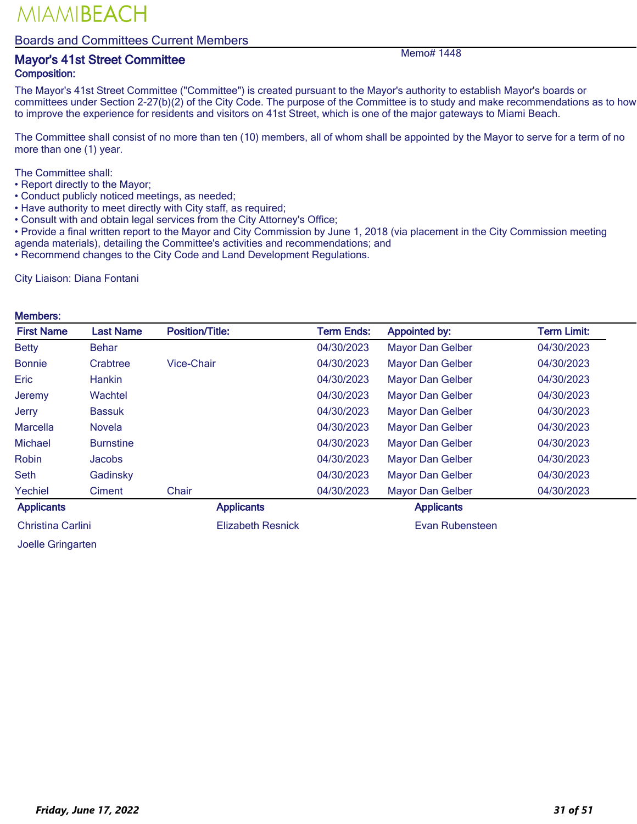#### Boards and Committees Current Members

### Mayor's 41st Street Committee Memo# 1448 Composition:

The Mayor's 41st Street Committee ("Committee") is created pursuant to the Mayor's authority to establish Mayor's boards or committees under Section 2-27(b)(2) of the City Code. The purpose of the Committee is to study and make recommendations as to how to improve the experience for residents and visitors on 41st Street, which is one of the major gateways to Miami Beach.

The Committee shall consist of no more than ten (10) members, all of whom shall be appointed by the Mayor to serve for a term of no more than one (1) year.

The Committee shall:

- Report directly to the Mayor;
- Conduct publicly noticed meetings, as needed;
- Have authority to meet directly with City staff, as required;
- Consult with and obtain legal services from the City Attorney's Office;
- Provide a final written report to the Mayor and City Commission by June 1, 2018 (via placement in the City Commission meeting agenda materials), detailing the Committee's activities and recommendations; and
- Recommend changes to the City Code and Land Development Regulations.

City Liaison: Diana Fontani

#### Members:

| <b>First Name</b> | <b>Last Name</b> | <b>Position/Title:</b>   | <b>Term Ends:</b> | <b>Appointed by:</b>    | <b>Term Limit:</b> |
|-------------------|------------------|--------------------------|-------------------|-------------------------|--------------------|
| <b>Betty</b>      | <b>Behar</b>     |                          | 04/30/2023        | <b>Mayor Dan Gelber</b> | 04/30/2023         |
| <b>Bonnie</b>     | Crabtree         | <b>Vice-Chair</b>        | 04/30/2023        | <b>Mayor Dan Gelber</b> | 04/30/2023         |
| Eric              | <b>Hankin</b>    |                          | 04/30/2023        | <b>Mayor Dan Gelber</b> | 04/30/2023         |
| Jeremy            | Wachtel          |                          | 04/30/2023        | <b>Mayor Dan Gelber</b> | 04/30/2023         |
| Jerry             | <b>Bassuk</b>    |                          | 04/30/2023        | <b>Mayor Dan Gelber</b> | 04/30/2023         |
| <b>Marcella</b>   | <b>Novela</b>    |                          | 04/30/2023        | <b>Mayor Dan Gelber</b> | 04/30/2023         |
| <b>Michael</b>    | <b>Burnstine</b> |                          | 04/30/2023        | <b>Mayor Dan Gelber</b> | 04/30/2023         |
| Robin             | <b>Jacobs</b>    |                          | 04/30/2023        | <b>Mayor Dan Gelber</b> | 04/30/2023         |
| <b>Seth</b>       | Gadinsky         |                          | 04/30/2023        | <b>Mayor Dan Gelber</b> | 04/30/2023         |
| Yechiel           | Ciment           | Chair                    | 04/30/2023        | <b>Mayor Dan Gelber</b> | 04/30/2023         |
| <b>Applicants</b> |                  | <b>Applicants</b>        |                   | <b>Applicants</b>       |                    |
| Christina Carlini |                  | <b>Elizabeth Resnick</b> |                   | Evan Rubensteen         |                    |

Joelle Gringarten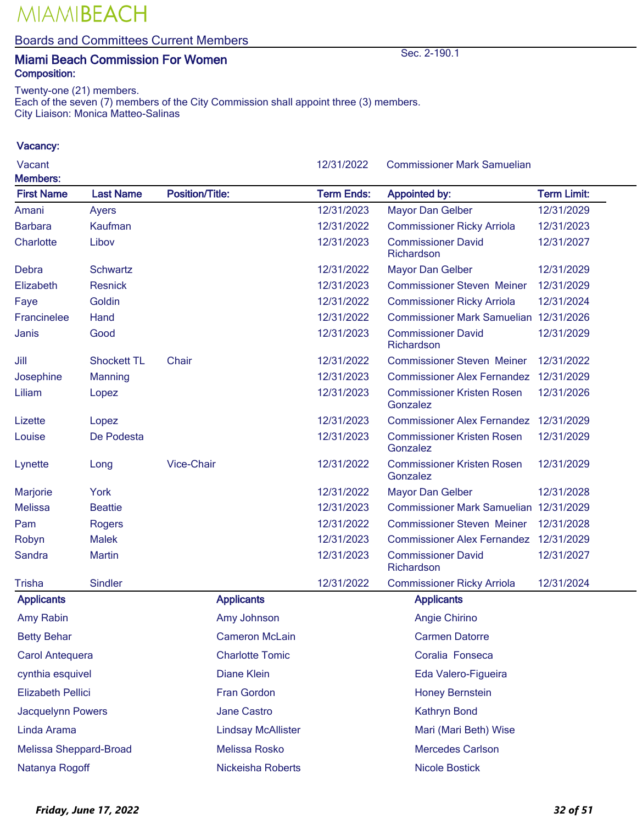Boards and Committees Current Members

### Miami Beach Commission For Women Sec. 2-190.1 Composition:

Twenty-one (21) members.

Each of the seven (7) members of the City Commission shall appoint three (3) members. City Liaison: Monica Matteo-Salinas

| Vacant<br><b>Members:</b> |                    |                           | 12/31/2022        | <b>Commissioner Mark Samuelian</b>            |                    |
|---------------------------|--------------------|---------------------------|-------------------|-----------------------------------------------|--------------------|
| <b>First Name</b>         | <b>Last Name</b>   | <b>Position/Title:</b>    | <b>Term Ends:</b> | <b>Appointed by:</b>                          | <b>Term Limit:</b> |
| Amani                     | Ayers              |                           | 12/31/2023        | <b>Mayor Dan Gelber</b>                       | 12/31/2029         |
| <b>Barbara</b>            | Kaufman            |                           | 12/31/2022        | <b>Commissioner Ricky Arriola</b>             | 12/31/2023         |
| Charlotte                 | Libov              |                           | 12/31/2023        | <b>Commissioner David</b><br>Richardson       | 12/31/2027         |
| Debra                     | <b>Schwartz</b>    |                           | 12/31/2022        | <b>Mayor Dan Gelber</b>                       | 12/31/2029         |
| Elizabeth                 | <b>Resnick</b>     |                           | 12/31/2023        | <b>Commissioner Steven Meiner</b>             | 12/31/2029         |
| Faye                      | Goldin             |                           | 12/31/2022        | <b>Commissioner Ricky Arriola</b>             | 12/31/2024         |
| Francinelee               | Hand               |                           | 12/31/2022        | Commissioner Mark Samuelian 12/31/2026        |                    |
| Janis                     | Good               |                           | 12/31/2023        | <b>Commissioner David</b><br>Richardson       | 12/31/2029         |
| Jill                      | <b>Shockett TL</b> | Chair                     | 12/31/2022        | <b>Commissioner Steven Meiner</b>             | 12/31/2022         |
| Josephine                 | Manning            |                           | 12/31/2023        | <b>Commissioner Alex Fernandez</b>            | 12/31/2029         |
| Liliam                    | Lopez              |                           | 12/31/2023        | <b>Commissioner Kristen Rosen</b><br>Gonzalez | 12/31/2026         |
| Lizette                   | Lopez              |                           | 12/31/2023        | <b>Commissioner Alex Fernandez</b>            | 12/31/2029         |
| Louise                    | De Podesta         |                           | 12/31/2023        | <b>Commissioner Kristen Rosen</b><br>Gonzalez | 12/31/2029         |
| Lynette                   | Long               | <b>Vice-Chair</b>         | 12/31/2022        | <b>Commissioner Kristen Rosen</b><br>Gonzalez | 12/31/2029         |
| Marjorie                  | York               |                           | 12/31/2022        | <b>Mayor Dan Gelber</b>                       | 12/31/2028         |
| <b>Melissa</b>            | <b>Beattie</b>     |                           | 12/31/2023        | Commissioner Mark Samuelian 12/31/2029        |                    |
| Pam                       | <b>Rogers</b>      |                           | 12/31/2022        | <b>Commissioner Steven Meiner</b>             | 12/31/2028         |
| Robyn                     | <b>Malek</b>       |                           | 12/31/2023        | <b>Commissioner Alex Fernandez</b>            | 12/31/2029         |
| Sandra                    | <b>Martin</b>      |                           | 12/31/2023        | <b>Commissioner David</b><br>Richardson       | 12/31/2027         |
| <b>Trisha</b>             | <b>Sindler</b>     |                           | 12/31/2022        | <b>Commissioner Ricky Arriola</b>             | 12/31/2024         |
| <b>Applicants</b>         |                    | <b>Applicants</b>         |                   | <b>Applicants</b>                             |                    |
| Amy Rabin                 |                    | Amy Johnson               |                   | Angie Chirino                                 |                    |
| <b>Betty Behar</b>        |                    | <b>Cameron McLain</b>     |                   | <b>Carmen Datorre</b>                         |                    |
| Carol Antequera           |                    | <b>Charlotte Tomic</b>    |                   | Coralia Fonseca                               |                    |
| cynthia esquivel          |                    | <b>Diane Klein</b>        |                   | Eda Valero-Figueira                           |                    |
| <b>Elizabeth Pellici</b>  |                    | <b>Fran Gordon</b>        |                   | <b>Honey Bernstein</b>                        |                    |
| Jacquelynn Powers         |                    | Jane Castro               |                   | Kathryn Bond                                  |                    |
| Linda Arama               |                    | <b>Lindsay McAllister</b> |                   | Mari (Mari Beth) Wise                         |                    |
| Melissa Sheppard-Broad    |                    | Melissa Rosko             |                   | <b>Mercedes Carlson</b>                       |                    |
| Natanya Rogoff            |                    | Nickeisha Roberts         |                   | <b>Nicole Bostick</b>                         |                    |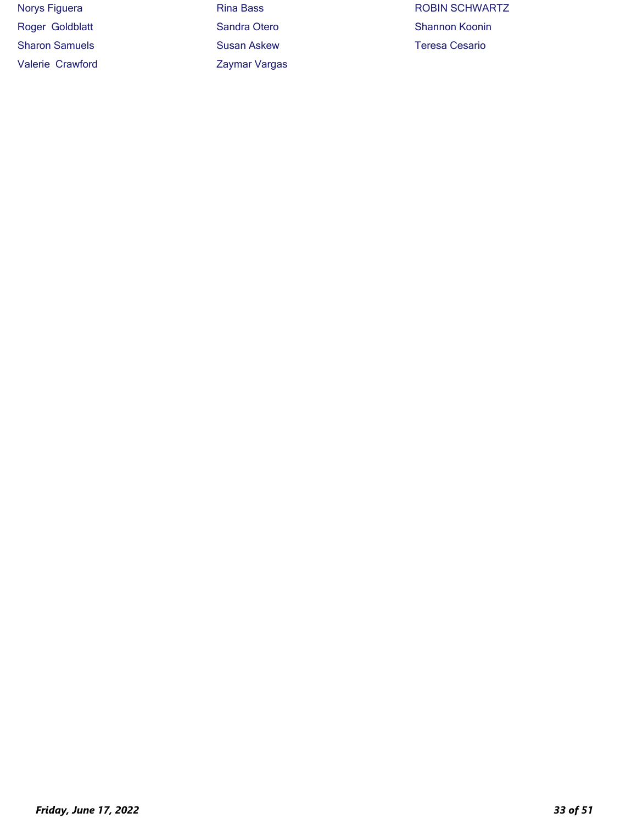Sharon Samuels **Susan Askew** Susan Askew Teresa Cesario Valerie Crawford **Zaymar Vargas** 

Norys Figuera **Rina Bass** Rina Bass ROBIN SCHWARTZ Roger Goldblatt Sandra Otero Shannon Koonin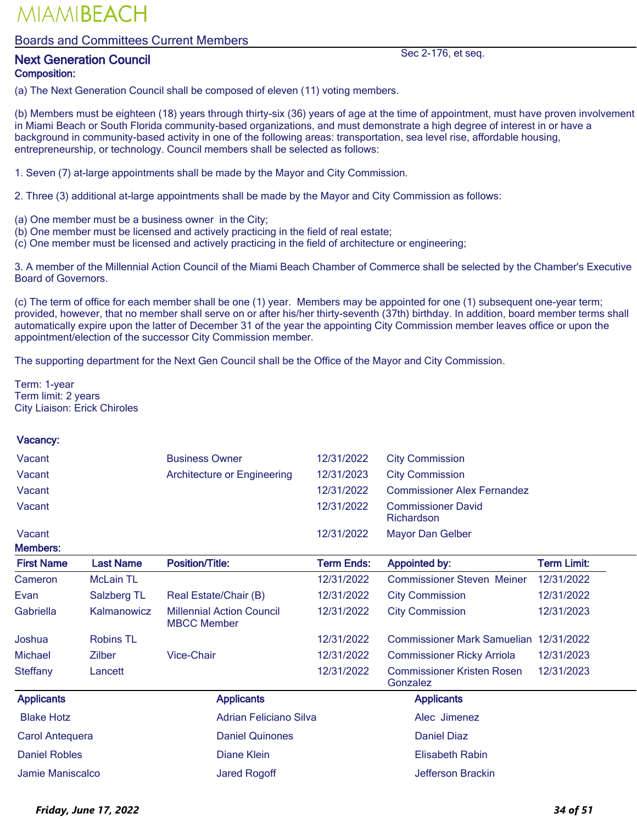#### Boards and Committees Current Members

### Next Generation Council and the section of the Sec 2-176, et seq. Composition:

(a) The Next Generation Council shall be composed of eleven (11) voting members.

(b) Members must be eighteen (18) years through thirty-six (36) years of age at the time of appointment, must have proven involvement in Miami Beach or South Florida community-based organizations, and must demonstrate a high degree of interest in or have a background in community-based activity in one of the following areas: transportation, sea level rise, affordable housing, entrepreneurship, or technology. Council members shall be selected as follows:

1. Seven (7) at-large appointments shall be made by the Mayor and City Commission.

2. Three (3) additional at-large appointments shall be made by the Mayor and City Commission as follows:

- (a) One member must be a business owner in the City;
- (b) One member must be licensed and actively practicing in the field of real estate;
- (c) One member must be licensed and actively practicing in the field of architecture or engineering;

3. A member of the Millennial Action Council of the Miami Beach Chamber of Commerce shall be selected by the Chamber's Executive Board of Governors.

(c) The term of office for each member shall be one (1) year. Members may be appointed for one (1) subsequent one-year term; provided, however, that no member shall serve on or after his/her thirty-seventh (37th) birthday. In addition, board member terms shall automatically expire upon the latter of December 31 of the year the appointing City Commission member leaves office or upon the appointment/election of the successor City Commission member.

The supporting department for the Next Gen Council shall be the Office of the Mayor and City Commission.

Term: 1-year Term limit: 2 years City Liaison: Erick Chiroles

#### Vacancy:

| Vacant | <b>Business Owner</b>       |            | 12/31/2022 City Commission              |
|--------|-----------------------------|------------|-----------------------------------------|
| Vacant | Architecture or Engineering | 12/31/2023 | <b>City Commission</b>                  |
| Vacant |                             | 12/31/2022 | <b>Commissioner Alex Fernandez</b>      |
| Vacant |                             | 12/31/2022 | <b>Commissioner David</b><br>Richardson |

Vacant 12/31/2022 Mayor Dan Gelber

| <b>Members:</b>        |                  |                                                        |                   |                                               |                    |  |
|------------------------|------------------|--------------------------------------------------------|-------------------|-----------------------------------------------|--------------------|--|
| <b>First Name</b>      | <b>Last Name</b> | <b>Position/Title:</b>                                 | <b>Term Ends:</b> | <b>Appointed by:</b>                          | <b>Term Limit:</b> |  |
| Cameron                | <b>McLain TL</b> |                                                        | 12/31/2022        | <b>Commissioner Steven Meiner</b>             | 12/31/2022         |  |
| Evan                   | Salzberg TL      | Real Estate/Chair (B)                                  | 12/31/2022        | <b>City Commission</b>                        | 12/31/2022         |  |
| Gabriella              | Kalmanowicz      | <b>Millennial Action Council</b><br><b>MBCC Member</b> | 12/31/2022        | <b>City Commission</b>                        | 12/31/2023         |  |
| Joshua                 | <b>Robins TL</b> |                                                        | 12/31/2022        | Commissioner Mark Samuelian                   | 12/31/2022         |  |
| <b>Michael</b>         | <b>Zilber</b>    | <b>Vice-Chair</b>                                      | 12/31/2022        | <b>Commissioner Ricky Arriola</b>             | 12/31/2023         |  |
| Steffany               | Lancett          |                                                        | 12/31/2022        | <b>Commissioner Kristen Rosen</b><br>Gonzalez | 12/31/2023         |  |
| <b>Applicants</b>      |                  | <b>Applicants</b>                                      |                   | <b>Applicants</b>                             |                    |  |
| <b>Blake Hotz</b>      |                  | Adrian Feliciano Silva                                 |                   | Alec Jimenez                                  |                    |  |
| <b>Carol Antequera</b> |                  | <b>Daniel Quinones</b>                                 |                   | Daniel Diaz                                   |                    |  |
| <b>Daniel Robles</b>   |                  | Diane Klein                                            |                   | <b>Elisabeth Rabin</b>                        |                    |  |
| Jamie Maniscalco       |                  | <b>Jared Rogoff</b>                                    |                   | Jefferson Brackin                             |                    |  |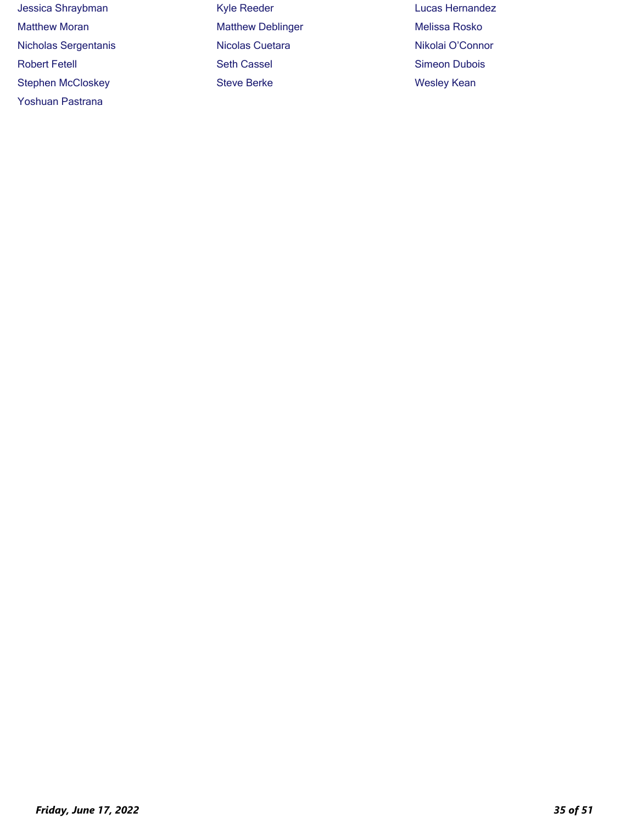| Jessica Shraybman           | <b>Kyle Reeder</b>       | <b>Lucas Hernandez</b> |
|-----------------------------|--------------------------|------------------------|
| <b>Matthew Moran</b>        | <b>Matthew Deblinger</b> | Melissa Rosko          |
| <b>Nicholas Sergentanis</b> | <b>Nicolas Cuetara</b>   | Nikolai O'Connor       |
| <b>Robert Fetell</b>        | <b>Seth Cassel</b>       | <b>Simeon Dubois</b>   |
| <b>Stephen McCloskey</b>    | <b>Steve Berke</b>       | <b>Wesley Kean</b>     |

Yoshuan Pastrana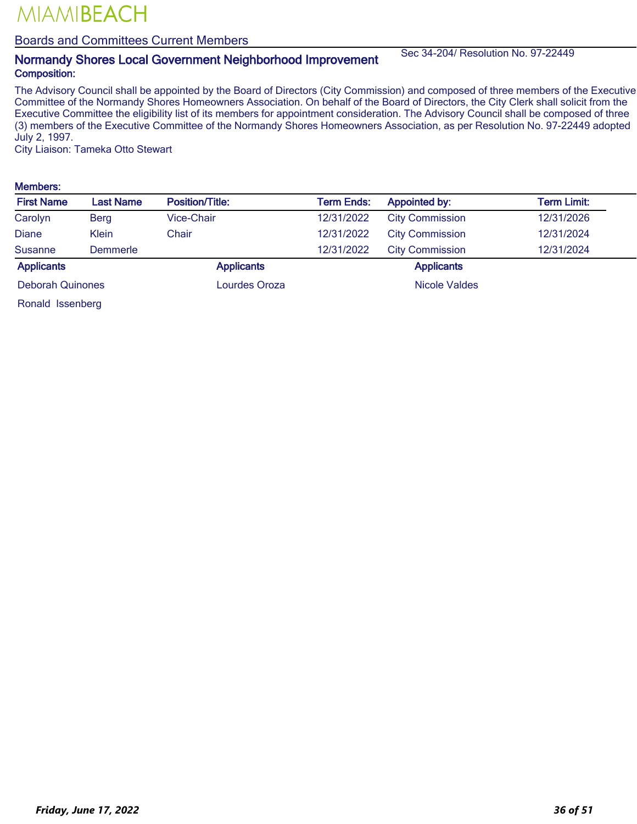#### Boards and Committees Current Members

### Normandy Shores Local Government Neighborhood Improvement Sec 34-204/ Resolution No. 97-22449 Composition:

The Advisory Council shall be appointed by the Board of Directors (City Commission) and composed of three members of the Executive Committee of the Normandy Shores Homeowners Association. On behalf of the Board of Directors, the City Clerk shall solicit from the Executive Committee the eligibility list of its members for appointment consideration. The Advisory Council shall be composed of three (3) members of the Executive Committee of the Normandy Shores Homeowners Association, as per Resolution No. 97-22449 adopted July 2, 1997.

City Liaison: Tameka Otto Stewart

#### Members:

| <b>First Name</b>       | Last Name    | <b>Position/Title:</b> | <b>Term Ends:</b> | <b>Appointed by:</b>   | Term Limit: |
|-------------------------|--------------|------------------------|-------------------|------------------------|-------------|
| Carolyn                 | <b>Berg</b>  | Vice-Chair             | 12/31/2022        | <b>City Commission</b> | 12/31/2026  |
| <b>Diane</b>            | <b>Klein</b> | Chair                  | 12/31/2022        | <b>City Commission</b> | 12/31/2024  |
| <b>Susanne</b>          | Demmerle     |                        | 12/31/2022        | <b>City Commission</b> | 12/31/2024  |
| <b>Applicants</b>       |              | <b>Applicants</b>      |                   | <b>Applicants</b>      |             |
| <b>Deborah Quinones</b> |              | Lourdes Oroza          |                   | <b>Nicole Valdes</b>   |             |
| ________                |              |                        |                   |                        |             |

Ronald Issenberg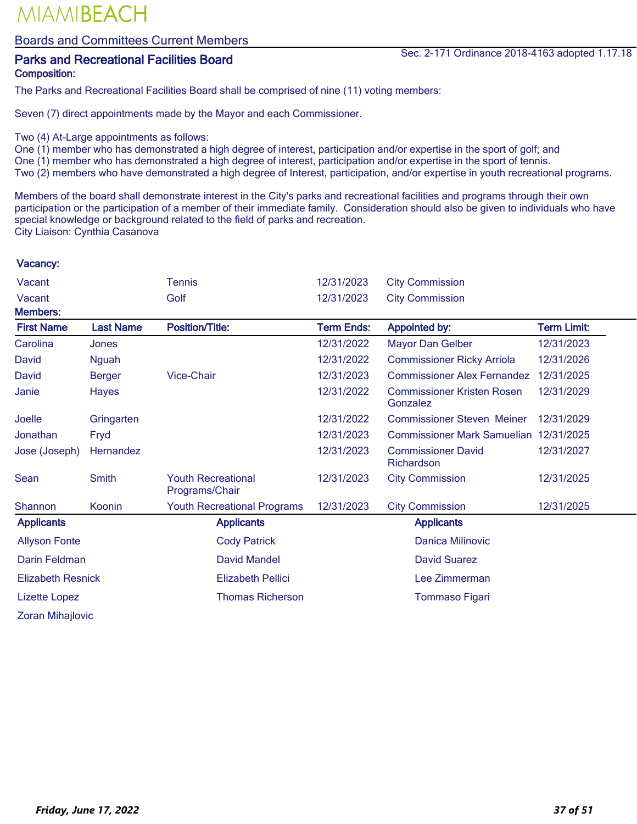Boards and Committees Current Members

## Composition:

The Parks and Recreational Facilities Board shall be comprised of nine (11) voting members:

Seven (7) direct appointments made by the Mayor and each Commissioner.

- Two (4) At-Large appointments as follows:
- One (1) member who has demonstrated a high degree of interest, participation and/or expertise in the sport of golf; and
- One (1) member who has demonstrated a high degree of interest, participation and/or expertise in the sport of tennis.
- Two (2) members who have demonstrated a high degree of Interest, participation, and/or expertise in youth recreational programs.

Members of the board shall demonstrate interest in the City's parks and recreational facilities and programs through their own participation or the participation of a member of their immediate family. Consideration should also be given to individuals who have special knowledge or background related to the field of parks and recreation. City Liaison: Cynthia Casanova

| Vacant                   |                  | <b>Tennis</b>                               | 12/31/2023        | <b>City Commission</b>                        |                    |
|--------------------------|------------------|---------------------------------------------|-------------------|-----------------------------------------------|--------------------|
| Vacant                   |                  | Golf                                        | 12/31/2023        | <b>City Commission</b>                        |                    |
| <b>Members:</b>          |                  |                                             |                   |                                               |                    |
| <b>First Name</b>        | <b>Last Name</b> | <b>Position/Title:</b>                      | <b>Term Ends:</b> | <b>Appointed by:</b>                          | <b>Term Limit:</b> |
| Carolina                 | Jones            |                                             | 12/31/2022        | <b>Mayor Dan Gelber</b>                       | 12/31/2023         |
| David                    | <b>Nguah</b>     |                                             | 12/31/2022        | <b>Commissioner Ricky Arriola</b>             | 12/31/2026         |
| David                    | <b>Berger</b>    | <b>Vice-Chair</b>                           | 12/31/2023        | <b>Commissioner Alex Fernandez</b>            | 12/31/2025         |
| Janie                    | <b>Hayes</b>     |                                             | 12/31/2022        | <b>Commissioner Kristen Rosen</b><br>Gonzalez | 12/31/2029         |
| Joelle                   | Gringarten       |                                             | 12/31/2022        | <b>Commissioner Steven Meiner</b>             | 12/31/2029         |
| Jonathan                 | Fryd             |                                             | 12/31/2023        | <b>Commissioner Mark Samuelian</b>            | 12/31/2025         |
| Jose (Joseph)            | Hernandez        |                                             | 12/31/2023        | <b>Commissioner David</b><br>Richardson       | 12/31/2027         |
| Sean                     | <b>Smith</b>     | <b>Youth Recreational</b><br>Programs/Chair | 12/31/2023        | <b>City Commission</b>                        | 12/31/2025         |
| Shannon                  | Koonin           | <b>Youth Recreational Programs</b>          | 12/31/2023        | <b>City Commission</b>                        | 12/31/2025         |
| <b>Applicants</b>        |                  | <b>Applicants</b>                           |                   | <b>Applicants</b>                             |                    |
| <b>Allyson Fonte</b>     |                  | <b>Cody Patrick</b>                         |                   | <b>Danica Milinovic</b>                       |                    |
| Darin Feldman            |                  | <b>David Mandel</b>                         |                   | <b>David Suarez</b>                           |                    |
| <b>Elizabeth Resnick</b> |                  | <b>Elizabeth Pellici</b>                    |                   | Lee Zimmerman                                 |                    |
| <b>Lizette Lopez</b>     |                  | <b>Thomas Richerson</b>                     |                   | Tommaso Figari                                |                    |
| <b>Zoran Mihajlovic</b>  |                  |                                             |                   |                                               |                    |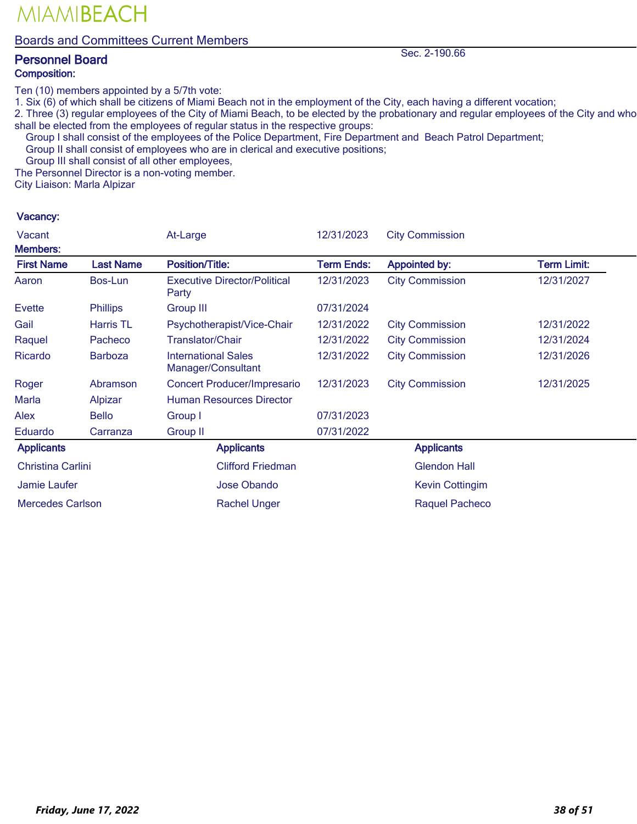### Boards and Committees Current Members

### Personnel Board Sec. 2-190.66 Composition:

MIAMIBEACH

Ten (10) members appointed by a 5/7th vote:

1. Six (6) of which shall be citizens of Miami Beach not in the employment of the City, each having a different vocation;

2. Three (3) regular employees of the City of Miami Beach, to be elected by the probationary and regular employees of the City and who shall be elected from the employees of regular status in the respective groups:

Group I shall consist of the employees of the Police Department, Fire Department and Beach Patrol Department;

Group II shall consist of employees who are in clerical and executive positions;

Group III shall consist of all other employees,

The Personnel Director is a non-voting member.

City Liaison: Marla Alpizar

#### Vacancy:

| Vacant                   |                  | At-Large                                         | 12/31/2023 | <b>City Commission</b> |                    |
|--------------------------|------------------|--------------------------------------------------|------------|------------------------|--------------------|
| <b>Members:</b>          |                  |                                                  |            |                        |                    |
| <b>First Name</b>        | <b>Last Name</b> | <b>Position/Title:</b>                           | Term Ends: | <b>Appointed by:</b>   | <b>Term Limit:</b> |
| Aaron                    | Bos-Lun          | <b>Executive Director/Political</b><br>Party     | 12/31/2023 | <b>City Commission</b> | 12/31/2027         |
| <b>Evette</b>            | <b>Phillips</b>  | <b>Group III</b>                                 | 07/31/2024 |                        |                    |
| Gail                     | Harris TL        | Psychotherapist/Vice-Chair                       | 12/31/2022 | <b>City Commission</b> | 12/31/2022         |
| Raquel                   | Pacheco          | <b>Translator/Chair</b>                          | 12/31/2022 | <b>City Commission</b> | 12/31/2024         |
| Ricardo                  | <b>Barboza</b>   | <b>International Sales</b><br>Manager/Consultant | 12/31/2022 | <b>City Commission</b> | 12/31/2026         |
| Roger                    | Abramson         | <b>Concert Producer/Impresario</b>               | 12/31/2023 | <b>City Commission</b> | 12/31/2025         |
| <b>Marla</b>             | Alpizar          | <b>Human Resources Director</b>                  |            |                        |                    |
| Alex                     | <b>Bello</b>     | Group I                                          | 07/31/2023 |                        |                    |
| Eduardo                  | Carranza         | <b>Group II</b>                                  | 07/31/2022 |                        |                    |
| <b>Applicants</b>        |                  | <b>Applicants</b>                                |            | <b>Applicants</b>      |                    |
| <b>Christina Carlini</b> |                  | <b>Clifford Friedman</b>                         |            | <b>Glendon Hall</b>    |                    |
| Jamie Laufer             |                  | Jose Obando                                      |            | <b>Kevin Cottingim</b> |                    |
| <b>Mercedes Carlson</b>  |                  | <b>Rachel Unger</b>                              |            | Raquel Pacheco         |                    |

*Friday, June 17, 2022 38 of 51*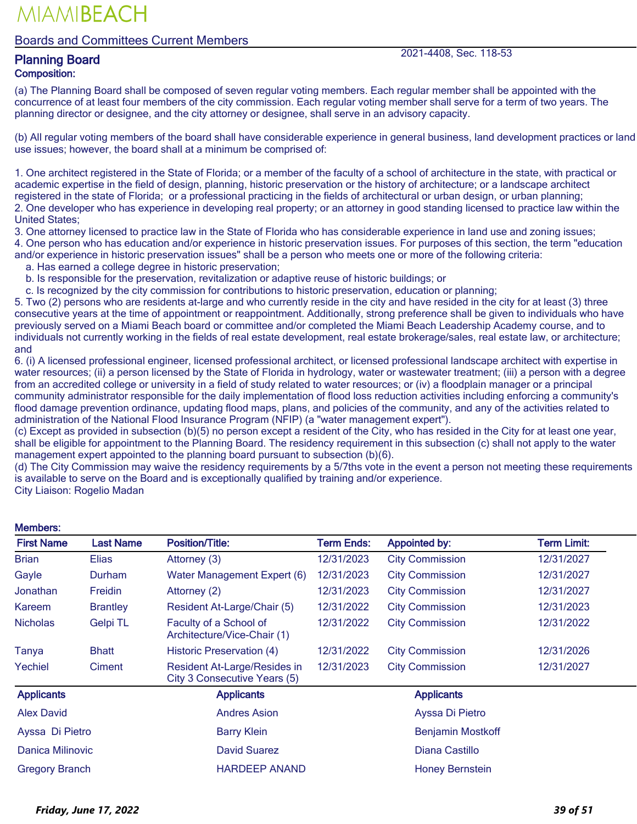### Boards and Committees Current Members

Planning Board 2021-4408, Sec. 118-53

## Composition:

(a) The Planning Board shall be composed of seven regular voting members. Each regular member shall be appointed with the concurrence of at least four members of the city commission. Each regular voting member shall serve for a term of two years. The planning director or designee, and the city attorney or designee, shall serve in an advisory capacity.

(b) All regular voting members of the board shall have considerable experience in general business, land development practices or land use issues; however, the board shall at a minimum be comprised of:

1. One architect registered in the State of Florida; or a member of the faculty of a school of architecture in the state, with practical or academic expertise in the field of design, planning, historic preservation or the history of architecture; or a landscape architect registered in the state of Florida; or a professional practicing in the fields of architectural or urban design, or urban planning; 2. One developer who has experience in developing real property; or an attorney in good standing licensed to practice law within the United States;

3. One attorney licensed to practice law in the State of Florida who has considerable experience in land use and zoning issues; 4. One person who has education and/or experience in historic preservation issues. For purposes of this section, the term "education

and/or experience in historic preservation issues" shall be a person who meets one or more of the following criteria:

a. Has earned a college degree in historic preservation;

b. Is responsible for the preservation, revitalization or adaptive reuse of historic buildings; or

c. Is recognized by the city commission for contributions to historic preservation, education or planning;

5. Two (2) persons who are residents at-large and who currently reside in the city and have resided in the city for at least (3) three consecutive years at the time of appointment or reappointment. Additionally, strong preference shall be given to individuals who have previously served on a Miami Beach board or committee and/or completed the Miami Beach Leadership Academy course, and to individuals not currently working in the fields of real estate development, real estate brokerage/sales, real estate law, or architecture; and

6. (i) A licensed professional engineer, licensed professional architect, or licensed professional landscape architect with expertise in water resources; (ii) a person licensed by the State of Florida in hydrology, water or wastewater treatment; (iii) a person with a degree from an accredited college or university in a field of study related to water resources; or (iv) a floodplain manager or a principal community administrator responsible for the daily implementation of flood loss reduction activities including enforcing a community's flood damage prevention ordinance, updating flood maps, plans, and policies of the community, and any of the activities related to administration of the National Flood Insurance Program (NFIP) (a "water management expert").

(c) Except as provided in subsection (b)(5) no person except a resident of the City, who has resided in the City for at least one year, shall be eligible for appointment to the Planning Board. The residency requirement in this subsection (c) shall not apply to the water management expert appointed to the planning board pursuant to subsection (b)(6).

(d) The City Commission may waive the residency requirements by a 5/7ths vote in the event a person not meeting these requirements is available to serve on the Board and is exceptionally qualified by training and/or experience.

City Liaison: Rogelio Madan

#### First Name Last Name Position/Title: Term Ends: Appointed by: Term Limit: Brian Elias Attorney (3) 12/31/2023 City Commission 12/31/2027 Gayle **Durham** Water Management Expert (6) 12/31/2023 City Commission 12/31/2027 Jonathan Freidin Attorney (2) 12/31/2023 City Commission 12/31/2027 Kareem Brantley Resident At-Large/Chair (5) 12/31/2022 City Commission 12/31/2023 Nicholas Gelpi TL Faculty of a School of Architecture/Vice-Chair (1) 12/31/2022 City Commission 12/31/2022 Tanya Bhatt Historic Preservation (4) 12/31/2022 City Commission 12/31/2026 Yechiel Ciment Resident At-Large/Resides in City 3 Consecutive Years (5) 12/31/2023 City Commission 12/31/2027 Applicants **Applicants** Applicants Applicants Applicants Applicants Applicants Applicants Alex David Andres Asion Ayssa Di Pietro Ayssa Di Pietro **Barry Klein** Barry Klein **Benjamin Mostkoff** Danica Milinovic David Suarez Diana Castillo Gregory Branch **HARDEEP ANAND** Honey Bernstein

#### Members: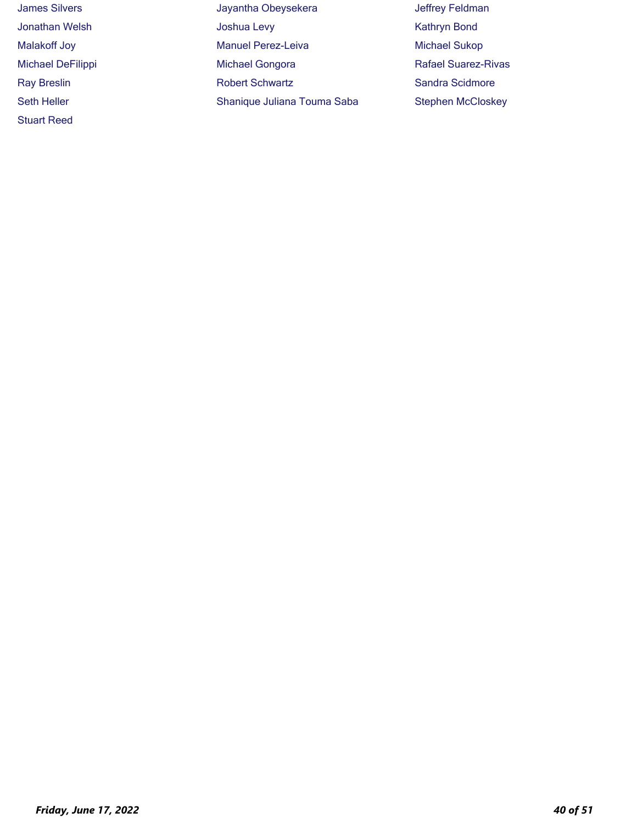| <b>James Silvers</b>     | Jayantha Obeysekera         | Jeffrey Feldman            |
|--------------------------|-----------------------------|----------------------------|
| Jonathan Welsh           | Joshua Levy                 | <b>Kathryn Bond</b>        |
| Malakoff Joy             | <b>Manuel Perez-Leiva</b>   | <b>Michael Sukop</b>       |
| <b>Michael DeFilippi</b> | <b>Michael Gongora</b>      | <b>Rafael Suarez-Rivas</b> |
| <b>Ray Breslin</b>       | <b>Robert Schwartz</b>      | Sandra Scidmore            |
| <b>Seth Heller</b>       | Shanique Juliana Touma Saba | <b>Stephen McCloskey</b>   |
| <b>Stuart Reed</b>       |                             |                            |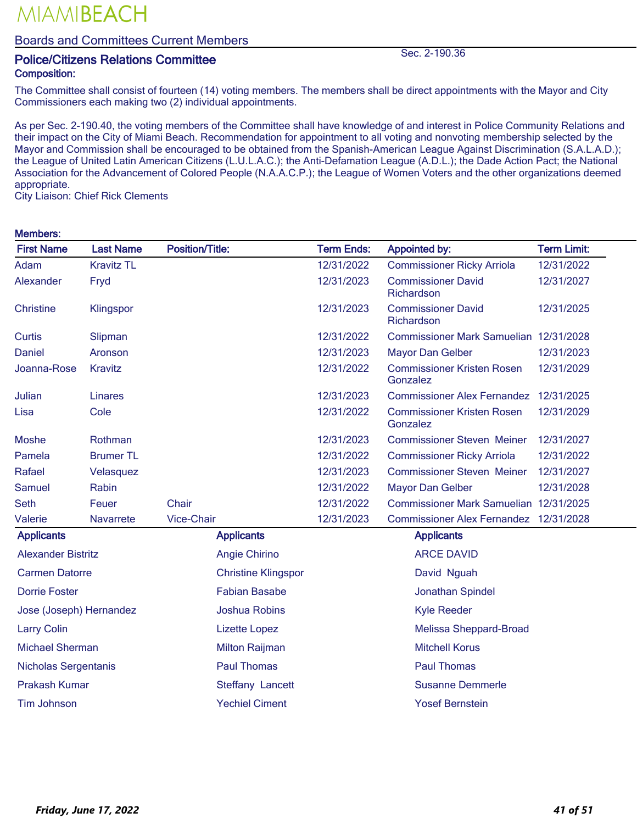### Boards and Committees Current Members

### Police/Citizens Relations Committee Sec. 2-190.36 Composition:

The Committee shall consist of fourteen (14) voting members. The members shall be direct appointments with the Mayor and City Commissioners each making two (2) individual appointments.

As per Sec. 2-190.40, the voting members of the Committee shall have knowledge of and interest in Police Community Relations and their impact on the City of Miami Beach. Recommendation for appointment to all voting and nonvoting membership selected by the Mayor and Commission shall be encouraged to be obtained from the Spanish-American League Against Discrimination (S.A.L.A.D.); the League of United Latin American Citizens (L.U.L.A.C.); the Anti-Defamation League (A.D.L.); the Dade Action Pact; the National Association for the Advancement of Colored People (N.A.A.C.P.); the League of Women Voters and the other organizations deemed appropriate.

City Liaison: Chief Rick Clements

#### Members:

| <b>First Name</b>           | <b>Last Name</b>  | <b>Position/Title:</b> |                            | <b>Term Ends:</b> | <b>Appointed by:</b>                          | <b>Term Limit:</b> |
|-----------------------------|-------------------|------------------------|----------------------------|-------------------|-----------------------------------------------|--------------------|
| Adam                        | <b>Kravitz TL</b> |                        |                            | 12/31/2022        | <b>Commissioner Ricky Arriola</b>             | 12/31/2022         |
| Alexander                   | Fryd              |                        |                            | 12/31/2023        | <b>Commissioner David</b><br>Richardson       | 12/31/2027         |
| <b>Christine</b>            | Klingspor         |                        |                            | 12/31/2023        | <b>Commissioner David</b><br>Richardson       | 12/31/2025         |
| Curtis                      | Slipman           |                        |                            | 12/31/2022        | Commissioner Mark Samuelian 12/31/2028        |                    |
| <b>Daniel</b>               | Aronson           |                        |                            | 12/31/2023        | <b>Mayor Dan Gelber</b>                       | 12/31/2023         |
| Joanna-Rose                 | Kravitz           |                        |                            | 12/31/2022        | <b>Commissioner Kristen Rosen</b><br>Gonzalez | 12/31/2029         |
| Julian                      | Linares           |                        |                            | 12/31/2023        | <b>Commissioner Alex Fernandez</b>            | 12/31/2025         |
| Lisa                        | Cole              |                        |                            | 12/31/2022        | <b>Commissioner Kristen Rosen</b><br>Gonzalez | 12/31/2029         |
| <b>Moshe</b>                | Rothman           |                        |                            | 12/31/2023        | <b>Commissioner Steven Meiner</b>             | 12/31/2027         |
| Pamela                      | <b>Brumer TL</b>  |                        |                            | 12/31/2022        | <b>Commissioner Ricky Arriola</b>             | 12/31/2022         |
| Rafael                      | Velasquez         |                        |                            | 12/31/2023        | <b>Commissioner Steven Meiner</b>             | 12/31/2027         |
| Samuel                      | Rabin             |                        |                            | 12/31/2022        | Mayor Dan Gelber                              | 12/31/2028         |
| <b>Seth</b>                 | Feuer             | <b>Chair</b>           |                            | 12/31/2022        | Commissioner Mark Samuelian 12/31/2025        |                    |
| Valerie                     | <b>Navarrete</b>  | Vice-Chair             |                            | 12/31/2023        | Commissioner Alex Fernandez 12/31/2028        |                    |
| <b>Applicants</b>           |                   |                        | <b>Applicants</b>          |                   | <b>Applicants</b>                             |                    |
| <b>Alexander Bistritz</b>   |                   |                        | Angie Chirino              |                   | <b>ARCE DAVID</b>                             |                    |
| <b>Carmen Datorre</b>       |                   |                        | <b>Christine Klingspor</b> |                   | David Nguah                                   |                    |
| <b>Dorrie Foster</b>        |                   |                        | <b>Fabian Basabe</b>       |                   | Jonathan Spindel                              |                    |
| Jose (Joseph) Hernandez     |                   |                        | <b>Joshua Robins</b>       |                   | <b>Kyle Reeder</b>                            |                    |
| <b>Larry Colin</b>          |                   |                        | <b>Lizette Lopez</b>       |                   | <b>Melissa Sheppard-Broad</b>                 |                    |
| <b>Michael Sherman</b>      |                   |                        | <b>Milton Raijman</b>      |                   | <b>Mitchell Korus</b>                         |                    |
| <b>Nicholas Sergentanis</b> |                   |                        | <b>Paul Thomas</b>         |                   | <b>Paul Thomas</b>                            |                    |

Prakash Kumar **Steffany Lancett** Susanne Demmerle

Tim Johnson Yechiel Ciment Yosef Bernstein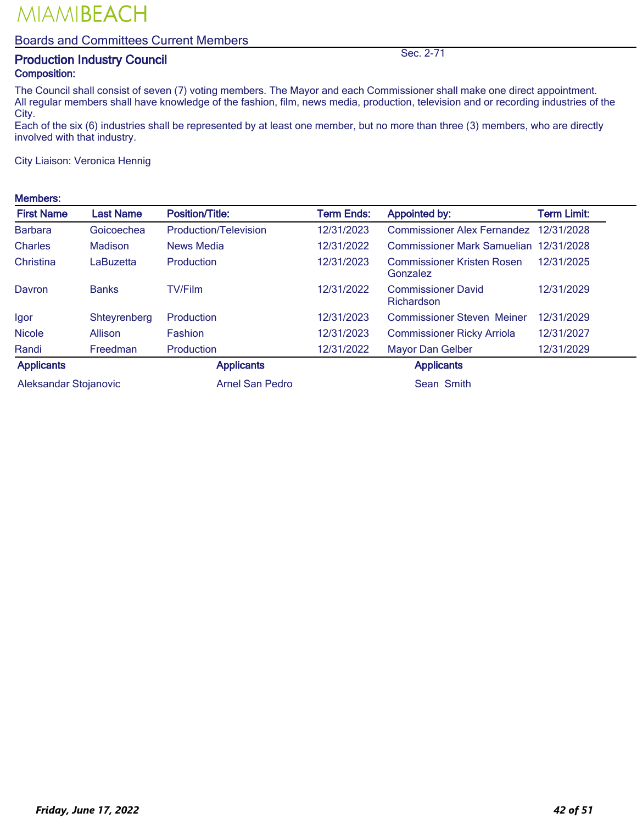### Boards and Committees Current Members

## **Production Industry Council** Sec. 2-71 Composition:

The Council shall consist of seven (7) voting members. The Mayor and each Commissioner shall make one direct appointment. All regular members shall have knowledge of the fashion, film, news media, production, television and or recording industries of the City.

Each of the six (6) industries shall be represented by at least one member, but no more than three (3) members, who are directly involved with that industry.

City Liaison: Veronica Hennig

#### Members:

| <b>First Name</b>     | <b>Last Name</b> | Position/Title:        | Term Ends: | <b>Appointed by:</b>                          | <b>Term Limit:</b> |
|-----------------------|------------------|------------------------|------------|-----------------------------------------------|--------------------|
| <b>Barbara</b>        | Goicoechea       | Production/Television  | 12/31/2023 | <b>Commissioner Alex Fernandez</b>            | 12/31/2028         |
| <b>Charles</b>        | Madison          | <b>News Media</b>      | 12/31/2022 | <b>Commissioner Mark Samuelian</b>            | 12/31/2028         |
| Christina             | LaBuzetta        | Production             | 12/31/2023 | <b>Commissioner Kristen Rosen</b><br>Gonzalez | 12/31/2025         |
| Davron                | <b>Banks</b>     | <b>TV/Film</b>         | 12/31/2022 | <b>Commissioner David</b><br>Richardson       | 12/31/2029         |
| Igor                  | Shteyrenberg     | Production             | 12/31/2023 | <b>Commissioner Steven Meiner</b>             | 12/31/2029         |
| <b>Nicole</b>         | Allison          | Fashion                | 12/31/2023 | <b>Commissioner Ricky Arriola</b>             | 12/31/2027         |
| Randi                 | Freedman         | Production             | 12/31/2022 | <b>Mayor Dan Gelber</b>                       | 12/31/2029         |
| <b>Applicants</b>     |                  | <b>Applicants</b>      |            | <b>Applicants</b>                             |                    |
| Aleksandar Stojanovic |                  | <b>Arnel San Pedro</b> |            | Sean Smith                                    |                    |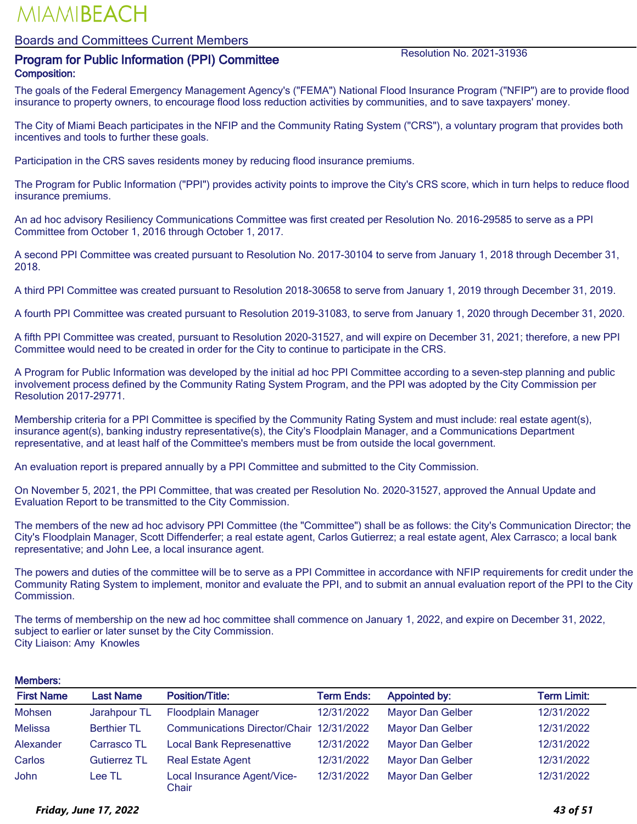#### Boards and Committees Current Members

### **Program for Public Information (PPI) Committee Resolution No. 2021-31936** Composition:

The goals of the Federal Emergency Management Agency's ("FEMA") National Flood Insurance Program ("NFIP") are to provide flood insurance to property owners, to encourage flood loss reduction activities by communities, and to save taxpayers' money.

The City of Miami Beach participates in the NFIP and the Community Rating System ("CRS"), a voluntary program that provides both incentives and tools to further these goals.

Participation in the CRS saves residents money by reducing flood insurance premiums.

The Program for Public Information ("PPI") provides activity points to improve the City's CRS score, which in turn helps to reduce flood insurance premiums.

An ad hoc advisory Resiliency Communications Committee was first created per Resolution No. 2016-29585 to serve as a PPI Committee from October 1, 2016 through October 1, 2017.

A second PPI Committee was created pursuant to Resolution No. 2017-30104 to serve from January 1, 2018 through December 31, 2018.

A third PPI Committee was created pursuant to Resolution 2018-30658 to serve from January 1, 2019 through December 31, 2019.

A fourth PPI Committee was created pursuant to Resolution 2019-31083, to serve from January 1, 2020 through December 31, 2020.

A fifth PPI Committee was created, pursuant to Resolution 2020-31527, and will expire on December 31, 2021; therefore, a new PPI Committee would need to be created in order for the City to continue to participate in the CRS.

A Program for Public Information was developed by the initial ad hoc PPI Committee according to a seven-step planning and public involvement process defined by the Community Rating System Program, and the PPI was adopted by the City Commission per Resolution 2017-29771.

Membership criteria for a PPI Committee is specified by the Community Rating System and must include: real estate agent(s), insurance agent(s), banking industry representative(s), the City's Floodplain Manager, and a Communications Department representative, and at least half of the Committee's members must be from outside the local government.

An evaluation report is prepared annually by a PPI Committee and submitted to the City Commission.

On November 5, 2021, the PPI Committee, that was created per Resolution No. 2020-31527, approved the Annual Update and Evaluation Report to be transmitted to the City Commission.

The members of the new ad hoc advisory PPI Committee (the "Committee") shall be as follows: the City's Communication Director; the City's Floodplain Manager, Scott Diffenderfer; a real estate agent, Carlos Gutierrez; a real estate agent, Alex Carrasco; a local bank representative; and John Lee, a local insurance agent.

The powers and duties of the committee will be to serve as a PPI Committee in accordance with NFIP requirements for credit under the Community Rating System to implement, monitor and evaluate the PPI, and to submit an annual evaluation report of the PPI to the City Commission.

The terms of membership on the new ad hoc committee shall commence on January 1, 2022, and expire on December 31, 2022, subject to earlier or later sunset by the City Commission. City Liaison: Amy Knowles

#### Members:

| <b>First Name</b> | <b>Last Name</b>    | <b>Position/Title:</b>                   | <b>Term Ends:</b> | <b>Appointed by:</b>    | Term Limit: |
|-------------------|---------------------|------------------------------------------|-------------------|-------------------------|-------------|
| Mohsen            | Jarahpour TL        | <b>Floodplain Manager</b>                | 12/31/2022        | <b>Mayor Dan Gelber</b> | 12/31/2022  |
| <b>Melissa</b>    | <b>Berthier TL</b>  | Communications Director/Chair 12/31/2022 |                   | <b>Mayor Dan Gelber</b> | 12/31/2022  |
| Alexander         | Carrasco TL         | <b>Local Bank Represenattive</b>         | 12/31/2022        | <b>Mayor Dan Gelber</b> | 12/31/2022  |
| Carlos            | <b>Gutierrez TL</b> | <b>Real Estate Agent</b>                 | 12/31/2022        | <b>Mayor Dan Gelber</b> | 12/31/2022  |
| John              | Lee TL              | Local Insurance Agent/Vice-<br>Chair     | 12/31/2022        | <b>Mayor Dan Gelber</b> | 12/31/2022  |

#### *Friday, June 17, 2022 43 of 51*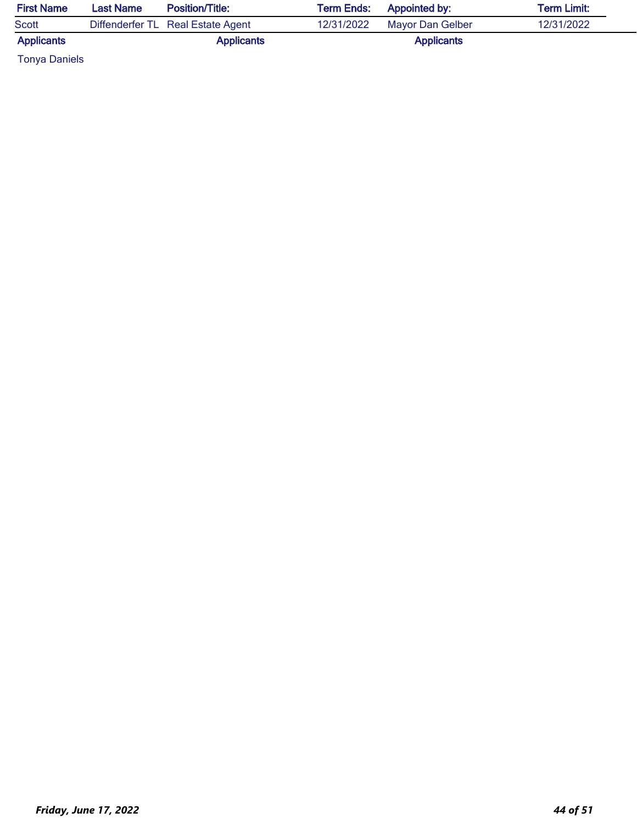| <b>First Name</b> | <b>Last Name</b> | <b>Position/Title:</b>            | <b>Term Ends:</b> Appointed by: |                   | <b>Term Limit:</b> |
|-------------------|------------------|-----------------------------------|---------------------------------|-------------------|--------------------|
| Scott             |                  | Diffenderfer TL Real Estate Agent | 12/31/2022                      | Mayor Dan Gelber  | 12/31/2022         |
| <b>Applicants</b> |                  | <b>Applicants</b>                 |                                 | <b>Applicants</b> |                    |

Tonya Daniels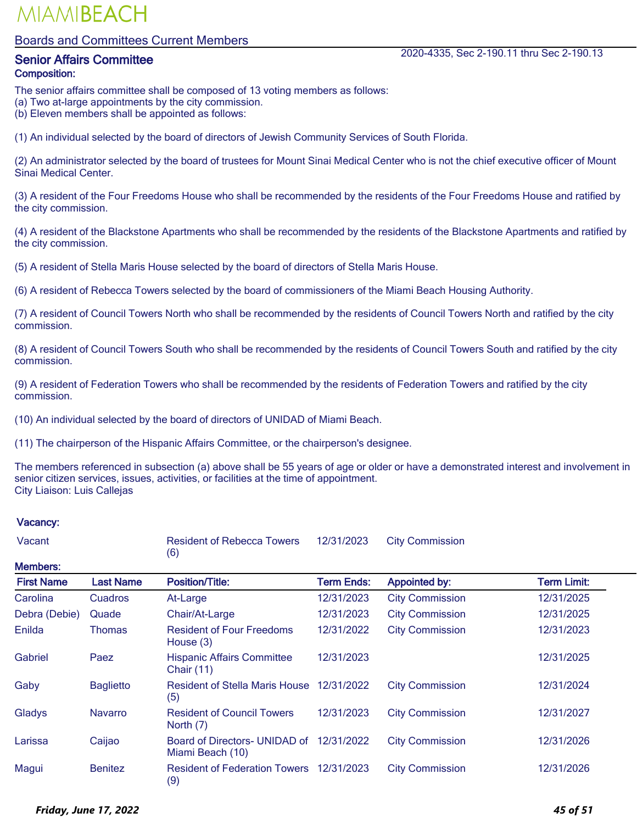#### Boards and Committees Current Members

## Composition:

The senior affairs committee shall be composed of 13 voting members as follows:

(a) Two at-large appointments by the city commission.

(b) Eleven members shall be appointed as follows:

(1) An individual selected by the board of directors of Jewish Community Services of South Florida.

(2) An administrator selected by the board of trustees for Mount Sinai Medical Center who is not the chief executive officer of Mount Sinai Medical Center.

(3) A resident of the Four Freedoms House who shall be recommended by the residents of the Four Freedoms House and ratified by the city commission.

(4) A resident of the Blackstone Apartments who shall be recommended by the residents of the Blackstone Apartments and ratified by the city commission.

(5) A resident of Stella Maris House selected by the board of directors of Stella Maris House.

(6) A resident of Rebecca Towers selected by the board of commissioners of the Miami Beach Housing Authority.

(7) A resident of Council Towers North who shall be recommended by the residents of Council Towers North and ratified by the city commission.

(8) A resident of Council Towers South who shall be recommended by the residents of Council Towers South and ratified by the city commission.

(9) A resident of Federation Towers who shall be recommended by the residents of Federation Towers and ratified by the city commission.

(10) An individual selected by the board of directors of UNIDAD of Miami Beach.

(11) The chairperson of the Hispanic Affairs Committee, or the chairperson's designee.

The members referenced in subsection (a) above shall be 55 years of age or older or have a demonstrated interest and involvement in senior citizen services, issues, activities, or facilities at the time of appointment. City Liaison: Luis Callejas

| Vacant            |                  | <b>Resident of Rebecca Towers</b><br>(6)               | 12/31/2023        | <b>City Commission</b> |             |
|-------------------|------------------|--------------------------------------------------------|-------------------|------------------------|-------------|
| <b>Members:</b>   |                  |                                                        |                   |                        |             |
| <b>First Name</b> | <b>Last Name</b> | <b>Position/Title:</b>                                 | <b>Term Ends:</b> | <b>Appointed by:</b>   | Term Limit: |
| Carolina          | <b>Cuadros</b>   | At-Large                                               | 12/31/2023        | <b>City Commission</b> | 12/31/2025  |
| Debra (Debie)     | Quade            | Chair/At-Large                                         | 12/31/2023        | <b>City Commission</b> | 12/31/2025  |
| Enilda            | Thomas           | <b>Resident of Four Freedoms</b><br>House $(3)$        | 12/31/2022        | <b>City Commission</b> | 12/31/2023  |
| Gabriel           | Paez             | <b>Hispanic Affairs Committee</b><br><b>Chair (11)</b> | 12/31/2023        |                        | 12/31/2025  |
| Gaby              | <b>Baglietto</b> | <b>Resident of Stella Maris House</b><br>(5)           | 12/31/2022        | <b>City Commission</b> | 12/31/2024  |
| Gladys            | <b>Navarro</b>   | <b>Resident of Council Towers</b><br>North (7)         | 12/31/2023        | <b>City Commission</b> | 12/31/2027  |
| Larissa           | Caijao           | Board of Directors- UNIDAD of<br>Miami Beach (10)      | 12/31/2022        | <b>City Commission</b> | 12/31/2026  |
| Magui             | <b>Benitez</b>   | <b>Resident of Federation Towers</b><br>(9)            | 12/31/2023        | <b>City Commission</b> | 12/31/2026  |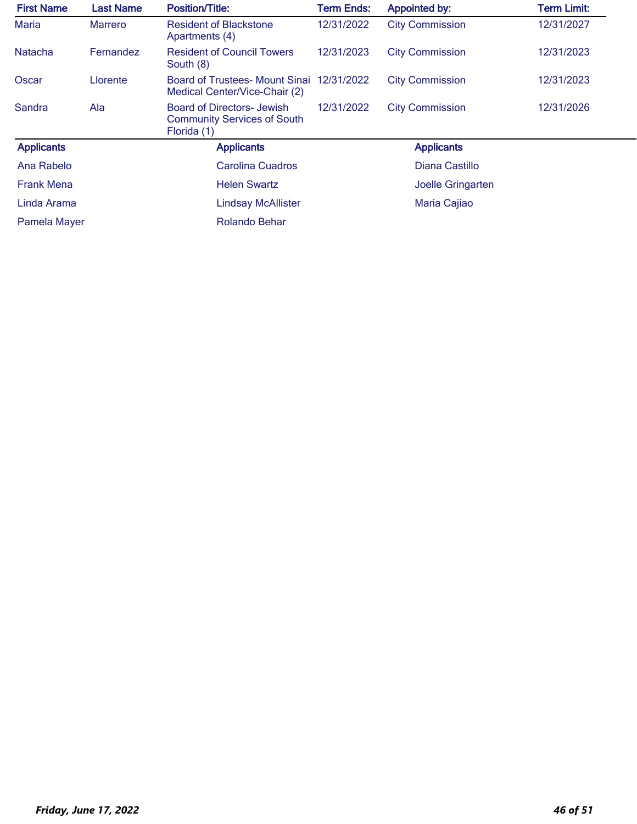| <b>First Name</b> | <b>Last Name</b> | <b>Position/Title:</b>                                                                 | <b>Term Ends:</b> | <b>Appointed by:</b>   | <b>Term Limit:</b> |
|-------------------|------------------|----------------------------------------------------------------------------------------|-------------------|------------------------|--------------------|
| <b>Maria</b>      | <b>Marrero</b>   | <b>Resident of Blackstone</b><br>Apartments (4)                                        | 12/31/2022        | <b>City Commission</b> | 12/31/2027         |
| <b>Natacha</b>    | Fernandez        | <b>Resident of Council Towers</b><br>South (8)                                         | 12/31/2023        | <b>City Commission</b> | 12/31/2023         |
| Oscar             | Llorente         | Board of Trustees- Mount Sinai 12/31/2022<br>Medical Center/Vice-Chair (2)             |                   | <b>City Commission</b> | 12/31/2023         |
| Sandra            | Ala              | <b>Board of Directors- Jewish</b><br><b>Community Services of South</b><br>Florida (1) | 12/31/2022        | <b>City Commission</b> | 12/31/2026         |
| <b>Applicants</b> |                  | <b>Applicants</b>                                                                      |                   | <b>Applicants</b>      |                    |
| Ana Rabelo        |                  | Carolina Cuadros                                                                       |                   | Diana Castillo         |                    |
| <b>Frank Mena</b> |                  | <b>Helen Swartz</b>                                                                    |                   | Joelle Gringarten      |                    |
| Linda Arama       |                  | <b>Lindsay McAllister</b>                                                              |                   | Maria Cajiao           |                    |
| Pamela Mayer      |                  | <b>Rolando Behar</b>                                                                   |                   |                        |                    |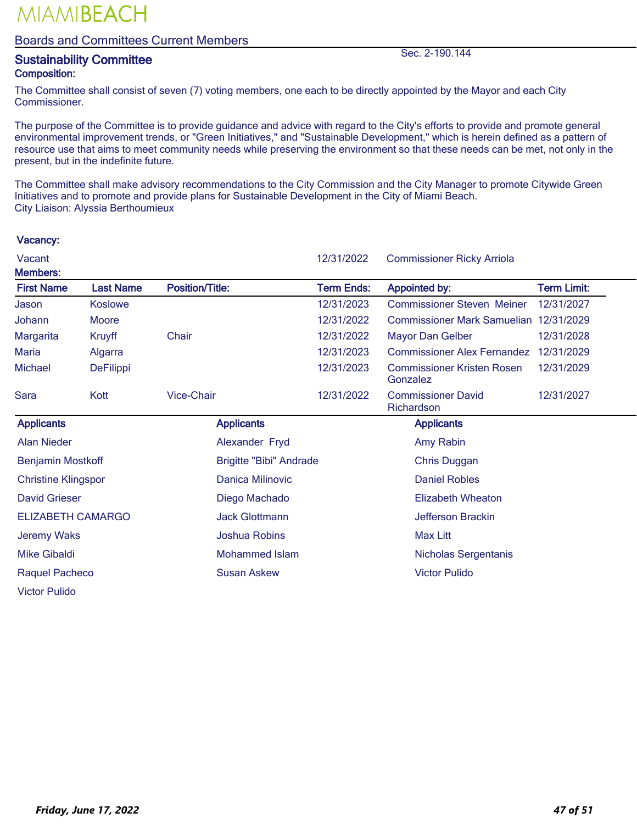#### Boards and Committees Current Members

## external states of the Sustainability Committee Sustainability Committee Sec. 2-190.144 Composition:

Vacancy:

The Committee shall consist of seven (7) voting members, one each to be directly appointed by the Mayor and each City Commissioner.

The purpose of the Committee is to provide guidance and advice with regard to the City's efforts to provide and promote general environmental improvement trends, or "Green Initiatives," and "Sustainable Development," which is herein defined as a pattern of resource use that aims to meet community needs while preserving the environment so that these needs can be met, not only in the present, but in the indefinite future.

The Committee shall make advisory recommendations to the City Commission and the City Manager to promote Citywide Green Initiatives and to promote and provide plans for Sustainable Development in the City of Miami Beach. City Liaison: Alyssia Berthoumieux

### Vacant 12/31/2022 Commissioner Ricky Arriola Members: First Name Last Name Position/Title: Term Ends: Appointed by: Term Limit: Jason Koslowe 12/31/2023 Commissioner Steven Meiner 12/31/2027 Johann Moore 12/31/2022 Commissioner Mark Samuelian 12/31/2029 Margarita Kruyff Chair 12/31/2022 Mayor Dan Gelber 12/31/2028 Maria Algarra 12/31/2023 Commissioner Alex Fernandez 12/31/2029 Michael DeFilippi 12/31/2023 Commissioner Kristen Rosen Gonzalez 12/31/2029 Sara Kott Vice-Chair 12/31/2022 Commissioner David **Richardson** 12/31/2027 Applicants **Applicants** Applicants **Applicants** Applicants **Applicants** Alan Nieder Alexander Fryd Amy Rabin Benjamin Mostkoff **Brigitte "Bibi" Andrade** Chris Duggan Christine Klingspor Danica Milinovic Daniel Robles David Grieser **Diego Machado Elizabeth Wheaton** Diego Machado **Elizabeth Wheaton** ELIZABETH CAMARGO **Glottmann** Jack Glottmann Jefferson Brackin Jeremy Waks **Max Litt Joshua Robins** Max Litt Mike Gibaldi **Mohammed Islam** Mohammed Islam Nicholas Sergentanis Raquel Pacheco Susan Askew Susan Askew Victor Pulido Victor Pulido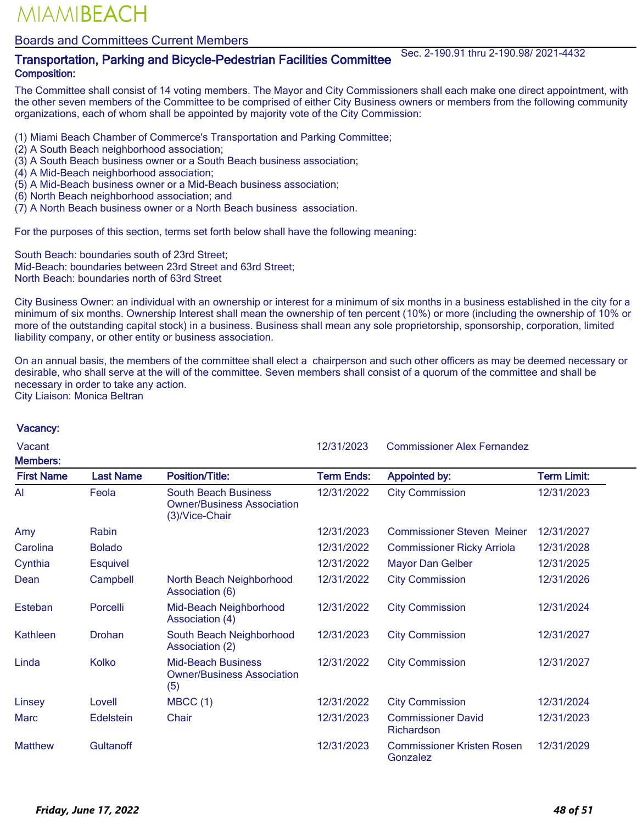### Boards and Committees Current Members

### Transportation, Parking and Bicycle-Pedestrian Facilities Committee Sec. 2-190.91 thru 2-190.98/ 2021-4432 Composition:

The Committee shall consist of 14 voting members. The Mayor and City Commissioners shall each make one direct appointment, with the other seven members of the Committee to be comprised of either City Business owners or members from the following community organizations, each of whom shall be appointed by majority vote of the City Commission:

- (1) Miami Beach Chamber of Commerce's Transportation and Parking Committee;
- (2) A South Beach neighborhood association;
- (3) A South Beach business owner or a South Beach business association;
- (4) A Mid-Beach neighborhood association;
- (5) A Mid-Beach business owner or a Mid-Beach business association;
- (6) North Beach neighborhood association; and
- (7) A North Beach business owner or a North Beach business association.

For the purposes of this section, terms set forth below shall have the following meaning:

South Beach: boundaries south of 23rd Street; Mid-Beach: boundaries between 23rd Street and 63rd Street; North Beach: boundaries north of 63rd Street

City Business Owner: an individual with an ownership or interest for a minimum of six months in a business established in the city for a minimum of six months. Ownership Interest shall mean the ownership of ten percent (10%) or more (including the ownership of 10% or more of the outstanding capital stock) in a business. Business shall mean any sole proprietorship, sponsorship, corporation, limited liability company, or other entity or business association.

On an annual basis, the members of the committee shall elect a chairperson and such other officers as may be deemed necessary or desirable, who shall serve at the will of the committee. Seven members shall consist of a quorum of the committee and shall be necessary in order to take any action. City Liaison: Monica Beltran

| Vacant<br><b>Members:</b> |                  |                                                                                    | 12/31/2023        | <b>Commissioner Alex Fernandez</b>            |                    |
|---------------------------|------------------|------------------------------------------------------------------------------------|-------------------|-----------------------------------------------|--------------------|
| <b>First Name</b>         | <b>Last Name</b> | <b>Position/Title:</b>                                                             | <b>Term Ends:</b> | <b>Appointed by:</b>                          | <b>Term Limit:</b> |
| Al                        | Feola            | <b>South Beach Business</b><br><b>Owner/Business Association</b><br>(3)/Vice-Chair | 12/31/2022        | <b>City Commission</b>                        | 12/31/2023         |
| Amy                       | Rabin            |                                                                                    | 12/31/2023        | <b>Commissioner Steven Meiner</b>             | 12/31/2027         |
| Carolina                  | <b>Bolado</b>    |                                                                                    | 12/31/2022        | <b>Commissioner Ricky Arriola</b>             | 12/31/2028         |
| Cynthia                   | <b>Esquivel</b>  |                                                                                    | 12/31/2022        | <b>Mayor Dan Gelber</b>                       | 12/31/2025         |
| Dean                      | Campbell         | North Beach Neighborhood<br>Association (6)                                        | 12/31/2022        | <b>City Commission</b>                        | 12/31/2026         |
| Esteban                   | Porcelli         | Mid-Beach Neighborhood<br>Association (4)                                          | 12/31/2022        | <b>City Commission</b>                        | 12/31/2024         |
| <b>Kathleen</b>           | <b>Drohan</b>    | South Beach Neighborhood<br>Association (2)                                        | 12/31/2023        | <b>City Commission</b>                        | 12/31/2027         |
| Linda                     | Kolko            | <b>Mid-Beach Business</b><br><b>Owner/Business Association</b><br>(5)              | 12/31/2022        | <b>City Commission</b>                        | 12/31/2027         |
| Linsey                    | Lovell           | MBCC(1)                                                                            | 12/31/2022        | <b>City Commission</b>                        | 12/31/2024         |
| <b>Marc</b>               | Edelstein        | Chair                                                                              | 12/31/2023        | <b>Commissioner David</b><br>Richardson       | 12/31/2023         |
| <b>Matthew</b>            | Gultanoff        |                                                                                    | 12/31/2023        | <b>Commissioner Kristen Rosen</b><br>Gonzalez | 12/31/2029         |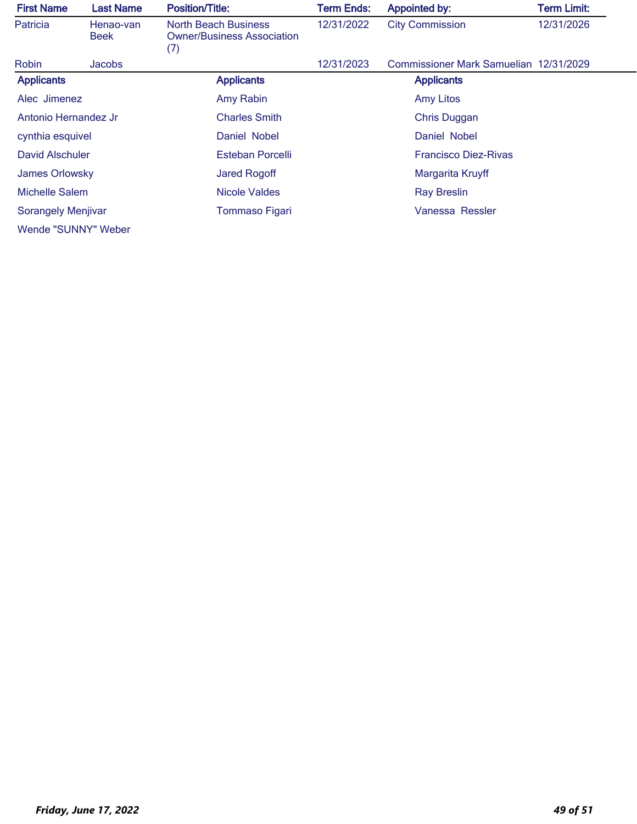| <b>First Name</b>         | <b>Last Name</b>         | <b>Position/Title:</b>                                                  | <b>Term Ends:</b> | <b>Appointed by:</b>                   | <b>Term Limit:</b> |
|---------------------------|--------------------------|-------------------------------------------------------------------------|-------------------|----------------------------------------|--------------------|
| Patricia                  | Henao-van<br><b>Beek</b> | <b>North Beach Business</b><br><b>Owner/Business Association</b><br>(7) | 12/31/2022        | <b>City Commission</b>                 | 12/31/2026         |
| Robin                     | Jacobs                   |                                                                         | 12/31/2023        | Commissioner Mark Samuelian 12/31/2029 |                    |
| <b>Applicants</b>         |                          | <b>Applicants</b>                                                       |                   | <b>Applicants</b>                      |                    |
| Alec Jimenez              |                          | Amy Rabin                                                               |                   | <b>Amy Litos</b>                       |                    |
| Antonio Hernandez Jr      |                          | <b>Charles Smith</b>                                                    |                   | <b>Chris Duggan</b>                    |                    |
| cynthia esquivel          |                          | Daniel Nobel                                                            |                   | Daniel Nobel                           |                    |
| David Alschuler           |                          | Esteban Porcelli                                                        |                   | <b>Francisco Diez-Rivas</b>            |                    |
| James Orlowsky            |                          | <b>Jared Rogoff</b>                                                     |                   | Margarita Kruyff                       |                    |
| Michelle Salem            |                          | <b>Nicole Valdes</b>                                                    |                   | <b>Ray Breslin</b>                     |                    |
| <b>Sorangely Menjivar</b> |                          | <b>Tommaso Figari</b>                                                   |                   | Vanessa Ressler                        |                    |
| Wende "SUNNY" Weber       |                          |                                                                         |                   |                                        |                    |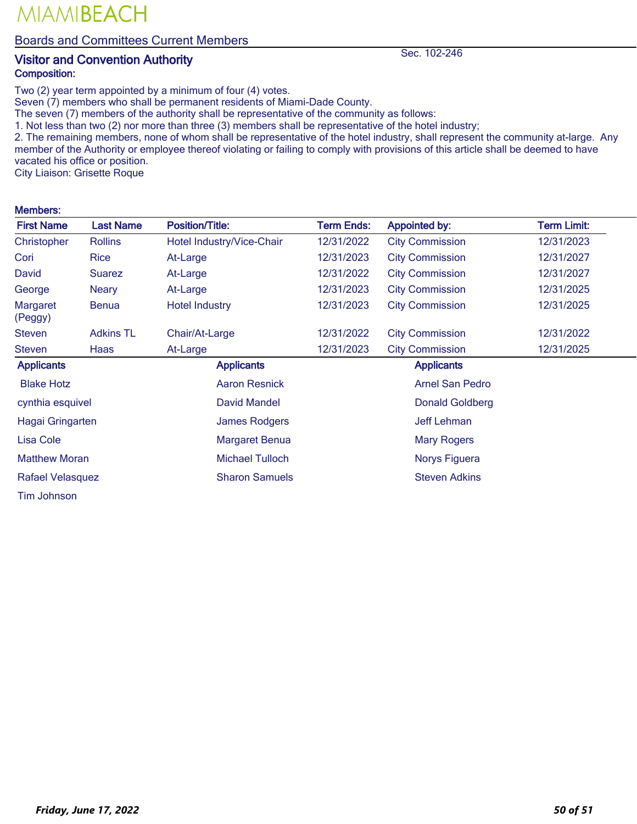Boards and Committees Current Members

### Visitor and Convention Authority Sec. 102-246 Composition:

Two (2) year term appointed by a minimum of four (4) votes.

Seven (7) members who shall be permanent residents of Miami-Dade County.

The seven (7) members of the authority shall be representative of the community as follows:

1. Not less than two (2) nor more than three (3) members shall be representative of the hotel industry;

2. The remaining members, none of whom shall be representative of the hotel industry, shall represent the community at-large. Any member of the Authority or employee thereof violating or failing to comply with provisions of this article shall be deemed to have vacated his office or position.

City Liaison: Grisette Roque

MIAMIBEACH

#### Members:

| <b>First Name</b>    | <b>Last Name</b> | <b>Position/Title:</b>    | <b>Term Ends:</b> | <b>Appointed by:</b>   | <b>Term Limit:</b> |
|----------------------|------------------|---------------------------|-------------------|------------------------|--------------------|
| Christopher          | <b>Rollins</b>   | Hotel Industry/Vice-Chair | 12/31/2022        | <b>City Commission</b> | 12/31/2023         |
| Cori                 | Rice             | At-Large                  | 12/31/2023        | <b>City Commission</b> | 12/31/2027         |
| David                | <b>Suarez</b>    | At-Large                  | 12/31/2022        | <b>City Commission</b> | 12/31/2027         |
| George               | <b>Neary</b>     | At-Large                  | 12/31/2023        | <b>City Commission</b> | 12/31/2025         |
| Margaret<br>(Peggy)  | <b>Benua</b>     | <b>Hotel Industry</b>     | 12/31/2023        | <b>City Commission</b> | 12/31/2025         |
| <b>Steven</b>        | <b>Adkins TL</b> | Chair/At-Large            | 12/31/2022        | <b>City Commission</b> | 12/31/2022         |
| <b>Steven</b>        | Haas             | At-Large                  | 12/31/2023        | <b>City Commission</b> | 12/31/2025         |
| <b>Applicants</b>    |                  | <b>Applicants</b>         |                   | <b>Applicants</b>      |                    |
| <b>Blake Hotz</b>    |                  | <b>Aaron Resnick</b>      |                   | <b>Arnel San Pedro</b> |                    |
| cynthia esquivel     |                  | <b>David Mandel</b>       |                   | <b>Donald Goldberg</b> |                    |
| Hagai Gringarten     |                  | <b>James Rodgers</b>      |                   | <b>Jeff Lehman</b>     |                    |
| <b>Lisa Cole</b>     |                  | <b>Margaret Benua</b>     |                   | <b>Mary Rogers</b>     |                    |
| <b>Matthew Moran</b> |                  | <b>Michael Tulloch</b>    |                   | Norys Figuera          |                    |
| Rafael Velasquez     |                  | <b>Sharon Samuels</b>     |                   | <b>Steven Adkins</b>   |                    |
| Tim Johnson          |                  |                           |                   |                        |                    |